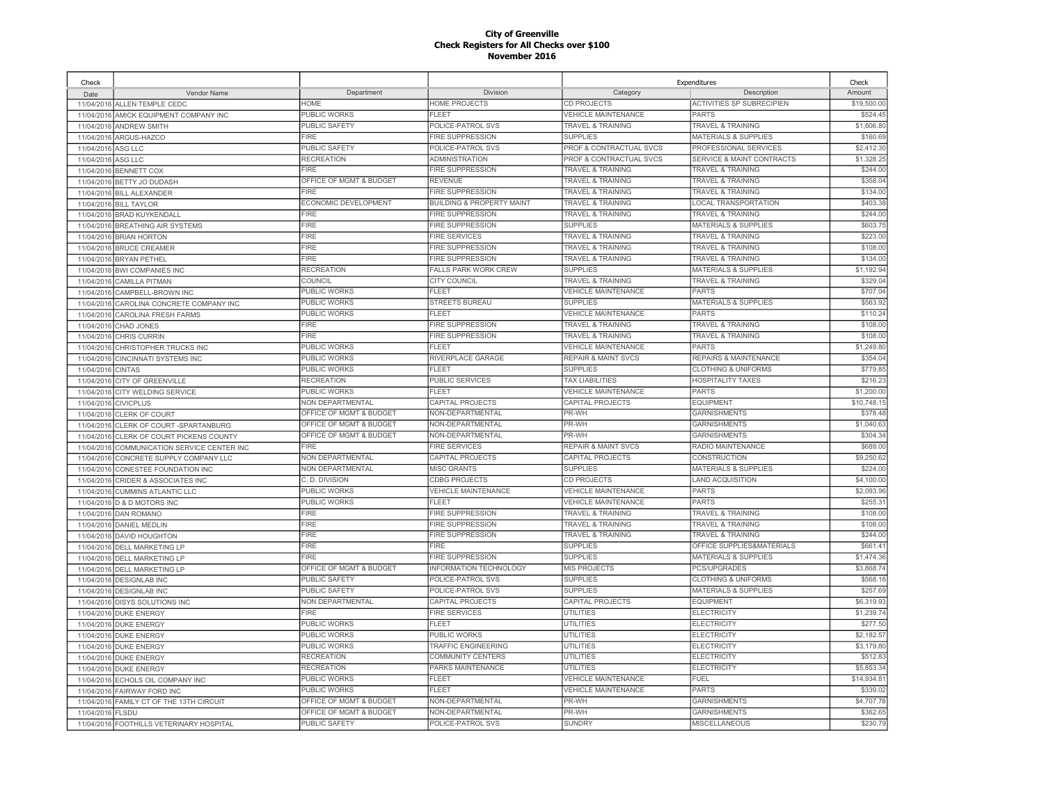| Check      |                                          |                             |                                      |                                | Expenditures                     | Check       |
|------------|------------------------------------------|-----------------------------|--------------------------------------|--------------------------------|----------------------------------|-------------|
| Date       | Vendor Name                              | Department                  | Division                             | Category                       | Description                      | Amount      |
| 11/04/2016 | ALLEN TEMPLE CEDC                        | <b>HOME</b>                 | <b>HOME PROJECTS</b>                 | CD PROJECTS                    | <b>ACTIVITIES SP SUBRECIPIEN</b> | \$19,500.00 |
| 11/04/2016 | AMICK EQUIPMENT COMPANY INC              | PUBLIC WORKS                | FLEET                                | <b>VEHICLE MAINTENANCE</b>     | PARTS                            | \$524.45    |
| 11/04/2016 | <b>ANDREW SMITH</b>                      | <b>PUBLIC SAFETY</b>        | POLICE-PATROL SVS                    | <b>TRAVEL &amp; TRAINING</b>   | <b>TRAVEL &amp; TRAINING</b>     | \$1,606.80  |
| 11/04/2016 | ARGUS-HAZCO                              | <b>FIRE</b>                 | <b>FIRE SUPPRESSION</b>              | <b>SUPPLIES</b>                | <b>MATERIALS &amp; SUPPLIES</b>  | \$160.69    |
| 11/04/2016 | ASG LLC                                  | PUBLIC SAFETY               | POLICE-PATROL SVS                    | PROF & CONTRACTUAL SVCS        | PROFESSIONAL SERVICES            | \$2,412.30  |
| 11/04/2016 | ASG LLC                                  | <b>RECREATION</b>           | <b>ADMINISTRATION</b>                | PROF & CONTRACTUAL SVCS        | SERVICE & MAINT CONTRACTS        | \$1,328.25  |
| 11/04/2016 | <b>BENNETT COX</b>                       | FIRE                        | <b>FIRE SUPPRESSION</b>              | <b>TRAVEL &amp; TRAINING</b>   | <b>TRAVEL &amp; TRAINING</b>     | \$244.00    |
| 11/04/2016 | BETTY JO DUDASH                          | OFFICE OF MGMT & BUDGET     | <b>REVENUE</b>                       | <b>TRAVEL &amp; TRAINING</b>   | <b>TRAVEL &amp; TRAINING</b>     | \$358.04    |
| 11/04/2016 | <b>BILL ALEXANDER</b>                    | <b>FIRE</b>                 | <b>FIRE SUPPRESSION</b>              | <b>TRAVEL &amp; TRAINING</b>   | <b>TRAVEL &amp; TRAINING</b>     | \$134.00    |
| 11/04/2016 | <b>BILL TAYLOR</b>                       | <b>ECONOMIC DEVELOPMENT</b> | <b>BUILDING &amp; PROPERTY MAINT</b> | <b>TRAVEL &amp; TRAINING</b>   | <b>LOCAL TRANSPORTATION</b>      | \$403.38    |
| 11/04/2016 | <b>BRAD KUYKENDALL</b>                   | <b>FIRE</b>                 | <b>FIRE SUPPRESSION</b>              | <b>TRAVEL &amp; TRAINING</b>   | <b>TRAVEL &amp; TRAINING</b>     | \$244.00    |
| 11/04/2016 | <b>BREATHING AIR SYSTEMS</b>             | <b>FIRE</b>                 | <b>FIRE SUPPRESSION</b>              | <b>SUPPLIES</b>                | MATERIALS & SUPPLIES             | \$603.75    |
| 11/04/2016 | <b>BRIAN HORTON</b>                      | <b>FIRE</b>                 | <b>FIRE SERVICES</b>                 | <b>TRAVEL &amp; TRAINING</b>   | <b>TRAVEL &amp; TRAINING</b>     | \$223.00    |
| 11/04/2016 | <b>BRUCE CREAMER</b>                     | FIRE                        | <b>FIRE SUPPRESSION</b>              | <b>TRAVEL &amp; TRAINING</b>   | <b>TRAVEL &amp; TRAINING</b>     | \$108.00    |
| 11/04/2016 | <b>BRYAN PETHEL</b>                      | <b>FIRE</b>                 | <b>FIRE SUPPRESSION</b>              | <b>TRAVEL &amp; TRAINING</b>   | <b>TRAVEL &amp; TRAINING</b>     | \$134.00    |
| 11/04/2016 | <b>BWI COMPANIES INC</b>                 | <b>RECREATION</b>           | <b>FALLS PARK WORK CREW</b>          | <b>SUPPLIES</b>                | <b>MATERIALS &amp; SUPPLIES</b>  | \$1,192.94  |
| 11/04/2016 | <b>CAMILLA PITMAN</b>                    | COUNCIL                     | <b>CITY COUNCIL</b>                  | <b>TRAVEL &amp; TRAINING</b>   | <b>TRAVEL &amp; TRAINING</b>     | \$329.0     |
| 11/04/2016 | CAMPBELL-BROWN INC                       | <b>PUBLIC WORKS</b>         | <b>FLEET</b>                         | <b>VEHICLE MAINTENANCE</b>     | PARTS                            | \$707.04    |
| 11/04/2016 | CAROLINA CONCRETE COMPANY INC            | <b>PUBLIC WORKS</b>         | <b>STREETS BUREAU</b>                | <b>SUPPLIES</b>                | <b>MATERIALS &amp; SUPPLIES</b>  | \$563.92    |
| 11/04/2016 | <b>CAROLINA FRESH FARMS</b>              | <b>PUBLIC WORKS</b>         | FLEET                                | <b>VEHICLE MAINTENANCE</b>     | <b>PARTS</b>                     | \$110.24    |
| 11/04/2016 | CHAD JONES                               | <b>FIRE</b>                 | <b>FIRE SUPPRESSION</b>              | <b>TRAVEL &amp; TRAINING</b>   | <b>TRAVEL &amp; TRAINING</b>     | \$108.00    |
| 11/04/2016 | <b>CHRIS CURRIN</b>                      | <b>FIRE</b>                 | <b>FIRE SUPPRESSION</b>              | <b>TRAVEL &amp; TRAINING</b>   | <b>TRAVEL &amp; TRAINING</b>     | \$108.00    |
| 11/04/2016 | CHRISTOPHER TRUCKS INC                   | <b>PUBLIC WORKS</b>         | <b>FLEET</b>                         | <b>VEHICLE MAINTENANCE</b>     | <b>PARTS</b>                     | \$1,249.80  |
| 11/04/2016 | <b>CINCINNATI SYSTEMS INC</b>            | <b>PUBLIC WORKS</b>         | RIVERPLACE GARAGE                    | <b>REPAIR &amp; MAINT SVCS</b> | REPAIRS & MAINTENANCE            | \$354.04    |
| 11/04/2016 | <b>CINTAS</b>                            | <b>PUBLIC WORKS</b>         | <b>FLEET</b>                         | <b>SUPPLIES</b>                | <b>CLOTHING &amp; UNIFORMS</b>   | \$779.85    |
| 11/04/2016 | <b>CITY OF GREENVILLE</b>                | <b>RECREATION</b>           | <b>PUBLIC SERVICES</b>               | <b>TAX LIABILITIES</b>         | <b>HOSPITALITY TAXES</b>         | \$216.2     |
| 11/04/2016 | CITY WELDING SERVICE                     | PUBLIC WORKS                | <b>FLEET</b>                         | <b>VEHICLE MAINTENANCE</b>     | <b>PARTS</b>                     | \$1,200.00  |
|            | 11/04/2016 CIVICPLUS                     | NON DEPARTMENTAL            | CAPITAL PROJECTS                     | CAPITAL PROJECTS               | <b>EQUIPMENT</b>                 | \$10,748.1  |
| 11/04/2016 | <b>CLERK OF COURT</b>                    | OFFICE OF MGMT & BUDGET     | NON-DEPARTMENTAL                     | PR-WH                          | <b>GARNISHMENTS</b>              | \$378.48    |
| 11/04/2016 | CLERK OF COURT-SPARTANBURG               | OFFICE OF MGMT & BUDGET     | NON-DEPARTMENTAL                     | PR-WH                          | <b>GARNISHMENTS</b>              | \$1,040.63  |
| 11/04/2016 | CLERK OF COURT PICKENS COUNTY            | OFFICE OF MGMT & BUDGET     | NON-DEPARTMENTAL                     | PR-WH                          | <b>GARNISHMENTS</b>              | \$304.34    |
| 11/04/2016 | COMMUNICATION SERVICE CENTER INC         | FIRE                        | <b>FIRE SERVICES</b>                 | <b>REPAIR &amp; MAINT SVCS</b> | RADIO MAINTENANCE                | \$689.00    |
| 11/04/2016 | CONCRETE SUPPLY COMPANY LLC              | <b>NON DEPARTMENTAL</b>     | CAPITAL PROJECTS                     | CAPITAL PROJECTS               | CONSTRUCTION                     | \$9,250.62  |
| 11/04/2016 | CONESTEE FOUNDATION INC                  | <b>NON DEPARTMENTAL</b>     | <b>MISC GRANTS</b>                   | <b>SUPPLIES</b>                | <b>MATERIALS &amp; SUPPLIES</b>  | \$224.00    |
| 11/04/2016 | <b>CRIDER &amp; ASSOCIATES INC</b>       | C. D. DIVISION              | CDBG PROJECTS                        | CD PROJECTS                    | <b>LAND ACQUISITION</b>          | \$4,100.00  |
| 11/04/2016 | <b>CUMMINS ATLANTIC LLC</b>              | <b>PUBLIC WORKS</b>         | <b>VEHICLE MAINTENANCE</b>           | <b>VEHICLE MAINTENANCE</b>     | <b>PARTS</b>                     | \$2,093.96  |
| 11/04/2016 | <b>D &amp; D MOTORS INC</b>              | PUBLIC WORKS                | FL FFT                               | <b>VEHICLE MAINTENANCE</b>     | PARTS                            | \$255.3     |
| 11/04/2016 | <b>DAN ROMANO</b>                        | <b>FIRE</b>                 | <b>FIRE SUPPRESSION</b>              | <b>TRAVEL &amp; TRAINING</b>   | TRAVEL & TRAINING                | \$108.00    |
| 11/04/2016 | DANIEL MEDLIN                            | <b>FIRE</b>                 | <b>FIRE SUPPRESSION</b>              | <b>TRAVEL &amp; TRAINING</b>   | <b>TRAVEL &amp; TRAINING</b>     | \$108.00    |
| 11/04/2016 | <b>DAVID HOUGHTON</b>                    | <b>FIRE</b>                 | <b>FIRE SUPPRESSION</b>              | <b>TRAVEL &amp; TRAINING</b>   | <b>TRAVEL &amp; TRAINING</b>     | \$244.00    |
| 11/04/2016 | <b>DELL MARKETING LP</b>                 | <b>FIRE</b>                 | <b>FIRE</b>                          | <b>SUPPLIES</b>                | OFFICE SUPPLIES&MATERIALS        | \$661.4     |
| 11/04/2016 | <b>DELL MARKETING LP</b>                 | <b>FIRE</b>                 | <b>FIRE SUPPRESSION</b>              | <b>SUPPLIES</b>                | <b>MATERIALS &amp; SUPPLIES</b>  | \$1,474.36  |
| 11/04/2016 | <b>DELL MARKETING LP</b>                 | OFFICE OF MGMT & BUDGET     | <b>INFORMATION TECHNOLOGY</b>        | <b>MIS PROJECTS</b>            | <b>PCS/UPGRADES</b>              | \$3,868.74  |
| 11/04/2016 | <b>DESIGNLAB INC</b>                     | PUBLIC SAFETY               | POLICE-PATROL SVS                    | <b>SUPPLIES</b>                | <b>CLOTHING &amp; UNIFORMS</b>   | \$568.1     |
| 11/04/2016 | <b>DESIGNLAB INC</b>                     | <b>PUBLIC SAFETY</b>        | POLICE-PATROL SVS                    | <b>SUPPLIES</b>                | <b>MATERIALS &amp; SUPPLIES</b>  | \$257.69    |
| 11/04/2016 | <b>DISYS SOLUTIONS INC</b>               | <b>NON DEPARTMENTAL</b>     | CAPITAL PROJECTS                     | CAPITAL PROJECTS               | <b>EQUIPMENT</b>                 | \$6,319.93  |
|            | 11/04/2016 DUKE ENERGY                   | <b>FIRE</b>                 | <b>FIRE SERVICES</b>                 | UTILITIES                      | <b>ELECTRICITY</b>               | \$1,239.74  |
| 11/04/2016 | <b>DUKE ENERGY</b>                       | <b>PUBLIC WORKS</b>         | <b>FLEET</b>                         | <b>UTILITIES</b>               | <b>ELECTRICITY</b>               | \$277.50    |
| 11/04/2016 | <b>DUKE ENERGY</b>                       | <b>PUBLIC WORKS</b>         | PUBLIC WORKS                         | <b>UTILITIES</b>               | <b>ELECTRICITY</b>               | \$2.182.5   |
| 11/04/2016 | <b>DUKE ENERGY</b>                       | PUBLIC WORKS                | TRAFFIC ENGINEERING                  | <b>UTILITIES</b>               | <b>ELECTRICITY</b>               | \$3,179.80  |
| 11/04/2016 | <b>DUKE ENERGY</b>                       | <b>RECREATION</b>           | COMMUNITY CENTERS                    | <b>UTILITIES</b>               | <b>ELECTRICITY</b>               | \$512.83    |
| 11/04/2016 | <b>DUKE ENERGY</b>                       | <b>RECREATION</b>           | PARKS MAINTENANCE                    | <b>UTILITIES</b>               | <b>ELECTRICITY</b>               | \$5,853.34  |
| 11/04/2016 | ECHOLS OIL COMPANY INC                   | PUBLIC WORKS                | <b>FLEET</b>                         | <b>VEHICLE MAINTENANCE</b>     | FUEL                             | \$14,934.8  |
| 11/04/2016 | <b>FAIRWAY FORD INC</b>                  | PUBLIC WORKS                | <b>FLEET</b>                         | <b>VEHICLE MAINTENANCE</b>     | <b>PARTS</b>                     | \$339.02    |
| 11/04/2016 | FAMILY CT OF THE 13TH CIRCUIT            | OFFICE OF MGMT & BUDGET     | NON-DEPARTMENTAL                     | PR-WH                          | <b>GARNISHMENTS</b>              | \$4,707.78  |
| 11/04/2016 | <b>FLSDU</b>                             | OFFICE OF MGMT & BUDGET     | NON-DEPARTMENTAL                     | PR-WH                          | <b>GARNISHMENTS</b>              | \$362.65    |
|            | 11/04/2016 FOOTHILLS VETERINARY HOSPITAL | <b>PUBLIC SAFETY</b>        | POLICE-PATROL SVS                    | <b>SUNDRY</b>                  | <b>MISCELLANEOUS</b>             | \$230.79    |
|            |                                          |                             |                                      |                                |                                  |             |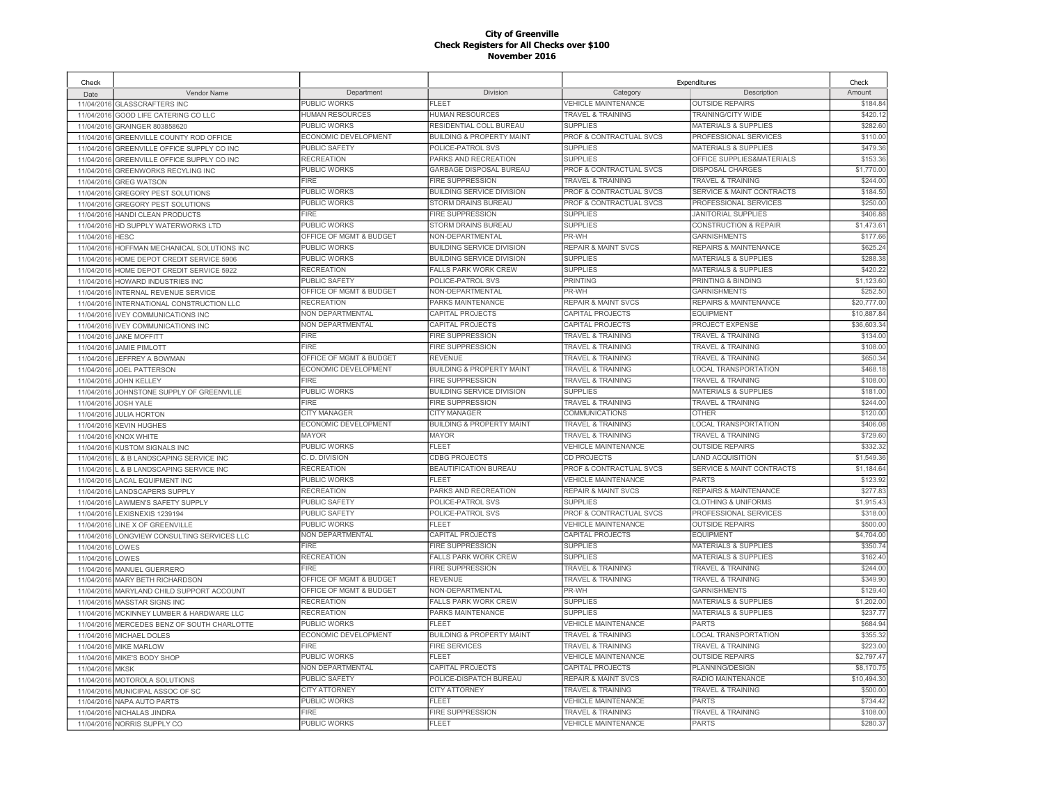| Check      |                                       |                             |                                      |                                    | Expenditures                     | Check       |
|------------|---------------------------------------|-----------------------------|--------------------------------------|------------------------------------|----------------------------------|-------------|
| Date       | Vendor Name                           | Department                  | <b>Division</b>                      | Category                           | Description                      | Amount      |
| 11/04/2016 | <b>GLASSCRAFTERS INC</b>              | PUBLIC WORKS                | <b>FLEET</b>                         | <b>VEHICLE MAINTENANCE</b>         | <b>OUTSIDE REPAIRS</b>           | \$184.84    |
| 11/04/2016 | GOOD LIFE CATERING CO LLC             | <b>HUMAN RESOURCES</b>      | HUMAN RESOURCES                      | <b>TRAVEL &amp; TRAINING</b>       | TRAINING/CITY WIDE               | \$420.1     |
| 11/04/2016 | GRAINGER 803858620                    | PUBLIC WORKS                | RESIDENTIAL COLL BUREAU              | <b>SUPPLIES</b>                    | <b>MATERIALS &amp; SUPPLIES</b>  | \$282.60    |
| 11/04/2016 | <b>GREENVILLE COUNTY ROD OFFICE</b>   | ECONOMIC DEVELOPMENT        | <b>BUILDING &amp; PROPERTY MAINT</b> | <b>PROF &amp; CONTRACTUAL SVCS</b> | PROFESSIONAL SERVICES            | \$110.00    |
| 11/04/2016 | GREENVILLE OFFICE SUPPLY CO INC       | <b>PUBLIC SAFETY</b>        | POLICE-PATROL SVS                    | <b>SUPPLIES</b>                    | <b>MATERIALS &amp; SUPPLIES</b>  | \$479.36    |
| 11/04/2016 | GREENVILLE OFFICE SUPPLY CO INC       | <b>RECREATION</b>           | PARKS AND RECREATION                 | <b>SUPPLIES</b>                    | OFFICE SUPPLIES&MATERIALS        | \$153.36    |
| 11/04/2016 | <b>GREENWORKS RECYLING INC</b>        | PUBLIC WORKS                | GARBAGE DISPOSAL BUREAU              | PROF & CONTRACTUAL SVCS            | <b>DISPOSAL CHARGES</b>          | \$1,770.00  |
| 11/04/2016 | <b>GREG WATSON</b>                    | FIRE                        | FIRE SUPPRESSION                     | <b>TRAVEL &amp; TRAINING</b>       | <b>TRAVEL &amp; TRAINING</b>     | \$244.00    |
| 11/04/2016 | <b>GREGORY PEST SOLUTIONS</b>         | PUBLIC WORKS                | BUILDING SERVICE DIVISION            | PROF & CONTRACTUAL SVCS            | SERVICE & MAINT CONTRACTS        | \$184.50    |
| 11/04/2016 | <b>GREGORY PEST SOLUTIONS</b>         | <b>PUBLIC WORKS</b>         | STORM DRAINS BUREAU                  | PROF & CONTRACTUAL SVCS            | PROFESSIONAL SERVICES            | \$250.00    |
| 11/04/2016 | <b>HANDI CLEAN PRODUCTS</b>           | <b>FIRE</b>                 | <b>FIRE SUPPRESSION</b>              | <b>SUPPLIES</b>                    | <b>JANITORIAL SUPPLIES</b>       | \$406.88    |
| 11/04/2016 | HD SUPPLY WATERWORKS LTD              | PUBLIC WORKS                | STORM DRAINS BUREAU                  | <b>SUPPLIES</b>                    | <b>CONSTRUCTION &amp; REPAIR</b> | \$1,473.6   |
| 11/04/2016 | <b>HESC</b>                           | OFFICE OF MGMT & BUDGET     | NON-DEPARTMENTAL                     | PR-WH                              | <b>GARNISHMENTS</b>              | \$177.66    |
| 11/04/2016 | HOFFMAN MECHANICAL SOLUTIONS INC      | PUBLIC WORKS                | BUILDING SERVICE DIVISION            | <b>REPAIR &amp; MAINT SVCS</b>     | <b>REPAIRS &amp; MAINTENANCE</b> | \$625.2     |
| 11/04/2016 | HOME DEPOT CREDIT SERVICE 5906        | PUBLIC WORKS                | <b>BUILDING SERVICE DIVISION</b>     | <b>SUPPLIES</b>                    | <b>MATERIALS &amp; SUPPLIES</b>  | \$288.38    |
| 11/04/2016 | HOME DEPOT CREDIT SERVICE 5922        | <b>RECREATION</b>           | <b>FALLS PARK WORK CREW</b>          | <b>SUPPLIES</b>                    | <b>MATERIALS &amp; SUPPLIES</b>  | \$420.22    |
| 11/04/2016 | <b>HOWARD INDUSTRIES INC</b>          | <b>PUBLIC SAFETY</b>        | POLICE-PATROL SVS                    | <b>PRINTING</b>                    | PRINTING & BINDING               | \$1,123.60  |
| 11/04/2016 | INTERNAL REVENUE SERVICE              | OFFICE OF MGMT & BUDGET     | NON-DEPARTMENTAL                     | PR-WH                              | <b>GARNISHMENTS</b>              | \$252.50    |
| 11/04/2016 | INTERNATIONAL CONSTRUCTION LLC        | <b>RECREATION</b>           | PARKS MAINTENANCE                    | <b>REPAIR &amp; MAINT SVCS</b>     | <b>REPAIRS &amp; MAINTENANCE</b> | \$20,777.00 |
| 11/04/2016 | <b>IVEY COMMUNICATIONS INC</b>        | <b>NON DEPARTMENTAL</b>     | CAPITAL PROJECTS                     | CAPITAL PROJECTS                   | <b>EQUIPMENT</b>                 | \$10,887.84 |
| 11/04/2016 | <b>IVEY COMMUNICATIONS INC</b>        | <b>NON DEPARTMENTAL</b>     | CAPITAL PROJECTS                     | CAPITAL PROJECTS                   | PROJECT EXPENSE                  | \$36,603.34 |
| 11/04/2016 | <b>JAKE MOFFITT</b>                   | FIRE                        | <b>FIRE SUPPRESSION</b>              | <b>TRAVEL &amp; TRAINING</b>       | <b>TRAVEL &amp; TRAINING</b>     | \$134.00    |
| 11/04/2016 | <b>JAMIE PIMLOTT</b>                  | <b>FIRE</b>                 | <b>FIRE SUPPRESSION</b>              | <b>TRAVEL &amp; TRAINING</b>       | <b>TRAVEL &amp; TRAINING</b>     | \$108.00    |
| 11/04/2016 | JEFFREY A BOWMAN                      | OFFICE OF MGMT & BUDGET     | REVENUE                              | <b>TRAVEL &amp; TRAINING</b>       | <b>TRAVEL &amp; TRAINING</b>     | \$650.34    |
| 11/04/2016 | <b>JOEL PATTERSON</b>                 | <b>ECONOMIC DEVELOPMENT</b> | <b>BUILDING &amp; PROPERTY MAINT</b> | <b>TRAVEL &amp; TRAINING</b>       | <b>LOCAL TRANSPORTATION</b>      | \$468.1     |
| 11/04/2016 | JOHN KELLEY                           | <b>FIRE</b>                 | <b>FIRE SUPPRESSION</b>              | <b>TRAVEL &amp; TRAINING</b>       | <b>TRAVEL &amp; TRAINING</b>     | \$108.00    |
| 11/04/2016 | <b>IOHNSTONE SUPPLY OF GREENVILLE</b> | <b>PUBLIC WORKS</b>         | <b>BUILDING SERVICE DIVISION</b>     | <b>SUPPLIES</b>                    | <b>MATERIALS &amp; SUPPLIES</b>  | \$181.00    |
| 11/04/2016 | JOSH YALE                             | <b>FIRE</b>                 | <b>FIRE SUPPRESSION</b>              | <b>TRAVEL &amp; TRAINING</b>       | <b>TRAVEL &amp; TRAINING</b>     | \$244.00    |
| 11/04/2016 | <b>JULIA HORTON</b>                   | <b>CITY MANAGER</b>         | <b>CITY MANAGER</b>                  | <b>COMMUNICATIONS</b>              | <b>OTHER</b>                     | \$120.00    |
| 11/04/2016 | <b>KEVIN HUGHES</b>                   | ECONOMIC DEVELOPMENT        | <b>BUILDING &amp; PROPERTY MAINT</b> | <b>TRAVEL &amp; TRAINING</b>       | <b>LOCAL TRANSPORTATION</b>      | \$406.08    |
| 11/04/2016 | KNOX WHITE                            | MAYOR                       | <b>MAYOR</b>                         | <b>TRAVEL &amp; TRAINING</b>       | <b>TRAVEL &amp; TRAINING</b>     | \$729.60    |
| 11/04/2016 | <b>KUSTOM SIGNALS INC</b>             | PUBLIC WORKS                | FLEET                                | <b>VEHICLE MAINTENANCE</b>         | <b>OUTSIDE REPAIRS</b>           | \$332.32    |
| 11/04/2016 | L & B LANDSCAPING SERVICE INC         | C. D. DIVISION              | <b>CDBG PROJECTS</b>                 | <b>CD PROJECTS</b>                 | <b>LAND ACQUISITION</b>          | \$1,549.36  |
| 11/04/2016 | L & B LANDSCAPING SERVICE INC         | <b>RECREATION</b>           | BEAUTIFICATION BUREAU                | PROF & CONTRACTUAL SVCS            | SERVICE & MAINT CONTRACTS        | \$1,184.64  |
| 11/04/2016 | <b>LACAL EQUIPMENT INC</b>            | PUBLIC WORKS                | <b>FLEET</b>                         | <b>VEHICLE MAINTENANCE</b>         | <b>PARTS</b>                     | \$123.92    |
| 11/04/2016 | <b>LANDSCAPERS SUPPLY</b>             | <b>RECREATION</b>           | PARKS AND RECREATION                 | <b>REPAIR &amp; MAINT SVCS</b>     | REPAIRS & MAINTENANCE            | \$277.83    |
| 11/04/2016 | <b>LAWMEN'S SAFETY SUPPLY</b>         | PUBLIC SAFETY               | POLICE-PATROL SVS                    | <b>SUPPLIES</b>                    | <b>CLOTHING &amp; UNIFORMS</b>   | \$1,915.43  |
| 11/04/2016 | LEXISNEXIS 1239194                    | <b>PUBLIC SAFETY</b>        | POLICE-PATROL SVS                    | PROF & CONTRACTUAL SVCS            | PROFESSIONAL SERVICES            | \$318.00    |
| 11/04/2016 | LINE X OF GREENVILLE                  | PUBLIC WORKS                | <b>FLEET</b>                         | <b>VEHICLE MAINTENANCE</b>         | <b>OUTSIDE REPAIRS</b>           | \$500.00    |
| 11/04/2016 | LONGVIEW CONSULTING SERVICES LLC      | NON DEPARTMENTAL            | CAPITAL PROJECTS                     | CAPITAL PROJECTS                   | <b>EQUIPMENT</b>                 | \$4,704.00  |
| 11/04/2016 | LOWES                                 | <b>FIRE</b>                 | <b>FIRE SUPPRESSION</b>              | <b>SUPPLIES</b>                    | MATERIALS & SUPPLIES             | \$350.7     |
| 11/04/2016 | LOWES                                 | <b>RECREATION</b>           | <b>FALLS PARK WORK CREW</b>          | <b>SUPPLIES</b>                    | <b>MATERIALS &amp; SUPPLIES</b>  | \$162.40    |
| 11/04/2016 | <b>MANUEL GUERRERO</b>                | FIRE                        | <b>FIRE SUPPRESSION</b>              | <b>TRAVEL &amp; TRAINING</b>       | <b>TRAVEL &amp; TRAINING</b>     | \$244.00    |
| 11/04/2016 | MARY BETH RICHARDSON                  | OFFICE OF MGMT & BUDGET     | <b>REVENUE</b>                       | <b>TRAVEL &amp; TRAINING</b>       | <b>TRAVEL &amp; TRAINING</b>     | \$349.9     |
| 11/04/2016 | MARYLAND CHILD SUPPORT ACCOUNT        | OFFICE OF MGMT & BUDGET     | NON-DEPARTMENTAL                     | PR-WH                              | <b>GARNISHMENTS</b>              | \$129.4     |
| 11/04/2016 | <b>MASSTAR SIGNS INC</b>              | <b>RECREATION</b>           | <b>FALLS PARK WORK CREW</b>          | <b>SUPPLIES</b>                    | <b>MATERIALS &amp; SUPPLIES</b>  | \$1,202.00  |
| 11/04/2016 | MCKINNEY LUMBER & HARDWARE LLC        | <b>RECREATION</b>           | PARKS MAINTENANCE                    | <b>SUPPLIES</b>                    | <b>MATERIALS &amp; SUPPLIES</b>  | \$237.77    |
| 11/04/2016 | MERCEDES BENZ OF SOUTH CHARLOTTE      | PUBLIC WORKS                | <b>FLEET</b>                         | <b>VEHICLE MAINTENANCE</b>         | <b>PARTS</b>                     | \$684.94    |
| 11/04/2016 | MICHAEL DOLES                         | ECONOMIC DEVELOPMENT        | <b>BUILDING &amp; PROPERTY MAINT</b> | <b>TRAVEL &amp; TRAINING</b>       | <b>LOCAL TRANSPORTATION</b>      | \$355.3     |
| 11/04/2016 | <b>MIKE MARLOW</b>                    | <b>FIRE</b>                 | <b>FIRE SERVICES</b>                 | <b>TRAVEL &amp; TRAINING</b>       | <b>TRAVEL &amp; TRAINING</b>     | \$223.00    |
| 11/04/2016 | MIKE'S BODY SHOP                      | PUBLIC WORKS                | <b>FLEET</b>                         | <b>VEHICLE MAINTENANCE</b>         | <b>OUTSIDE REPAIRS</b>           | \$2,797.4   |
| 11/04/2016 | <b>MKSK</b>                           | NON DEPARTMENTAL            | <b>CAPITAL PROJECTS</b>              | <b>CAPITAL PROJECTS</b>            | PLANNING/DESIGN                  | \$8,170.75  |
| 11/04/2016 | MOTOROLA SOLUTIONS                    | PUBLIC SAFETY               | POLICE-DISPATCH BUREAU               | <b>REPAIR &amp; MAINT SVCS</b>     | RADIO MAINTENANCE                | \$10,494.30 |
| 11/04/2016 | MUNICIPAL ASSOC OF SC                 | CITY ATTORNEY               | <b>CITY ATTORNEY</b>                 | <b>TRAVEL &amp; TRAINING</b>       | <b>TRAVEL &amp; TRAINING</b>     | \$500.00    |
| 11/04/2016 | NAPA AUTO PARTS                       | PUBLIC WORKS                | FLEET                                | <b>VEHICLE MAINTENANCE</b>         | <b>PARTS</b>                     | \$734.42    |
|            | 11/04/2016 NICHALAS JINDRA            | FIRF                        | FIRE SUPPRESSION                     | <b>TRAVEL &amp; TRAINING</b>       | TRAVEL & TRAINING                | \$108.00    |
|            | 11/04/2016 NORRIS SUPPLY CO           | PUBLIC WORKS                | FLEET                                | <b>VEHICLE MAINTENANCE</b>         | <b>PARTS</b>                     | \$280.37    |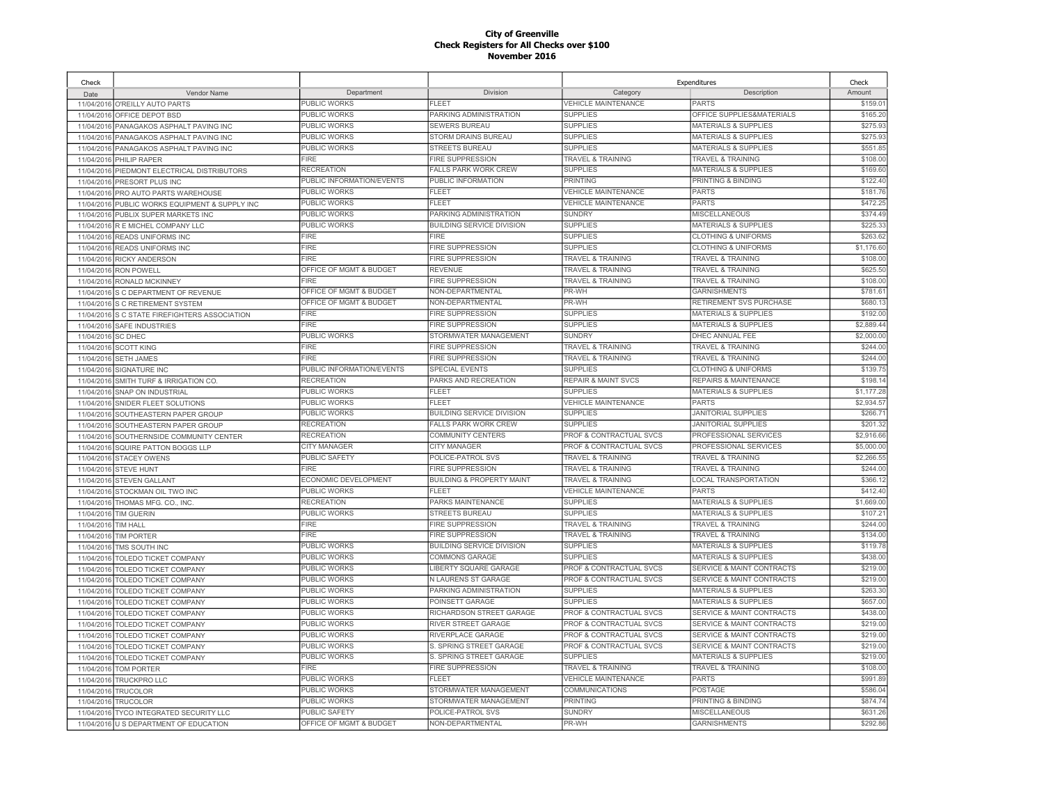| Check               |                                                |                           |                                                    |                                    | Expenditures                                                    | Check      |
|---------------------|------------------------------------------------|---------------------------|----------------------------------------------------|------------------------------------|-----------------------------------------------------------------|------------|
| Date                | Vendor Name                                    | Department                | Division                                           | Category                           | Description                                                     | Amount     |
|                     | 11/04/2016 O'REILLY AUTO PARTS                 | PUBLIC WORKS              | FI FFT                                             | <b>VEHICLE MAINTENANCE</b>         | <b>PARTS</b>                                                    | \$159.01   |
| 11/04/2016          | OFFICE DEPOT BSD                               | PUBLIC WORKS              | PARKING ADMINISTRATION                             | <b>SUPPLIES</b>                    | OFFICE SUPPLIES&MATERIALS                                       | \$165.20   |
| 11/04/2016          | PANAGAKOS ASPHALT PAVING INC                   | PUBLIC WORKS              | <b>SEWERS BUREAU</b>                               | <b>SUPPLIES</b>                    | <b>MATERIALS &amp; SUPPLIES</b>                                 | \$275.93   |
| 11/04/2016          | PANAGAKOS ASPHALT PAVING INC                   | PUBLIC WORKS              | STORM DRAINS BUREAU                                | <b>SUPPLIES</b>                    | <b>MATERIALS &amp; SUPPLIES</b>                                 | \$275.93   |
| 11/04/2016          | PANAGAKOS ASPHALT PAVING INC                   | PUBLIC WORKS              | <b>STREETS BUREAU</b>                              | <b>SUPPLIES</b>                    | <b>MATERIALS &amp; SUPPLIES</b>                                 | \$551.85   |
| 11/04/2016          | PHILIP RAPER                                   | <b>FIRE</b>               | <b>FIRE SUPPRESSION</b>                            | <b>TRAVEL &amp; TRAINING</b>       | <b>TRAVEL &amp; TRAINING</b>                                    | \$108.00   |
| 11/04/2016          | PIEDMONT ELECTRICAL DISTRIBUTORS               | <b>RECREATION</b>         | <b>FALLS PARK WORK CREW</b>                        | <b>SUPPLIES</b>                    | <b>MATERIALS &amp; SUPPLIES</b>                                 | \$169.60   |
| 11/04/2016          | PRESORT PLUS INC                               | PUBLIC INFORMATION/EVENTS | PUBLIC INFORMATION                                 | <b>PRINTING</b>                    | PRINTING & BINDING                                              | \$122.40   |
| 11/04/2016          | PRO AUTO PARTS WAREHOUSE                       | PUBLIC WORKS              | FLEET                                              | <b>VEHICLE MAINTENANCE</b>         | <b>PARTS</b>                                                    | \$181.76   |
| 11/04/2016          | PUBLIC WORKS EQUIPMENT & SUPPLY INC            | PUBLIC WORKS              | FLEET                                              | <b>VEHICLE MAINTENANCE</b>         | <b>PARTS</b>                                                    | \$472.25   |
| 11/04/2016          | PUBLIX SUPER MARKETS INC                       | <b>PUBLIC WORKS</b>       | PARKING ADMINISTRATION                             | <b>SUNDRY</b>                      | <b>MISCELLANEOUS</b>                                            | \$374.49   |
| 11/04/2016          | R E MICHEL COMPANY LLC                         | <b>PUBLIC WORKS</b>       | <b>BUILDING SERVICE DIVISION</b>                   | <b>SUPPLIES</b>                    | <b>MATERIALS &amp; SUPPLIES</b>                                 | \$225.33   |
| 11/04/2016          | <b>READS UNIFORMS INC</b>                      | <b>FIRE</b>               | <b>FIRE</b>                                        | <b>SUPPLIES</b>                    | <b>CLOTHING &amp; UNIFORMS</b>                                  | \$263.62   |
| 11/04/2016          | <b>READS UNIFORMS INC</b>                      | <b>FIRE</b>               | <b>FIRE SUPPRESSION</b>                            | <b>SUPPLIES</b>                    | <b>CLOTHING &amp; UNIFORMS</b>                                  | \$1,176.60 |
| 11/04/2016          | <b>RICKY ANDERSON</b>                          | <b>FIRE</b>               | FIRE SUPPRESSION                                   | <b>TRAVEL &amp; TRAINING</b>       | <b>TRAVEL &amp; TRAINING</b>                                    | \$108.00   |
| 11/04/2016          | <b>RON POWELL</b>                              | OFFICE OF MGMT & BUDGET   | REVENUE                                            | <b>TRAVEL &amp; TRAINING</b>       | <b>TRAVEL &amp; TRAINING</b>                                    | \$625.50   |
| 11/04/2016          | <b>RONALD MCKINNEY</b>                         | FIRE                      | FIRE SUPPRESSION                                   | <b>TRAVEL &amp; TRAINING</b>       | <b>TRAVEL &amp; TRAINING</b>                                    | \$108.00   |
| 11/04/2016          | S C DEPARTMENT OF REVENUE                      | OFFICE OF MGMT & BUDGET   | NON-DEPARTMENTAL                                   | PR-WH                              | <b>GARNISHMENTS</b>                                             | \$781.61   |
| 11/04/2016          | S C RETIREMENT SYSTEM                          | OFFICE OF MGMT & BUDGET   | NON-DEPARTMENTAL                                   | PR-WH                              | <b>RETIREMENT SVS PURCHASE</b>                                  | \$680.13   |
|                     | 11/04/2016 S C STATE FIREFIGHTERS ASSOCIATION  | FIRE                      | <b>FIRE SUPPRESSION</b>                            | <b>SUPPLIES</b>                    | <b>MATERIALS &amp; SUPPLIES</b>                                 | \$192.00   |
| 11/04/2016          | <b>SAFE INDUSTRIES</b>                         | <b>FIRE</b>               | <b>FIRE SUPPRESSION</b>                            | <b>SUPPLIES</b>                    | <b>MATERIALS &amp; SUPPLIES</b>                                 | \$2,889.44 |
| 11/04/2016          | <b>SC DHEC</b>                                 | PUBLIC WORKS              | STORMWATER MANAGEMENT                              | <b>SUNDRY</b>                      | DHEC ANNUAL FEE                                                 | \$2,000.00 |
| 11/04/2016          | <b>SCOTT KING</b>                              | <b>FIRE</b>               | <b>FIRE SUPPRESSION</b>                            | <b>TRAVEL &amp; TRAINING</b>       | <b>TRAVEL &amp; TRAINING</b>                                    | \$244.00   |
| 11/04/2016          | <b>SETH JAMES</b>                              | <b>FIRE</b>               | <b>FIRE SUPPRESSION</b>                            | <b>TRAVEL &amp; TRAINING</b>       | <b>TRAVEL &amp; TRAINING</b>                                    | \$244.00   |
| 11/04/2016          | SIGNATURE INC                                  | PUBLIC INFORMATION/EVENTS | <b>SPECIAL EVENTS</b>                              | <b>SUPPLIES</b>                    | <b>CLOTHING &amp; UNIFORMS</b>                                  | \$139.75   |
| 11/04/2016          | SMITH TURF & IRRIGATION CO.                    | <b>RECREATION</b>         | PARKS AND RECREATION                               | <b>REPAIR &amp; MAINT SVCS</b>     | <b>REPAIRS &amp; MAINTENANCE</b>                                | \$198.14   |
| 11/04/2016          | <b>SNAP ON INDUSTRIAL</b>                      | PUBLIC WORKS              | <b>FLEET</b>                                       | <b>SUPPLIES</b>                    | <b>MATERIALS &amp; SUPPLIES</b>                                 | \$1,177.28 |
| 11/04/2016          | SNIDER FLEET SOLUTIONS                         | PUBLIC WORKS              | FI FFT                                             | <b>VEHICLE MAINTENANCE</b>         | <b>PARTS</b>                                                    | \$2.934.5  |
| 11/04/2016          | SOUTHEASTERN PAPER GROUP                       | PUBLIC WORKS              | <b>BUILDING SERVICE DIVISION</b>                   | <b>SUPPLIES</b>                    | <b>JANITORIAL SUPPLIES</b>                                      | \$266.7'   |
| 11/04/2016          | SOUTHEASTERN PAPER GROUP                       | <b>RECREATION</b>         | <b>FALLS PARK WORK CREW</b>                        | <b>SUPPLIES</b>                    | <b>JANITORIAL SUPPLIES</b>                                      | \$201.32   |
| 11/04/2016          | SOUTHERNSIDE COMMUNITY CENTER                  | <b>RECREATION</b>         | <b>COMMUNITY CENTERS</b>                           | PROF & CONTRACTUAL SVCS            | PROFESSIONAL SERVICES                                           | \$2,916.66 |
| 11/04/2016          | SQUIRE PATTON BOGGS LLP                        | <b>CITY MANAGER</b>       | <b>CITY MANAGER</b>                                | PROF & CONTRACTUAL SVCS            | PROFESSIONAL SERVICES                                           | \$5,000.00 |
| 11/04/2016          | <b>STACEY OWENS</b>                            | <b>PUBLIC SAFETY</b>      | POLICE-PATROL SVS                                  | <b>TRAVEL &amp; TRAINING</b>       | TRAVEL & TRAINING                                               | \$2,266.55 |
| 11/04/2016          | <b>STEVE HUNT</b>                              | <b>FIRE</b>               | <b>FIRE SUPPRESSION</b>                            | <b>TRAVEL &amp; TRAINING</b>       | <b>TRAVEL &amp; TRAINING</b>                                    | \$244.00   |
|                     | 11/04/2016 STEVEN GALLANT                      | ECONOMIC DEVELOPMENT      | <b>BUILDING &amp; PROPERTY MAINT</b>               | <b>TRAVEL &amp; TRAINING</b>       | LOCAL TRANSPORTATION                                            | \$366.12   |
| 11/04/2016          | STOCKMAN OIL TWO INC                           | <b>PUBLIC WORKS</b>       | <b>FLEET</b>                                       | <b>VEHICLE MAINTENANCE</b>         | <b>PARTS</b>                                                    | \$412.40   |
| 11/04/2016          | THOMAS MFG. CO., INC.                          | <b>RECREATION</b>         | PARKS MAINTENANCE                                  | <b>SUPPLIES</b>                    | <b>MATERIALS &amp; SUPPLIES</b>                                 | \$1,669.00 |
| 11/04/2016          | <b>TIM GUERIN</b>                              | PUBLIC WORKS              | <b>STREETS BUREAU</b>                              | <b>SUPPLIES</b>                    | <b>MATERIALS &amp; SUPPLIES</b>                                 | \$107.21   |
| 11/04/2016 TIM HALL |                                                | FIRE                      | <b>FIRE SUPPRESSION</b>                            | <b>TRAVEL &amp; TRAINING</b>       | <b>TRAVEL &amp; TRAINING</b>                                    | \$244.00   |
| 11/04/2016          | <b>TIM PORTER</b>                              | <b>FIRE</b>               | <b>FIRE SUPPRESSION</b>                            | TRAVEL & TRAINING                  | <b>TRAVEL &amp; TRAINING</b>                                    | \$134.00   |
| 11/04/2016          | TMS SOUTH INC                                  | <b>PUBLIC WORKS</b>       | <b>BUILDING SERVICE DIVISION</b>                   | <b>SUPPLIES</b>                    | <b>MATERIALS &amp; SUPPLIES</b>                                 | \$119.78   |
| 11/04/2016          |                                                | PUBLIC WORKS              | COMMONS GARAGE                                     | <b>SUPPLIES</b>                    | MATERIALS & SUPPLIES                                            | \$438.00   |
| 11/04/2016          | TOLEDO TICKET COMPANY<br>TOLEDO TICKET COMPANY | PUBLIC WORKS              | <b>IBERTY SQUARE GARAGE</b>                        | PROF & CONTRACTUAL SVCS            | <b>SERVICE &amp; MAINT CONTRACTS</b>                            | \$219.00   |
|                     |                                                | <b>PUBLIC WORKS</b>       | <b>N LAURENS ST GARAGE</b>                         | PROF & CONTRACTUAL SVCS            | <b>SERVICE &amp; MAINT CONTRACTS</b>                            | \$219.00   |
| 11/04/2016          | TOLEDO TICKET COMPANY                          | PUBLIC WORKS              | PARKING ADMINISTRATION                             | <b>SUPPLIES</b>                    | <b>MATERIALS &amp; SUPPLIES</b>                                 | \$263.30   |
| 11/04/2016          | TOLEDO TICKET COMPANY                          | PUBLIC WORKS              | POINSETT GARAGE                                    | <b>SUPPLIES</b>                    | <b>MATERIALS &amp; SUPPLIES</b>                                 | \$657.00   |
| 11/04/2016          | TOLEDO TICKET COMPANY                          | PUBLIC WORKS              | RICHARDSON STREET GARAGE                           | PROF & CONTRACTUAL SVCS            | <b>SERVICE &amp; MAINT CONTRACTS</b>                            | \$438.00   |
| 11/04/2016          | <b>TOLEDO TICKET COMPANY</b>                   | <b>PUBLIC WORKS</b>       | RIVER STREET GARAGE                                | <b>PROF &amp; CONTRACTUAL SVCS</b> | <b>SERVICE &amp; MAINT CONTRACTS</b>                            | \$219.00   |
| 11/04/2016          | TOLEDO TICKET COMPANY                          | PUBLIC WORKS              | RIVERPLACE GARAGE                                  | PROF & CONTRACTUAL SVCS            | <b>SERVICE &amp; MAINT CONTRACTS</b>                            | \$219.00   |
| 11/04/2016          | <b>TOLEDO TICKET COMPANY</b>                   | PUBLIC WORKS              | S. SPRING STREET GARAGE                            | PROF & CONTRACTUAL SVCS            | <b>SERVICE &amp; MAINT CONTRACTS</b>                            | \$219.00   |
| 11/04/2016          | TOLEDO TICKET COMPANY                          | <b>PUBLIC WORKS</b>       |                                                    | <b>SUPPLIES</b>                    |                                                                 | \$219.00   |
|                     | 11/04/2016 TOLEDO TICKET COMPANY               | <b>FIRE</b>               | S. SPRING STREET GARAGE<br><b>FIRE SUPPRESSION</b> |                                    | <b>MATERIALS &amp; SUPPLIES</b><br><b>TRAVEL &amp; TRAINING</b> | \$108.00   |
| 11/04/2016          | <b>TOM PORTER</b>                              |                           | FI FFT                                             | <b>TRAVEL &amp; TRAINING</b>       |                                                                 |            |
|                     | 11/04/2016 TRUCKPRO LLC                        | PUBLIC WORKS              |                                                    | <b>VEHICLE MAINTENANCE</b>         | <b>PARTS</b>                                                    | \$991.89   |
| 11/04/2016          | <b>TRUCOLOR</b>                                | PUBLIC WORKS              | STORMWATER MANAGEMENT                              | COMMUNICATIONS                     | <b>POSTAGE</b>                                                  | \$586.04   |
| 11/04/2016          | <b>TRUCOLOR</b>                                | PUBLIC WORKS              | STORMWATER MANAGEMENT                              | <b>PRINTING</b>                    | PRINTING & BINDING                                              | \$874.74   |
|                     | 11/04/2016 TYCO INTEGRATED SECURITY LLC        | <b>PUBLIC SAFETY</b>      | POLICE-PATROL SVS                                  | <b>SUNDRY</b>                      | <b>MISCELLANEOUS</b>                                            | \$631.26   |
|                     | 11/04/2016 U S DEPARTMENT OF EDUCATION         | OFFICE OF MGMT & BUDGET   | NON-DEPARTMENTAL                                   | PR-WH                              | <b>GARNISHMENTS</b>                                             | \$292.86   |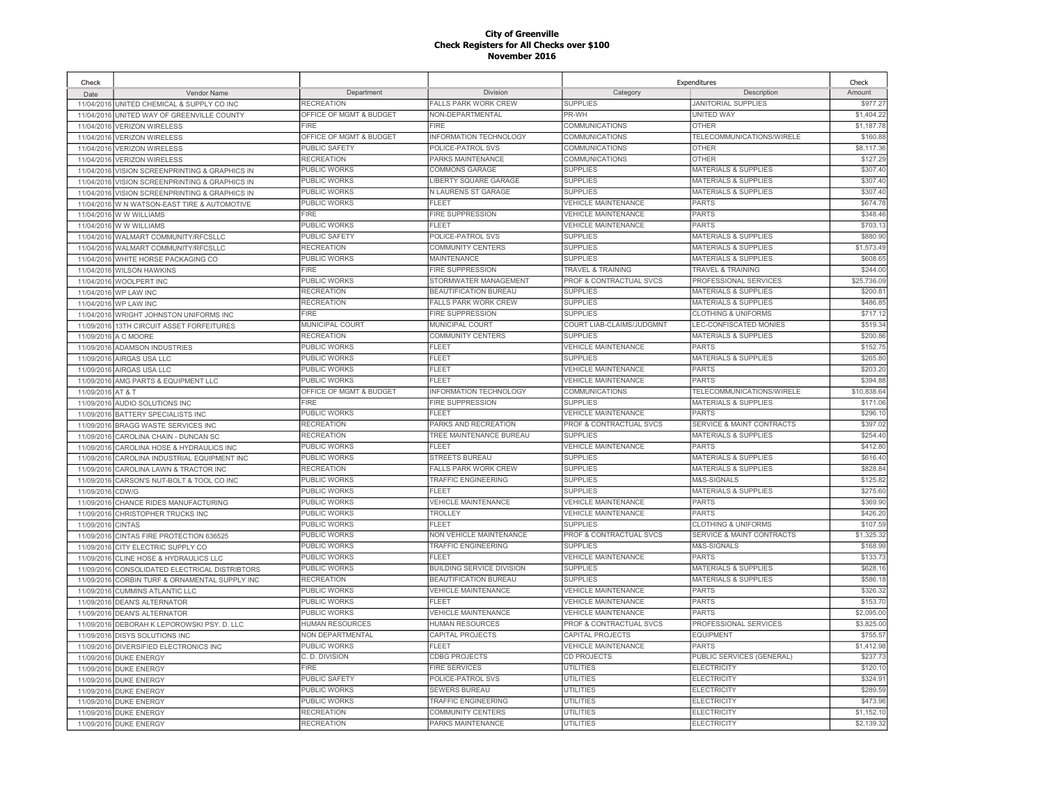| Check      |                                            |                         |                                  |                                    | Expenditures                         | Check       |
|------------|--------------------------------------------|-------------------------|----------------------------------|------------------------------------|--------------------------------------|-------------|
| Date       | Vendor Name                                | Department              | Division                         | Category                           | Description                          | Amount      |
|            | 11/04/2016 UNITED CHEMICAL & SUPPLY CO INC | <b>RECREATION</b>       | <b>FALLS PARK WORK CREW</b>      | <b>SUPPLIES</b>                    | <b>JANITORIAL SUPPLIES</b>           | \$977.27    |
| 11/04/2016 | UNITED WAY OF GREENVILLE COUNTY            | OFFICE OF MGMT & BUDGET | NON-DEPARTMENTAL                 | PR-WH                              | <b>UNITED WAY</b>                    | \$1,404.22  |
| 11/04/2016 | <b>VERIZON WIRELESS</b>                    | <b>FIRF</b>             | FIRF                             | COMMUNICATIONS                     | <b>OTHER</b>                         | \$1,187.78  |
| 11/04/2016 | <b>VERIZON WIRELESS</b>                    | OFFICE OF MGMT & BUDGET | INFORMATION TECHNOLOGY           | COMMUNICATIONS                     | TELECOMMUNICATIONS/WIRELE            | \$160.88    |
| 11/04/2016 | <b>VERIZON WIRELESS</b>                    | PUBLIC SAFETY           | POLICE-PATROL SVS                | COMMUNICATIONS                     | <b>OTHER</b>                         | \$8,117.36  |
| 11/04/2016 | <b>VERIZON WIRELESS</b>                    | <b>RECREATION</b>       | PARKS MAINTENANCE                | <b>COMMUNICATIONS</b>              | <b>OTHER</b>                         | \$127.29    |
| 11/04/2016 | VISION SCREENPRINTING & GRAPHICS IN        | PUBLIC WORKS            | COMMONS GARAGE                   | <b>SUPPLIES</b>                    | <b>MATERIALS &amp; SUPPLIES</b>      | \$307.40    |
| 11/04/2016 | VISION SCREENPRINTING & GRAPHICS IN        | PUBLIC WORKS            | LIBERTY SQUARE GARAGE            | <b>SUPPLIES</b>                    | <b>MATERIALS &amp; SUPPLIES</b>      | \$307.40    |
| 11/04/2016 | VISION SCREENPRINTING & GRAPHICS IN        | PUBLIC WORKS            | N LAURENS ST GARAGE              | <b>SUPPLIES</b>                    | <b>MATERIALS &amp; SUPPLIES</b>      | \$307.40    |
| 11/04/2016 | W N WATSON-EAST TIRE & AUTOMOTIVE          | <b>PUBLIC WORKS</b>     | <b>FLEET</b>                     | <b>VEHICLE MAINTENANCE</b>         | <b>PARTS</b>                         | \$674.78    |
| 11/04/2016 | W W WILLIAMS                               | <b>FIRE</b>             | <b>FIRE SUPPRESSION</b>          | <b>VEHICLE MAINTENANCE</b>         | <b>PARTS</b>                         | \$348.46    |
| 11/04/2016 | <b>WWWWILLIAMS</b>                         | PUBLIC WORKS            | <b>FLEET</b>                     | <b>VEHICLE MAINTENANCE</b>         | <b>PARTS</b>                         | \$703.1     |
| 11/04/2016 | WALMART COMMUNITY/RFCSLLC                  | PUBLIC SAFETY           | POLICE-PATROL SVS                | <b>SUPPLIES</b>                    | <b>MATERIALS &amp; SUPPLIES</b>      | \$880.90    |
| 11/04/2016 | WALMART COMMUNITY/RFCSLLC                  | <b>RECREATION</b>       | COMMUNITY CENTERS                | <b>SUPPLIES</b>                    | <b>MATERIALS &amp; SUPPLIES</b>      | \$1,573.49  |
| 11/04/2016 | WHITE HORSE PACKAGING CO                   | PUBLIC WORKS            | <b>MAINTENANCE</b>               | <b>SUPPLIES</b>                    | <b>MATERIALS &amp; SUPPLIES</b>      | \$608.65    |
| 11/04/2016 | <b>WILSON HAWKINS</b>                      | <b>FIRE</b>             | <b>FIRE SUPPRESSION</b>          | <b>TRAVEL &amp; TRAINING</b>       | <b>TRAVEL &amp; TRAINING</b>         | \$244.00    |
| 11/04/2016 | WOOLPERT INC                               | PUBLIC WORKS            | STORMWATER MANAGEMENT            | PROF & CONTRACTUAL SVCS            | PROFESSIONAL SERVICES                | \$25,736.0  |
|            | 11/04/2016 WP LAW INC                      | <b>RECREATION</b>       | BEAUTIFICATION BUREAU            | <b>SUPPLIES</b>                    | <b>MATERIALS &amp; SUPPLIES</b>      | \$200.8     |
| 11/04/2016 | WP LAW INC                                 | <b>RECREATION</b>       | <b>FALLS PARK WORK CREW</b>      | <b>SUPPLIES</b>                    | <b>MATERIALS &amp; SUPPLIES</b>      | \$486.85    |
| 11/04/2016 | WRIGHT JOHNSTON UNIFORMS INC               | <b>FIRE</b>             | <b>FIRE SUPPRESSION</b>          | <b>SUPPLIES</b>                    | <b>CLOTHING &amp; UNIFORMS</b>       | \$717.12    |
| 11/09/2016 | 13TH CIRCUIT ASSET FORFEITURES             | MUNICIPAL COURT         | MUNICIPAL COURT                  | COURT LIAB-CLAIMS/JUDGMNT          | LEC-CONFISCATED MONIES               | \$519.3     |
| 11/09/2016 | A C MOORE                                  | <b>RECREATION</b>       | COMMUNITY CENTERS                | <b>SUPPLIES</b>                    | <b>MATERIALS &amp; SUPPLIES</b>      | \$200.86    |
| 11/09/2016 | <b>ADAMSON INDUSTRIES</b>                  | <b>PUBLIC WORKS</b>     | <b>FLEET</b>                     | <b>VEHICLE MAINTENANCE</b>         | <b>PARTS</b>                         | \$152.75    |
| 11/09/2016 | AIRGAS USA LLC                             | PUBLIC WORKS            | FLEET                            | <b>SUPPLIES</b>                    | <b>MATERIALS &amp; SUPPLIES</b>      | \$265.80    |
| 11/09/2016 | AIRGAS USA LLC                             | PUBLIC WORKS            | FLEET                            | <b>VEHICLE MAINTENANCE</b>         | <b>PARTS</b>                         | \$203.20    |
| 11/09/2016 | AMG PARTS & EQUIPMENT LLC                  | <b>PUBLIC WORKS</b>     | FLEET                            | <b>VEHICLE MAINTENANCE</b>         | PARTS                                | \$394.88    |
| 11/09/2016 | <b>AT &amp; T</b>                          | OFFICE OF MGMT & BUDGET | <b>INFORMATION TECHNOLOGY</b>    | <b>COMMUNICATIONS</b>              | TELECOMMUNICATIONS/WIRELE            | \$10,838.64 |
| 11/09/2016 | AUDIO SOLUTIONS INC                        | <b>FIRE</b>             | <b>FIRE SUPPRESSION</b>          | <b>SUPPLIES</b>                    | <b>MATERIALS &amp; SUPPLIES</b>      | \$171.06    |
| 11/09/2016 | BATTERY SPECIALISTS INC                    | PUBLIC WORKS            | <b>FLEET</b>                     | <b>VEHICLE MAINTENANCE</b>         | PARTS                                | \$296.1     |
| 11/09/2016 | BRAGG WASTE SERVICES INC                   | <b>RECREATION</b>       | PARKS AND RECREATION             | <b>PROF &amp; CONTRACTUAL SVCS</b> | <b>SERVICE &amp; MAINT CONTRACTS</b> | \$397.02    |
| 11/09/2016 | CAROLINA CHAIN - DUNCAN SC                 | <b>RECREATION</b>       | TREE MAINTENANCE BUREAU          | <b>SUPPLIES</b>                    | <b>MATERIALS &amp; SUPPLIES</b>      | \$254.40    |
| 11/09/2016 | CAROLINA HOSE & HYDRAULICS INC             | PUBLIC WORKS            | FLEET                            | <b>VEHICLE MAINTENANCE</b>         | <b>PARTS</b>                         | \$412.80    |
| 11/09/2016 | CAROLINA INDUSTRIAL EQUIPMENT INC          | PUBLIC WORKS            | <b>STREETS BUREAU</b>            | <b>SUPPLIES</b>                    | <b>MATERIALS &amp; SUPPLIES</b>      | \$616.40    |
| 11/09/2016 | CAROLINA LAWN & TRACTOR INC                | <b>RECREATION</b>       | <b>FALLS PARK WORK CREW</b>      | <b>SUPPLIES</b>                    | <b>MATERIALS &amp; SUPPLIES</b>      | \$828.84    |
| 11/09/2016 | CARSON'S NUT-BOLT & TOOL CO INC            | <b>PUBLIC WORKS</b>     | <b>TRAFFIC ENGINEERING</b>       | <b>SUPPLIES</b>                    | M&S-SIGNALS                          | \$125.82    |
| 11/09/2016 | CDW/G                                      | PUBLIC WORKS            | FLEET                            | <b>SUPPLIES</b>                    | <b>MATERIALS &amp; SUPPLIES</b>      | \$275.60    |
| 11/09/2016 | CHANCE RIDES MANUFACTURING                 | PUBLIC WORKS            | <b>VEHICLE MAINTENANCE</b>       | <b>VEHICLE MAINTENANCE</b>         | <b>PARTS</b>                         | \$369.90    |
| 11/09/2016 | CHRISTOPHER TRUCKS INC                     | <b>PUBLIC WORKS</b>     | <b>TROLLEY</b>                   | <b>VEHICLE MAINTENANCE</b>         | <b>PARTS</b>                         | \$426.20    |
| 11/09/2016 | <b>CINTAS</b>                              | <b>PUBLIC WORKS</b>     | <b>FLEET</b>                     | <b>SUPPLIES</b>                    | <b>CLOTHING &amp; UNIFORMS</b>       | \$107.59    |
| 11/09/2016 | CINTAS FIRE PROTECTION 636525              | PUBLIC WORKS            | NON VEHICLE MAINTENANCE          | PROF & CONTRACTUAL SVCS            | <b>SERVICE &amp; MAINT CONTRACTS</b> | \$1,325.32  |
| 11/09/2016 | CITY ELECTRIC SUPPLY CO                    | PUBLIC WORKS            | <b>TRAFFIC ENGINEERING</b>       | <b>SUPPLIES</b>                    | M&S-SIGNALS                          | \$168.99    |
| 11/09/2016 | CLINE HOSE & HYDRAULICS LLC                | PUBLIC WORKS            | FI FFT                           | <b>VEHICLE MAINTENANCE</b>         | <b>PARTS</b>                         | \$133.73    |
| 11/09/2016 | CONSOLIDATED ELECTRICAL DISTRIBTORS        | PUBLIC WORKS            | <b>BUILDING SERVICE DIVISION</b> | <b>SUPPLIES</b>                    | <b>MATERIALS &amp; SUPPLIES</b>      | \$628.16    |
| 11/09/2016 | CORBIN TURF & ORNAMENTAL SUPPLY INC        | <b>RECREATION</b>       | BEAUTIFICATION BUREAU            | <b>SUPPLIES</b>                    | <b>MATERIALS &amp; SUPPLIES</b>      | \$586.1     |
| 11/09/2016 | <b>CUMMINS ATLANTIC LLC</b>                | PUBLIC WORKS            | <b>VEHICLE MAINTENANCE</b>       | <b>VEHICLE MAINTENANCE</b>         | <b>PARTS</b>                         | \$326.32    |
| 11/09/2016 | <b>DEAN'S ALTERNATOR</b>                   | PUBLIC WORKS            | <b>FLEET</b>                     | <b>VEHICLE MAINTENANCE</b>         | <b>PARTS</b>                         | \$153.70    |
| 11/09/2016 | <b>DEAN'S ALTERNATOR</b>                   | PUBLIC WORKS            | <b>VEHICLE MAINTENANCE</b>       | <b>VEHICLE MAINTENANCE</b>         | <b>PARTS</b>                         | \$2,095.00  |
| 11/09/2016 | DEBORAH K LEPOROWSKI PSY. D. LLC           | <b>HUMAN RESOURCES</b>  | <b>HUMAN RESOURCES</b>           | PROF & CONTRACTUAL SVCS            | PROFESSIONAL SERVICES                | \$3,825.00  |
| 11/09/2016 | <b>DISYS SOLUTIONS INC</b>                 | NON DEPARTMENTAL        | CAPITAL PROJECTS                 | CAPITAL PROJECTS                   | <b>EQUIPMENT</b>                     | \$755.57    |
| 11/09/2016 | DIVERSIFIED ELECTRONICS INC                | PUBLIC WORKS            | FL FET                           | <b>VEHICLE MAINTENANCE</b>         | <b>PARTS</b>                         | \$1,412.98  |
| 11/09/2016 | <b>DUKE ENERGY</b>                         | C. D. DIVISION          | <b>CDBG PROJECTS</b>             | CD PROJECTS                        | PUBLIC SERVICES (GENERAL)            | \$237.73    |
| 11/09/2016 | <b>DUKE ENERGY</b>                         | <b>FIRE</b>             | <b>FIRE SERVICES</b>             | UTILITIES                          | <b>ELECTRICITY</b>                   | \$120.10    |
| 11/09/2016 | <b>DUKE ENERGY</b>                         | <b>PUBLIC SAFETY</b>    | POLICE-PATROL SVS                | <b>UTILITIES</b>                   | <b>ELECTRICITY</b>                   | \$324.9     |
| 11/09/2016 | <b>DUKE ENERGY</b>                         | <b>PUBLIC WORKS</b>     | <b>SEWERS BUREAU</b>             | UTILITIES                          | ELECTRICITY                          | \$289.59    |
| 11/09/2016 | <b>DUKE ENERGY</b>                         | <b>PUBLIC WORKS</b>     | TRAFFIC ENGINEERING              | <b>UTILITIES</b>                   | <b>ELECTRICITY</b>                   | \$473.96    |
| 11/09/2016 | <b>DUKE ENERGY</b>                         | <b>RECREATION</b>       | COMMUNITY CENTERS                | <b>UTILITIES</b>                   | ELECTRICITY                          | \$1,152.10  |
|            | 11/09/2016 DUKE ENERGY                     | <b>RECREATION</b>       | PARKS MAINTENANCE                | <b>UTILITIES</b>                   | <b>ELECTRICITY</b>                   | \$2,139.32  |
|            |                                            |                         |                                  |                                    |                                      |             |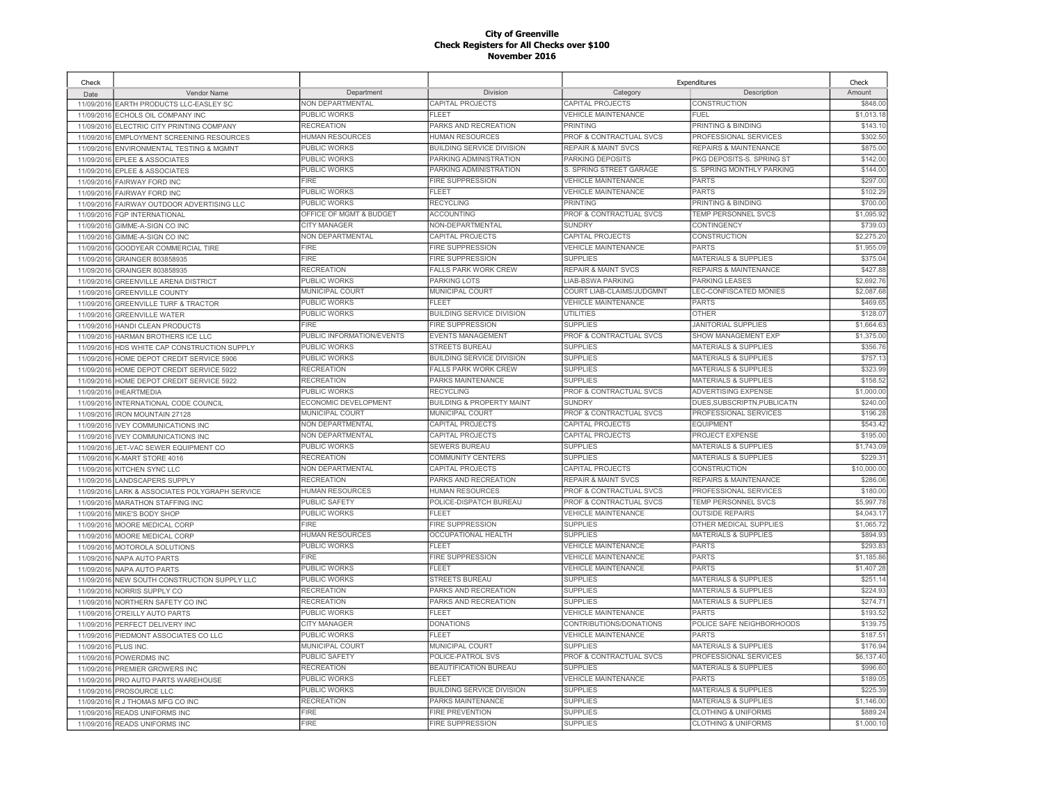| Check      |                                           |                             |                                      |                                    | Expenditures                    | Check       |
|------------|-------------------------------------------|-----------------------------|--------------------------------------|------------------------------------|---------------------------------|-------------|
| Date       | Vendor Name                               | Department                  | Division                             | Category                           | Description                     | Amount      |
|            | 11/09/2016 EARTH PRODUCTS LLC-EASLEY SC   | <b>NON DEPARTMENTAL</b>     | CAPITAL PROJECTS                     | CAPITAL PROJECTS                   | <b>CONSTRUCTION</b>             | \$848.00    |
| 11/09/2016 | ECHOLS OIL COMPANY INC                    | PUBLIC WORKS                | FLEET                                | <b>VEHICLE MAINTENANCE</b>         | FUEL                            | \$1,013.18  |
|            | 11/09/2016 ELECTRIC CITY PRINTING COMPANY | <b>RECREATION</b>           | PARKS AND RECREATION                 | PRINTING                           | PRINTING & BINDING              | \$143.1     |
| 11/09/2016 | EMPLOYMENT SCREENING RESOURCES            | <b>HUMAN RESOURCES</b>      | <b>HUMAN RESOURCES</b>               | <b>PROF &amp; CONTRACTUAL SVCS</b> | PROFESSIONAL SERVICES           | \$302.50    |
|            | 11/09/2016 ENVIRONMENTAL TESTING & MGMNT  | <b>PUBLIC WORKS</b>         | <b>BUILDING SERVICE DIVISION</b>     | <b>REPAIR &amp; MAINT SVCS</b>     | REPAIRS & MAINTENANCE           | \$875.00    |
| 11/09/2016 | EPLEE & ASSOCIATES                        | PUBLIC WORKS                | PARKING ADMINISTRATION               | PARKING DEPOSITS                   | PKG DEPOSITS-S. SPRING ST       | \$142.00    |
| 11/09/2016 | <b>EPLEE &amp; ASSOCIATES</b>             | <b>PUBLIC WORKS</b>         | PARKING ADMINISTRATION               | S. SPRING STREET GARAGE            | S. SPRING MONTHLY PARKING       | \$144.00    |
| 11/09/2016 | FAIRWAY FORD INC                          | <b>FIRE</b>                 | <b>FIRE SUPPRESSION</b>              | <b>VEHICLE MAINTENANCE</b>         | <b>PARTS</b>                    | \$297.00    |
| 11/09/2016 | <b>FAIRWAY FORD INC</b>                   | PUBLIC WORKS                | FLEET                                | <b>VEHICLE MAINTENANCE</b>         | <b>PARTS</b>                    | \$102.29    |
| 11/09/2016 | FAIRWAY OUTDOOR ADVERTISING LLC           | <b>PUBLIC WORKS</b>         | <b>RECYCLING</b>                     | PRINTING                           | PRINTING & BINDING              | \$700.00    |
| 11/09/2016 | FGP INTERNATIONAL                         | OFFICE OF MGMT & BUDGET     | <b>ACCOUNTING</b>                    | PROF & CONTRACTUAL SVCS            | <b>TEMP PERSONNEL SVCS</b>      | \$1,095.92  |
| 11/09/2016 | GIMME-A-SIGN CO INC                       | CITY MANAGER                | NON-DEPARTMENTAL                     | <b>SUNDRY</b>                      | CONTINGENCY                     | \$739.03    |
| 11/09/2016 | GIMME-A-SIGN CO INC                       | NON DEPARTMENTAL            | CAPITAL PROJECTS                     | CAPITAL PROJECTS                   | CONSTRUCTION                    | \$2,275.20  |
| 11/09/2016 | <b>GOODYEAR COMMERCIAL TIRE</b>           | <b>FIRE</b>                 | <b>FIRE SUPPRESSION</b>              | <b>VEHICLE MAINTENANCE</b>         | PARTS                           | \$1,955.09  |
| 11/09/2016 | GRAINGER 803858935                        | <b>FIRE</b>                 | FIRE SUPPRESSION                     | <b>SUPPLIES</b>                    | MATERIALS & SUPPLIES            | \$375.04    |
| 11/09/2016 | GRAINGER 803858935                        | <b>RECREATION</b>           | <b>FALLS PARK WORK CREW</b>          | <b>REPAIR &amp; MAINT SVCS</b>     | REPAIRS & MAINTENANCE           | \$427.88    |
| 11/09/2016 | <b>GREENVILLE ARENA DISTRICT</b>          | PUBLIC WORKS                | <b>PARKING LOTS</b>                  | <b>LIAB-BSWA PARKING</b>           | PARKING LEASES                  | \$2,692.76  |
| 11/09/2016 | <b>GREENVILLE COUNTY</b>                  | <b>MUNICIPAL COURT</b>      | <b>MUNICIPAL COURT</b>               | COURT LIAB-CLAIMS/JUDGMNT          | LEC-CONFISCATED MONIES          | \$2,087.6   |
| 11/09/2016 | <b>GREENVILLE TURF &amp; TRACTOR</b>      | PUBLIC WORKS                | FLEET                                | <b>VEHICLE MAINTENANCE</b>         | <b>PARTS</b>                    | \$469.65    |
| 11/09/2016 | <b>GREENVILLE WATER</b>                   | PUBLIC WORKS                | BUILDING SERVICE DIVISION            | <b>UTILITIES</b>                   | <b>OTHER</b>                    | \$128.07    |
| 11/09/2016 | HANDI CLEAN PRODUCTS                      | <b>FIRE</b>                 | <b>FIRE SUPPRESSION</b>              | <b>SUPPLIES</b>                    | <b>JANITORIAL SUPPLIES</b>      | \$1,664.6   |
| 11/09/2016 | HARMAN BROTHERS ICE LLC                   | PUBLIC INFORMATION/EVENTS   | <b>EVENTS MANAGEMENT</b>             | PROF & CONTRACTUAL SVCS            | <b>SHOW MANAGEMENT EXP</b>      | \$1,375.00  |
| 11/09/2016 | HDS WHITE CAP CONSTRUCTION SUPPLY         | <b>PUBLIC WORKS</b>         | <b>STREETS BUREAU</b>                | <b>SUPPLIES</b>                    | <b>MATERIALS &amp; SUPPLIES</b> | \$356.7     |
| 11/09/2016 | HOME DEPOT CREDIT SERVICE 5906            | PUBLIC WORKS                | BUILDING SERVICE DIVISION            | <b>SUPPLIES</b>                    | <b>MATERIALS &amp; SUPPLIES</b> | \$757.1     |
| 11/09/201  | HOME DEPOT CREDIT SERVICE 5922            | <b>RECREATION</b>           | <b>FALLS PARK WORK CREW</b>          | <b>SUPPLIES</b>                    | <b>MATERIALS &amp; SUPPLIES</b> | \$323.99    |
| 11/09/2016 | HOME DEPOT CREDIT SERVICE 5922            | <b>RECREATION</b>           | PARKS MAINTENANCE                    | <b>SUPPLIES</b>                    | <b>MATERIALS &amp; SUPPLIES</b> | \$158.5     |
| 11/09/201  | <b>IHEARTMEDIA</b>                        | PUBLIC WORKS                | <b>RECYCLING</b>                     | PROF & CONTRACTUAL SVCS            | ADVERTISING EXPENSE             | \$1,000.00  |
| 11/09/2016 | INTERNATIONAL CODE COUNCIL                | <b>ECONOMIC DEVELOPMENT</b> | <b>BUILDING &amp; PROPERTY MAINT</b> | <b>SUNDRY</b>                      | DUES.SUBSCRIPTN.PUBLICATN       | \$240.00    |
| 11/09/2016 | <b>IRON MOUNTAIN 27128</b>                | <b>MUNICIPAL COURT</b>      | <b>MUNICIPAL COURT</b>               | <b>PROF &amp; CONTRACTUAL SVCS</b> | PROFESSIONAL SERVICES           | \$196.28    |
| 11/09/2016 | <b>IVEY COMMUNICATIONS INC</b>            | <b>NON DEPARTMENTAL</b>     | CAPITAL PROJECTS                     | CAPITAL PROJECTS                   | <b>EQUIPMENT</b>                | \$543.42    |
| 11/09/2016 | <b>IVEY COMMUNICATIONS INC</b>            | <b>NON DEPARTMENTAL</b>     | CAPITAL PROJECTS                     | CAPITAL PROJECTS                   | PROJECT EXPENSE                 | \$195.00    |
| 11/09/2016 | JET-VAC SEWER EQUIPMENT CO                | PUBLIC WORKS                | <b>SEWERS BUREAU</b>                 | <b>SUPPLIES</b>                    | <b>MATERIALS &amp; SUPPLIES</b> | \$1,743.09  |
| 11/09/2016 | K-MART STORE 4016                         | <b>RECREATION</b>           | COMMUNITY CENTERS                    | <b>SUPPLIES</b>                    | <b>MATERIALS &amp; SUPPLIES</b> | \$229.3     |
| 11/09/2016 | KITCHEN SYNC LLC                          | <b>NON DEPARTMENTAL</b>     | CAPITAL PROJECTS                     | CAPITAL PROJECTS                   | CONSTRUCTION                    | \$10,000.00 |
| 11/09/2016 | <b>LANDSCAPERS SUPPLY</b>                 | <b>RECREATION</b>           | PARKS AND RECREATION                 | <b>REPAIR &amp; MAINT SVCS</b>     | REPAIRS & MAINTENANCE           | \$286.06    |
| 11/09/2016 | LARK & ASSOCIATES POLYGRAPH SERVICE       | <b>HUMAN RESOURCES</b>      | <b>HUMAN RESOURCES</b>               | <b>PROF &amp; CONTRACTUAL SVCS</b> | PROFESSIONAL SERVICES           | \$180.00    |
| 11/09/2016 | <b>MARATHON STAFFING INC</b>              | <b>PUBLIC SAFETY</b>        | POLICE-DISPATCH BUREAU               | PROF & CONTRACTUAL SVCS            | TEMP PERSONNEL SVCS             | \$5,997.78  |
| 11/09/2016 | MIKE'S BODY SHOP                          | <b>PUBLIC WORKS</b>         | <b>FLEET</b>                         | <b>VEHICLE MAINTENANCE</b>         | <b>OUTSIDE REPAIRS</b>          | \$4,043.1   |
| 11/09/2016 | MOORE MEDICAL CORP                        | <b>FIRE</b>                 | FIRE SUPPRESSION                     | <b>SUPPLIES</b>                    | OTHER MEDICAL SUPPLIES          | \$1,065.72  |
| 11/09/2016 | MOORE MEDICAL CORP                        | <b>HUMAN RESOURCES</b>      | <b>OCCUPATIONAL HEALTH</b>           | <b>SUPPLIES</b>                    | <b>MATERIALS &amp; SUPPLIES</b> | \$894.93    |
| 11/09/2016 | MOTOROLA SOLUTIONS                        | <b>PUBLIC WORKS</b>         | FLEET                                | <b>VEHICLE MAINTENANCE</b>         | <b>PARTS</b>                    | \$293.83    |
| 11/09/2016 | <b>NAPA AUTO PARTS</b>                    | FIRE                        | FIRE SUPPRESSION                     | <b>VEHICLE MAINTENANCE</b>         | <b>PARTS</b>                    | \$1,185.86  |
| 11/09/2016 | <b>NAPA AUTO PARTS</b>                    | PUBLIC WORKS                | FLEET                                | <b>VEHICLE MAINTENANCE</b>         | <b>PARTS</b>                    | \$1,407.28  |
| 11/09/2016 | NEW SOUTH CONSTRUCTION SUPPLY LLC         | PUBLIC WORKS                | <b>STREETS BUREAU</b>                | <b>SUPPLIES</b>                    | <b>MATERIALS &amp; SUPPLIES</b> | \$251.14    |
| 11/09/2016 | NORRIS SUPPLY CO                          | <b>RECREATION</b>           | PARKS AND RECREATION                 | <b>SUPPLIES</b>                    | <b>MATERIALS &amp; SUPPLIES</b> | \$224.93    |
| 11/09/2016 | NORTHERN SAFETY CO INC                    | <b>RECREATION</b>           | PARKS AND RECREATION                 | <b>SUPPLIES</b>                    | MATERIALS & SUPPLIES            | \$274.7'    |
| 11/09/2016 | O'REILLY AUTO PARTS                       | PUBLIC WORKS                | FLEET                                | <b>VEHICLE MAINTENANCE</b>         | <b>PARTS</b>                    | \$193.52    |
|            | 11/09/2016 PERFECT DELIVERY INC           | <b>CITY MANAGER</b>         | <b>DONATIONS</b>                     | CONTRIBUTIONS/DONATIONS            | POLICE SAFE NEIGHBORHOODS       | \$139.7     |
|            | 11/09/2016 PIEDMONT ASSOCIATES CO LLC     | PUBLIC WORKS                | FLEET                                | <b>VEHICLE MAINTENANCE</b>         | <b>PARTS</b>                    | \$187.5     |
| 11/09/2016 | PLUS INC.                                 | MUNICIPAL COURT             | MUNICIPAL COURT                      | <b>SUPPLIES</b>                    | <b>MATERIALS &amp; SUPPLIES</b> | \$176.94    |
|            | 11/09/2016 POWERDMS INC                   | <b>PUBLIC SAFETY</b>        | POLICE-PATROL SVS                    | PROF & CONTRACTUAL SVCS            | PROFESSIONAL SERVICES           | \$6,137.40  |
| 11/09/2016 | PREMIER GROWERS INC                       | <b>RECREATION</b>           | BEAUTIFICATION BUREAU                | <b>SUPPLIES</b>                    | <b>MATERIALS &amp; SUPPLIES</b> | \$996.60    |
| 11/09/2016 | PRO AUTO PARTS WAREHOUSE                  | <b>PUBLIC WORKS</b>         | FLEET                                | <b>VEHICLE MAINTENANCE</b>         | <b>PARTS</b>                    | \$189.05    |
| 11/09/2016 | PROSOURCE LLC                             | <b>PUBLIC WORKS</b>         | BUILDING SERVICE DIVISION            | <b>SUPPLIES</b>                    | <b>MATERIALS &amp; SUPPLIES</b> | \$225.39    |
| 11/09/2016 | R J THOMAS MFG CO INC                     | <b>RECREATION</b>           | PARKS MAINTENANCE                    | <b>SUPPLIES</b>                    | <b>MATERIALS &amp; SUPPLIES</b> | \$1,146.00  |
|            |                                           | <b>FIRE</b>                 | <b>FIRE PREVENTION</b>               | <b>SUPPLIES</b>                    | <b>CLOTHING &amp; UNIFORMS</b>  | \$889.24    |
| 11/09/2016 | <b>READS UNIFORMS INC</b>                 | <b>FIRE</b>                 | <b>FIRE SUPPRESSION</b>              | <b>SUPPLIES</b>                    | <b>CLOTHING &amp; UNIFORMS</b>  | \$1,000.10  |
|            | 11/09/2016 READS UNIFORMS INC             |                             |                                      |                                    |                                 |             |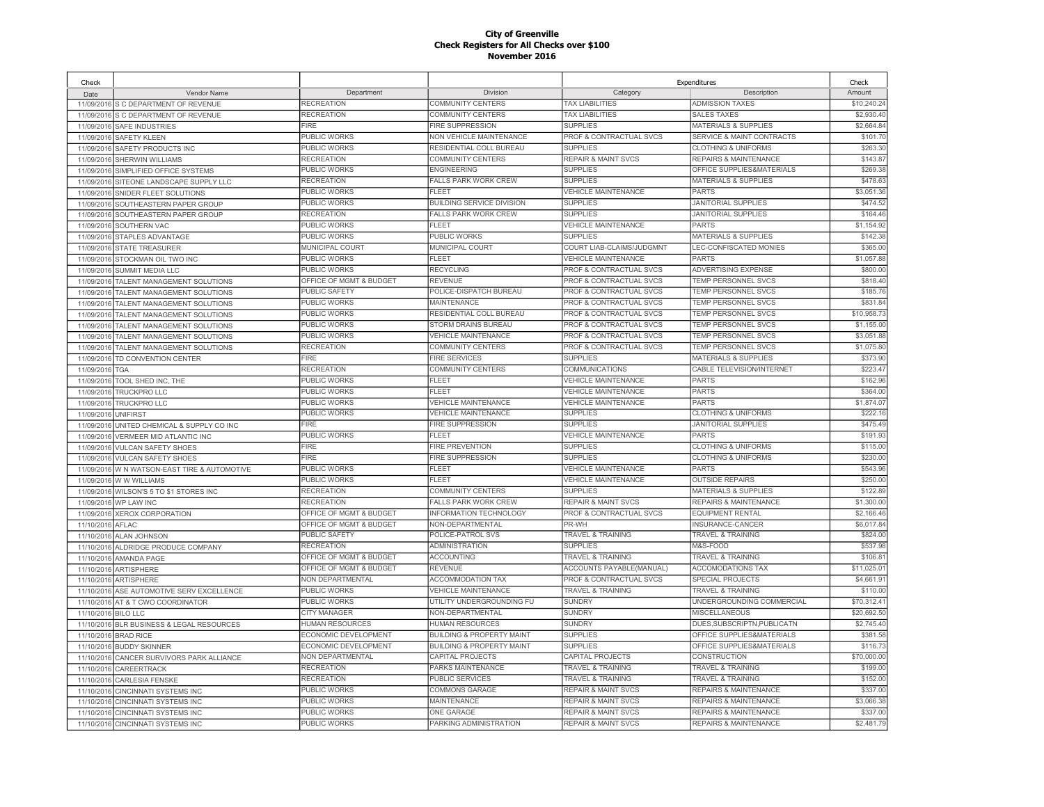| Check                    |                                                            |                             |                                                        |                                 | Expenditures                                     | Check       |
|--------------------------|------------------------------------------------------------|-----------------------------|--------------------------------------------------------|---------------------------------|--------------------------------------------------|-------------|
| Date                     | Vendor Name                                                | Department                  | Division                                               | Category                        | Description                                      | Amount      |
|                          | 11/09/2016 S C DEPARTMENT OF REVENUE                       | RECREATION                  | <b>COMMUNITY CENTERS</b>                               | <b>TAX LIABILITIES</b>          | <b>ADMISSION TAXES</b>                           | \$10.240.24 |
| 11/09/2016               | S C DEPARTMENT OF REVENUE                                  | RECREATION                  | <b>COMMUNITY CENTERS</b>                               | <b>TAX LIABILITIES</b>          | <b>SALES TAXES</b>                               | \$2,930.40  |
|                          | 11/09/2016 SAFE INDUSTRIES                                 | <b>FIRE</b>                 | <b>FIRE SUPPRESSION</b>                                | <b>SUPPLIES</b>                 | <b>MATERIALS &amp; SUPPLIES</b>                  | \$2,664.84  |
| 11/09/2016               | <b>SAFETY KLEEN</b>                                        | PUBLIC WORKS                | <b>NON VEHICLE MAINTENANCE</b>                         | PROF & CONTRACTUAL SVCS         | <b>SERVICE &amp; MAINT CONTRACTS</b>             | \$101.70    |
|                          | 11/09/2016 SAFETY PRODUCTS INC                             | PUBLIC WORKS                | RESIDENTIAL COLL BUREAU                                | <b>SUPPLIES</b>                 | <b>CLOTHING &amp; UNIFORMS</b>                   | \$263.30    |
| 11/09/2016               | SHERWIN WILLIAMS                                           | RECREATION                  | COMMUNITY CENTERS                                      | <b>REPAIR &amp; MAINT SVCS</b>  | <b>REPAIRS &amp; MAINTENANCE</b>                 | \$143.87    |
| 11/09/2016               | SIMPLIFIED OFFICE SYSTEMS                                  | PUBLIC WORKS                | <b>ENGINEERING</b>                                     | <b>SUPPLIES</b>                 | OFFICE SUPPLIES&MATERIALS                        | \$269.38    |
| 11/09/2016               | SITEONE LANDSCAPE SUPPLY LLC                               | RECREATION                  | <b>FALLS PARK WORK CREW</b>                            | <b>SUPPLIES</b>                 | <b>MATERIALS &amp; SUPPLIES</b>                  | \$478.63    |
| 11/09/2016               | SNIDER FLEET SOLUTIONS                                     | <b>PUBLIC WORKS</b>         | <b>FLEET</b>                                           | <b>VEHICLE MAINTENANCE</b>      | <b>PARTS</b>                                     | \$3,051.36  |
| 11/09/2016               | SOUTHEASTERN PAPER GROUP                                   | PUBLIC WORKS                | <b>BUILDING SERVICE DIVISION</b>                       | <b>SUPPLIES</b>                 | <b>JANITORIAL SUPPLIES</b>                       | \$474.52    |
| 11/09/2016               | SOUTHEASTERN PAPER GROUP                                   | RECREATION                  | <b>FALLS PARK WORK CREW</b>                            | <b>SUPPLIES</b>                 | <b>JANITORIAL SUPPLIES</b>                       | \$164.46    |
| 11/09/2016               | SOUTHERN VAC                                               | PUBLIC WORKS                | <b>FLEET</b>                                           | <b>VEHICLE MAINTENANCE</b>      | <b>PARTS</b>                                     | \$1,154.92  |
| 11/09/2016               | STAPLES ADVANTAGE                                          | PUBLIC WORKS                | PUBLIC WORKS                                           | <b>SUPPLIES</b>                 | MATERIALS & SUPPLIES                             | \$142.38    |
| 11/09/2016               | <b>STATE TREASURER</b>                                     | MUNICIPAL COURT             | MUNICIPAL COURT                                        | COURT LIAB-CLAIMS/JUDGMNT       | LEC-CONFISCATED MONIES                           | \$365.00    |
| 11/09/2016               | STOCKMAN OIL TWO INC                                       | PUBLIC WORKS                | <b>FLEET</b>                                           | <b>VEHICLE MAINTENANCE</b>      | PARTS                                            | \$1,057.88  |
| 11/09/2016               | <b>SUMMIT MEDIA LLC</b>                                    | <b>PUBLIC WORKS</b>         | <b>RECYCLING</b>                                       | PROF & CONTRACTUAL SVCS         | <b>ADVERTISING EXPENSE</b>                       | \$800.00    |
| 11/09/2016               | TALENT MANAGEMENT SOLUTIONS                                | OFFICE OF MGMT & BUDGET     | <b>REVENUE</b>                                         | PROF & CONTRACTUAL SVCS         | TEMP PERSONNEL SVCS                              | \$818.40    |
| 11/09/2016               | TALENT MANAGEMENT SOLUTIONS                                | PUBLIC SAFETY               | POLICE-DISPATCH BUREAU                                 | PROF & CONTRACTUAL SVCS         | <b>TEMP PERSONNEL SVCS</b>                       | \$185.76    |
| 11/09/2016               | <b>TALENT MANAGEMENT SOLUTIONS</b>                         | PUBLIC WORKS                | <b>MAINTENANCE</b>                                     | PROF & CONTRACTUAL SVCS         | <b>TEMP PERSONNEL SVCS</b>                       | \$831.84    |
| 11/09/2016               | <b>TALENT MANAGEMENT SOLUTIONS</b>                         | PUBLIC WORKS                | RESIDENTIAL COLL BUREAU                                | PROF & CONTRACTUAL SVCS         | TEMP PERSONNEL SVCS                              | \$10,958.73 |
| 11/09/2016               | TALENT MANAGEMENT SOLUTIONS                                | PUBLIC WORKS                | STORM DRAINS BUREAU                                    | PROF & CONTRACTUAL SVCS         | <b>TEMP PERSONNEL SVCS</b>                       | \$1,155.00  |
| 11/09/2016               | <b>TALENT MANAGEMENT SOLUTIONS</b>                         | PUBLIC WORKS                | <b>VEHICLE MAINTENANCE</b>                             | PROF & CONTRACTUAL SVCS         | <b>TEMP PERSONNEL SVCS</b>                       | \$3,051.88  |
| 11/09/2016               | TALENT MANAGEMENT SOLUTIONS                                | RECREATION                  | <b>COMMUNITY CENTERS</b>                               | PROF & CONTRACTUAL SVCS         | TEMP PERSONNEL SVCS                              | \$1,075.80  |
| 11/09/2016               | TD CONVENTION CENTER                                       | <b>FIRE</b>                 | <b>FIRE SERVICES</b>                                   | <b>SUPPLIES</b>                 | <b>MATERIALS &amp; SUPPLIES</b>                  | \$373.90    |
| 11/09/2016               | TGA                                                        | RECREATION                  | <b>COMMUNITY CENTERS</b>                               | COMMUNICATIONS                  | CABLE TELEVISION/INTERNET                        | \$223.47    |
| 11/09/2016               | TOOL SHED INC, THE                                         | PUBLIC WORKS                | FI FFT                                                 | <b>VEHICLE MAINTENANCE</b>      | <b>PARTS</b>                                     | \$162.96    |
| 11/09/201                | TRUCKPRO LLC                                               | PUBLIC WORKS                | FL FET                                                 | <b>VEHICLE MAINTENANCE</b>      | <b>PARTS</b>                                     | \$364.00    |
| 11/09/2016               | <b>TRUCKPRO LLC</b>                                        | PUBLIC WORKS                | <b>VEHICLE MAINTENANCE</b>                             | <b>VEHICLE MAINTENANCE</b>      | <b>PARTS</b>                                     | \$1,874.07  |
| 11/09/2016               | <b>UNIFIRST</b>                                            | PUBLIC WORKS                | <b>VEHICLE MAINTENANCE</b>                             | <b>SUPPLIES</b>                 | <b>CLOTHING &amp; UNIFORMS</b>                   | \$222.16    |
| 11/09/2016               | UNITED CHEMICAL & SUPPLY CO INC                            | <b>FIRE</b>                 | <b>FIRE SUPPRESSION</b>                                | <b>SUPPLIES</b>                 | <b>JANITORIAL SUPPLIES</b>                       | \$475.49    |
|                          |                                                            | PUBLIC WORKS                | <b>FLEET</b>                                           | <b>VEHICLE MAINTENANCE</b>      | <b>PARTS</b>                                     | \$191.93    |
| 11/09/2016               | VERMEER MID ATLANTIC INC<br>11/09/2016 VULCAN SAFETY SHOES | <b>FIRE</b>                 | FIRE PREVENTION                                        | <b>SUPPLIES</b>                 | <b>CLOTHING &amp; UNIFORMS</b>                   | \$115.00    |
| 11/09/2016               | <b>VULCAN SAFETY SHOES</b>                                 | <b>FIRE</b>                 | <b>FIRE SUPPRESSION</b>                                | <b>SUPPLIES</b>                 | <b>CLOTHING &amp; UNIFORMS</b>                   | \$230.00    |
|                          | W N WATSON-EAST TIRE & AUTOMOTIVE                          | PUBLIC WORKS                | FLEET                                                  | <b>VEHICLE MAINTENANCE</b>      | <b>PARTS</b>                                     | \$543.96    |
| 11/09/2016<br>11/09/2016 | W W WILLIAMS                                               | PUBLIC WORKS                | <b>FLEET</b>                                           | <b>VEHICLE MAINTENANCE</b>      | <b>OUTSIDE REPAIRS</b>                           | \$250.00    |
|                          |                                                            | RECREATION                  | <b>COMMUNITY CENTERS</b>                               | <b>SUPPLIES</b>                 | <b>MATERIALS &amp; SUPPLIES</b>                  | \$122.89    |
| 11/09/2016               | WILSON'S 5 TO \$1 STORES INC                               | <b>RECREATION</b>           | <b>FALLS PARK WORK CREW</b>                            | <b>REPAIR &amp; MAINT SVCS</b>  | <b>REPAIRS &amp; MAINTENANCE</b>                 | \$1,300.00  |
| 11/09/2016               | WP LAW INC                                                 | OFFICE OF MGMT & BUDGET     | <b>INFORMATION TECHNOLOGY</b>                          | PROF & CONTRACTUAL SVCS         | <b>EQUIPMENT RENTAL</b>                          | \$2,166.46  |
| 11/09/2016               | <b>XEROX CORPORATION</b>                                   | OFFICE OF MGMT & BUDGET     | NON-DEPARTMENTAL                                       | PR-WH                           | INSURANCE-CANCER                                 | \$6,017.84  |
| 11/10/2016               | AFLAC                                                      | <b>PUBLIC SAFETY</b>        | POLICE-PATROL SVS                                      | <b>TRAVEL &amp; TRAINING</b>    | TRAVEL & TRAINING                                | \$824.00    |
| 11/10/2016               | ALAN JOHNSON                                               | <b>RECREATION</b>           | <b>ADMINISTRATION</b>                                  | <b>SUPPLIES</b>                 | M&S-FOOD                                         | \$537.98    |
| 11/10/2016               | ALDRIDGE PRODUCE COMPANY                                   | OFFICE OF MGMT & BUDGET     | <b>ACCOUNTING</b>                                      | TRAVEL & TRAINING               | <b>TRAVEL &amp; TRAINING</b>                     | \$106.81    |
| 11/10/2016               | <b>AMANDA PAGE</b>                                         | OFFICE OF MGMT & BUDGET     |                                                        | <b>ACCOUNTS PAYABLE(MANUAL)</b> | <b>ACCOMODATIONS TAX</b>                         | \$11,025.01 |
|                          | 11/10/2016 ARTISPHERE                                      | NON DEPARTMENTAL            | <b>REVENUE</b>                                         | PROF & CONTRACTUAL SVCS         |                                                  | \$4,661.91  |
| 11/10/2016               | <b>ARTISPHERE</b>                                          | PUBLIC WORKS                | <b>ACCOMMODATION TAX</b><br><b>VEHICLE MAINTENANCE</b> | TRAVEL & TRAINING               | SPECIAL PROJECTS<br><b>TRAVEL &amp; TRAINING</b> | \$110.00    |
|                          | 11/10/2016 ASE AUTOMOTIVE SERV EXCELLENCE                  |                             |                                                        |                                 |                                                  |             |
|                          | 11/10/2016 AT & T CWO COORDINATOR                          | PUBLIC WORKS                | UTILITY UNDERGROUNDING FU                              | <b>SUNDRY</b>                   | UNDERGROUNDING COMMERCIAL                        | \$70,312.41 |
| 11/10/2016 BILO LLC      |                                                            | <b>CITY MANAGER</b>         | NON-DEPARTMENTAL                                       | <b>SUNDRY</b>                   | <b>MISCELLANEOUS</b>                             | \$20,692.50 |
| 11/10/2016               | BLR BUSINESS & LEGAL RESOURCES                             | HUMAN RESOURCES             | <b>HUMAN RESOURCES</b>                                 | <b>SUNDRY</b>                   | DUES, SUBSCRIPTN, PUBLICATN                      | \$2,745.40  |
|                          | 11/10/2016 BRAD RICE                                       | <b>ECONOMIC DEVELOPMENT</b> | <b>BUILDING &amp; PROPERTY MAINT</b>                   | <b>SUPPLIES</b>                 | OFFICE SUPPLIES&MATERIALS                        | \$381.58    |
| 11/10/2016               | <b>BUDDY SKINNER</b>                                       | ECONOMIC DEVELOPMENT        | <b>BUILDING &amp; PROPERTY MAINT</b>                   | <b>SUPPLIES</b>                 | OFFICE SUPPLIES&MATERIALS                        | \$116.73    |
| 11/10/2016               | CANCER SURVIVORS PARK ALLIANCE                             | NON DEPARTMENTAL            | CAPITAL PROJECTS                                       | CAPITAL PROJECTS                | CONSTRUCTION                                     | \$70,000.00 |
| 11/10/2016               | <b>CAREERTRACK</b>                                         | RECREATION                  | PARKS MAINTENANCE                                      | <b>TRAVEL &amp; TRAINING</b>    | <b>TRAVEL &amp; TRAINING</b>                     | \$199.00    |
| 11/10/2016               | <b>CARLESIA FENSKE</b>                                     | RECREATION                  | <b>PUBLIC SERVICES</b>                                 | <b>TRAVEL &amp; TRAINING</b>    | <b>TRAVEL &amp; TRAINING</b>                     | \$152.00    |
| 11/10/2016               | CINCINNATI SYSTEMS INC                                     | PUBLIC WORKS                | COMMONS GARAGE                                         | <b>REPAIR &amp; MAINT SVCS</b>  | REPAIRS & MAINTENANCE                            | \$337.00    |
| 11/10/2016               | <b>CINCINNATI SYSTEMS INC</b>                              | PUBLIC WORKS                | <b>MAINTENANCE</b>                                     | <b>REPAIR &amp; MAINT SVCS</b>  | REPAIRS & MAINTENANCE                            | \$3,066.38  |
| 11/10/2016               | <b>CINCINNATI SYSTEMS INC</b>                              | PUBLIC WORKS                | ONE GARAGE                                             | <b>REPAIR &amp; MAINT SVCS</b>  | REPAIRS & MAINTENANCE                            | \$337.00    |
|                          | 11/10/2016 CINCINNATI SYSTEMS INC                          | PUBLIC WORKS                | PARKING ADMINISTRATION                                 | <b>REPAIR &amp; MAINT SVCS</b>  | <b>REPAIRS &amp; MAINTENANCE</b>                 | \$2,481.79  |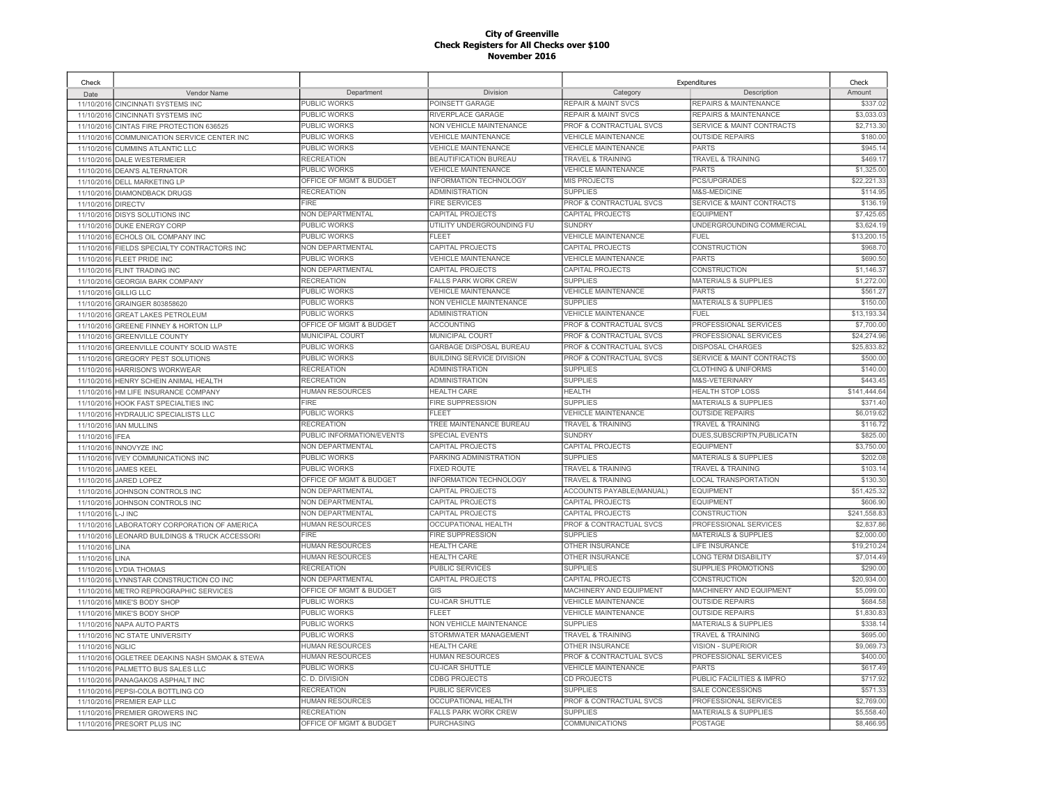| Check                    |                                             |                           |                                  |                                    | Expenditures                         | Check        |
|--------------------------|---------------------------------------------|---------------------------|----------------------------------|------------------------------------|--------------------------------------|--------------|
| Date                     | Vendor Name                                 | Department                | Division                         | Category                           | Description                          | Amount       |
| 11/10/2016               | <b>CINCINNATI SYSTEMS INC</b>               | <b>PUBLIC WORKS</b>       | POINSETT GARAGE                  | <b>REPAIR &amp; MAINT SVCS</b>     | <b>REPAIRS &amp; MAINTENANCE</b>     | \$337.02     |
| 11/10/2016               | <b>CINCINNATI SYSTEMS INC</b>               | <b>PUBLIC WORKS</b>       | RIVERPLACE GARAGE                | <b>REPAIR &amp; MAINT SVCS</b>     | REPAIRS & MAINTENANCE                | \$3,033.03   |
| 11/10/2016               | CINTAS FIRE PROTECTION 636525               | <b>PUBLIC WORKS</b>       | NON VEHICLE MAINTENANCE          | <b>PROF &amp; CONTRACTUAL SVCS</b> | <b>SERVICE &amp; MAINT CONTRACTS</b> | \$2,713.30   |
| 11/10/2016               | COMMUNICATION SERVICE CENTER INC            | <b>PUBLIC WORKS</b>       | <b>VEHICLE MAINTENANCE</b>       | <b>VEHICLE MAINTENANCE</b>         | <b>OUTSIDE REPAIRS</b>               | \$180.00     |
|                          | 11/10/2016 CUMMINS ATLANTIC LLC             | <b>PUBLIC WORKS</b>       | <b>VEHICLE MAINTENANCE</b>       | <b>VEHICLE MAINTENANCE</b>         | <b>PARTS</b>                         | \$945.14     |
| 11/10/2016               | <b>DALE WESTERMEIER</b>                     | <b>RECREATION</b>         | BEAUTIFICATION BUREAU            | TRAVEL & TRAINING                  | TRAVEL & TRAINING                    | \$469.1      |
| 11/10/2016               | <b>DEAN'S ALTERNATOR</b>                    | PUBLIC WORKS              | <b>VEHICLE MAINTENANCE</b>       | <b>VEHICLE MAINTENANCE</b>         | <b>PARTS</b>                         | \$1,325.00   |
| 11/10/2016               | DELL MARKETING LP                           | OFFICE OF MGMT & BUDGET   | INFORMATION TECHNOLOGY           | MIS PROJECTS                       | PCS/UPGRADES                         | \$22,221.33  |
| 11/10/2016               | <b>DIAMONDBACK DRUGS</b>                    | <b>RECREATION</b>         | <b>ADMINISTRATION</b>            | <b>SUPPLIES</b>                    | M&S-MEDICINE                         | \$114.95     |
| 11/10/2016               | <b>DIRECTV</b>                              | <b>FIRE</b>               | <b>FIRE SERVICES</b>             | PROF & CONTRACTUAL SVCS            | SERVICE & MAINT CONTRACTS            | \$136.19     |
| 11/10/2016               | DISYS SOLUTIONS INC                         | NON DEPARTMENTAL          | CAPITAL PROJECTS                 | CAPITAL PROJECTS                   | <b>EQUIPMENT</b>                     | \$7,425.65   |
|                          | 11/10/2016 DUKE ENERGY CORP                 | PUBLIC WORKS              | UTILITY UNDERGROUNDING FU        | <b>SUNDRY</b>                      | UNDERGROUNDING COMMERCIAL            | \$3,624.19   |
|                          | 11/10/2016 ECHOLS OIL COMPANY INC           | PUBLIC WORKS              | FLEET                            | <b>VEHICLE MAINTENANCE</b>         | <b>FUEL</b>                          | \$13,200.1   |
|                          | 11/10/2016 FIELDS SPECIALTY CONTRACTORS INC | NON DEPARTMENTAL          | CAPITAL PROJECTS                 | CAPITAL PROJECTS                   | CONSTRUCTION                         | \$968.7      |
|                          | 11/10/2016 FLEET PRIDE INC                  | PUBLIC WORKS              | <b>VEHICLE MAINTENANCE</b>       | <b>VEHICLE MAINTENANCE</b>         | PARTS                                | \$690.50     |
|                          | 11/10/2016 FLINT TRADING INC                | NON DEPARTMENTAL          | CAPITAL PROJECTS                 | CAPITAL PROJECTS                   | CONSTRUCTION                         | \$1,146.37   |
| 11/10/2016               | <b>GEORGIA BARK COMPANY</b>                 | <b>RECREATION</b>         | <b>FALLS PARK WORK CREW</b>      | <b>SUPPLIES</b>                    | <b>MATERIALS &amp; SUPPLIES</b>      | \$1,272.00   |
| 11/10/2016               | <b>GILLIG LLC</b>                           | <b>PUBLIC WORKS</b>       | <b>VEHICLE MAINTENANCE</b>       | <b>VEHICLE MAINTENANCE</b>         | <b>PARTS</b>                         | \$561.2      |
| 11/10/2016               | GRAINGER 803858620                          | PUBLIC WORKS              | NON VEHICLE MAINTENANCE          | <b>SUPPLIES</b>                    | <b>MATERIALS &amp; SUPPLIES</b>      | \$150.00     |
| 11/10/2016               | <b>GREAT LAKES PETROLEUM</b>                | <b>PUBLIC WORKS</b>       | <b>ADMINISTRATION</b>            | <b>VEHICLE MAINTENANCE</b>         | FUEL                                 | \$13,193.34  |
|                          |                                             | OFFICE OF MGMT & BUDGET   | <b>ACCOUNTING</b>                | PROF & CONTRACTUAL SVCS            | PROFESSIONAL SERVICES                | \$7,700.0    |
| 11/10/2016<br>11/10/2016 | GREENE FINNEY & HORTON LLP                  | MUNICIPAL COURT           | MUNICIPAL COURT                  | PROF & CONTRACTUAL SVCS            | PROFESSIONAL SERVICES                | \$24,274.9   |
|                          | <b>GREENVILLE COUNTY</b>                    | <b>PUBLIC WORKS</b>       | <b>GARBAGE DISPOSAL BUREAU</b>   | <b>PROF &amp; CONTRACTUAL SVCS</b> | <b>DISPOSAL CHARGES</b>              | \$25,833.82  |
| 11/10/201                | GREENVILLE COUNTY SOLID WASTE               | PUBLIC WORKS              | <b>BUILDING SERVICE DIVISION</b> | PROF & CONTRACTUAL SVCS            | <b>SERVICE &amp; MAINT CONTRACTS</b> | \$500.00     |
| 11/10/2016               | <b>GREGORY PEST SOLUTIONS</b>               | <b>RECREATION</b>         | <b>ADMINISTRATION</b>            | <b>SUPPLIES</b>                    | <b>CLOTHING &amp; UNIFORMS</b>       | \$140.0      |
| 11/10/2016               | <b>HARRISON'S WORKWEAR</b>                  |                           |                                  |                                    |                                      |              |
| 11/10/2016               | HENRY SCHEIN ANIMAL HEALTH                  | <b>RECREATION</b>         | <b>ADMINISTRATION</b>            | <b>SUPPLIES</b>                    | <b>M&amp;S-VETERINARY</b>            | \$443.45     |
| 11/10/2016               | HM LIFE INSURANCE COMPANY                   | <b>HUMAN RESOURCES</b>    | <b>HEALTH CARE</b>               | <b>HEALTH</b>                      | <b>HEALTH STOP LOSS</b>              | \$141.444.64 |
|                          | 11/10/2016 HOOK FAST SPECIALTIES INC        | <b>FIRE</b>               | FIRE SUPPRESSION                 | <b>SUPPLIES</b>                    | <b>MATERIALS &amp; SUPPLIES</b>      | \$371.40     |
| 11/10/2016               | HYDRAULIC SPECIALISTS LLC                   | PUBLIC WORKS              | FLEET                            | <b>VEHICLE MAINTENANCE</b>         | <b>OUTSIDE REPAIRS</b>               | \$6,019.62   |
|                          | 11/10/2016 IAN MULLINS                      | <b>RECREATION</b>         | <b>TREE MAINTENANCE BUREAU</b>   | <b>TRAVEL &amp; TRAINING</b>       | <b>TRAVEL &amp; TRAINING</b>         | \$116.72     |
| 11/10/2016               | <b>IFEA</b>                                 | PUBLIC INFORMATION/EVENTS | <b>SPECIAL EVENTS</b>            | <b>SUNDRY</b>                      | DUES, SUBSCRIPTN, PUBLICATN          | \$825.00     |
| 11/10/2016               | <b>INNOVYZE INC</b>                         | NON DEPARTMENTAL          | CAPITAL PROJECTS                 | CAPITAL PROJECTS                   | <b>EQUIPMENT</b>                     | \$3,750.00   |
| 11/10/2016               | <b>IVEY COMMUNICATIONS INC</b>              | PUBLIC WORKS              | PARKING ADMINISTRATION           | <b>SUPPLIES</b>                    | <b>MATERIALS &amp; SUPPLIES</b>      | \$202.0      |
| 11/10/2016               | <b>JAMES KEEL</b>                           | <b>PUBLIC WORKS</b>       | <b>FIXED ROUTE</b>               | <b>TRAVEL &amp; TRAINING</b>       | <b>TRAVEL &amp; TRAINING</b>         | \$103.1      |
| 11/10/2016               | JARED LOPEZ                                 | OFFICE OF MGMT & BUDGET   | <b>INFORMATION TECHNOLOGY</b>    | <b>TRAVEL &amp; TRAINING</b>       | <b>LOCAL TRANSPORTATION</b>          | \$130.30     |
| 11/10/2016               | JOHNSON CONTROLS INC                        | NON DEPARTMENTAL          | CAPITAL PROJECTS                 | ACCOUNTS PAYABLE(MANUAL)           | <b>EQUIPMENT</b>                     | \$51,425.32  |
| 11/10/2016               | JOHNSON CONTROLS INC                        | NON DEPARTMENTAL          | CAPITAL PROJECTS                 | CAPITAL PROJECTS                   | <b>EQUIPMENT</b>                     | \$606.90     |
| 11/10/2016               | L-J INC                                     | <b>NON DEPARTMENTAL</b>   | CAPITAL PROJECTS                 | <b>CAPITAL PROJECTS</b>            | CONSTRUCTION                         | \$241,558.83 |
| 11/10/2016               | LABORATORY CORPORATION OF AMERICA           | <b>HUMAN RESOURCES</b>    | OCCUPATIONAL HEALTH              | PROF & CONTRACTUAL SVCS            | PROFESSIONAL SERVICES                | \$2,837.86   |
| 11/10/2016               | LEONARD BUILDINGS & TRUCK ACCESSORI         | <b>FIRE</b>               | <b>FIRE SUPPRESSION</b>          | <b>SUPPLIES</b>                    | <b>MATERIALS &amp; SUPPLIES</b>      | \$2,000.00   |
| 11/10/2016               | LINA                                        | <b>HUMAN RESOURCES</b>    | <b>HEALTH CARE</b>               | OTHER INSURANCE                    | LIFE INSURANCE                       | \$19,210.24  |
| 11/10/2016               | LINA                                        | HUMAN RESOURCES           | <b>HEALTH CARE</b>               | <b>OTHER INSURANCE</b>             | <b>LONG TERM DISABILITY</b>          | \$7,014.49   |
| 11/10/2016               | <b>LYDIA THOMAS</b>                         | <b>RECREATION</b>         | PUBLIC SERVICES                  | <b>SUPPLIES</b>                    | SUPPLIES PROMOTIONS                  | \$290.00     |
|                          | 11/10/2016 LYNNSTAR CONSTRUCTION CO INC     | NON DEPARTMENTAL          | CAPITAL PROJECTS                 | CAPITAL PROJECTS                   | CONSTRUCTION                         | \$20,934.00  |
|                          | 11/10/2016 METRO REPROGRAPHIC SERVICES      | OFFICE OF MGMT & BUDGET   | GIS                              | MACHINERY AND EQUIPMENT            | MACHINERY AND EQUIPMENT              | \$5,099.00   |
| 11/10/2016               | MIKE'S BODY SHOP                            | PUBLIC WORKS              | <b>CU-ICAR SHUTTLE</b>           | <b>VEHICLE MAINTENANCE</b>         | <b>OUTSIDE REPAIRS</b>               | \$684.58     |
|                          | 11/10/2016 MIKE'S BODY SHOP                 | PUBLIC WORKS              | FLEET                            | <b>VEHICLE MAINTENANCE</b>         | <b>OUTSIDE REPAIRS</b>               | \$1,830.83   |
| 11/10/2016               | NAPA AUTO PARTS                             | PUBLIC WORKS              | NON VEHICLE MAINTENANCE          | <b>SUPPLIES</b>                    | MATERIALS & SUPPLIES                 | \$338.1      |
| 11/10/2016               | <b>NC STATE UNIVERSITY</b>                  | PUBLIC WORKS              | STORMWATER MANAGEMENT            | <b>TRAVEL &amp; TRAINING</b>       | <b>TRAVEL &amp; TRAINING</b>         | \$695.0      |
| 11/10/2016               | <b>NGLIC</b>                                | <b>HUMAN RESOURCES</b>    | <b>HEALTH CARE</b>               | OTHER INSURANCE                    | VISION - SUPERIOR                    | \$9,069.7    |
| 11/10/2016               | OGLETREE DEAKINS NASH SMOAK & STEWA         | <b>HUMAN RESOURCES</b>    | <b>HUMAN RESOURCES</b>           | PROF & CONTRACTUAL SVCS            | PROFESSIONAL SERVICES                | \$400.00     |
| 11/10/2016               | PALMETTO BUS SALES LLC                      | PUBLIC WORKS              | <b>CU-ICAR SHUTTLE</b>           | <b>VEHICLE MAINTENANCE</b>         | <b>PARTS</b>                         | \$617.49     |
| 11/10/2016               | PANAGAKOS ASPHALT INC                       | C. D. DIVISION            | <b>CDBG PROJECTS</b>             | CD PROJECTS                        | PUBLIC FACILITIES & IMPRO            | \$717.92     |
| 11/10/2016               | PEPSI-COLA BOTTLING CO                      | <b>RECREATION</b>         | <b>PUBLIC SERVICES</b>           | <b>SUPPLIES</b>                    | SALE CONCESSIONS                     | \$571.33     |
| 11/10/2016               | PREMIER EAP LLC                             | <b>HUMAN RESOURCES</b>    | OCCUPATIONAL HEALTH              | PROF & CONTRACTUAL SVCS            | PROFESSIONAL SERVICES                | \$2,769.00   |
| 11/10/2016               | PREMIER GROWERS INC                         | <b>RECREATION</b>         | <b>FALLS PARK WORK CREW</b>      | <b>SUPPLIES</b>                    | <b>MATERIALS &amp; SUPPLIES</b>      | \$5,558.40   |
|                          | 11/10/2016 PRESORT PLUS INC                 | OFFICE OF MGMT & BUDGET   | <b>PURCHASING</b>                | <b>COMMUNICATIONS</b>              | <b>POSTAGE</b>                       | \$8,466.95   |
|                          |                                             |                           |                                  |                                    |                                      |              |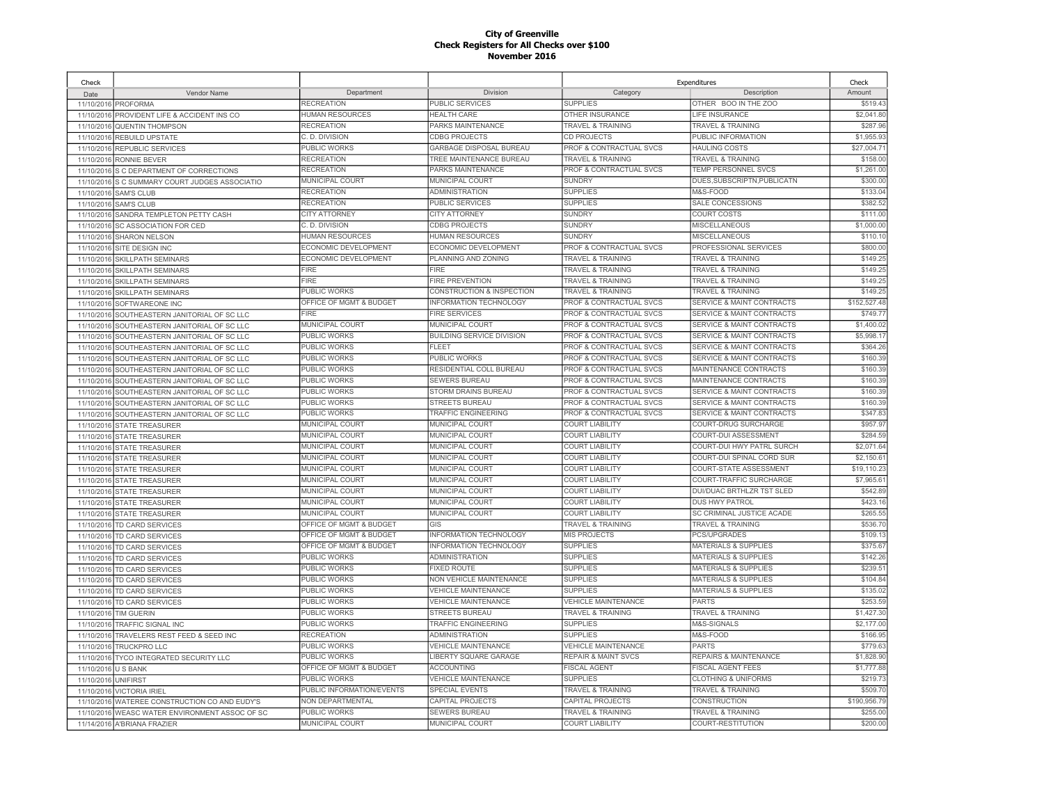| Check      |                                              |                           |                               |                                    | Expenditures                         | Check        |
|------------|----------------------------------------------|---------------------------|-------------------------------|------------------------------------|--------------------------------------|--------------|
| Date       | Vendor Name                                  | Department                | Division                      | Category                           | Description                          | Amount       |
| 11/10/2016 | PROFORMA                                     | <b>RECREATION</b>         | PUBLIC SERVICES               | <b>SUPPLIES</b>                    | OTHER BOO IN THE ZOO                 | \$519.43     |
| 11/10/2016 | PROVIDENT LIFE & ACCIDENT INS CO             | <b>HUMAN RESOURCES</b>    | <b>HEALTH CARE</b>            | <b>OTHER INSURANCE</b>             | LIFE INSURANCE                       | \$2,041.80   |
| 11/10/2016 | <b>QUENTIN THOMPSON</b>                      | <b>RECREATION</b>         | PARKS MAINTENANCE             | <b>TRAVEL &amp; TRAINING</b>       | <b>TRAVEL &amp; TRAINING</b>         | \$287.96     |
| 11/10/2016 | <b>REBUILD UPSTATE</b>                       | C. D. DIVISION            | <b>CDBG PROJECTS</b>          | CD PROJECTS                        | PUBLIC INFORMATION                   | \$1,955.93   |
| 11/10/2016 | <b>REPUBLIC SERVICES</b>                     | PUBLIC WORKS              | GARBAGE DISPOSAL BUREAU       | PROF & CONTRACTUAL SVCS            | <b>HAULING COSTS</b>                 | \$27,004.7   |
| 11/10/2016 | RONNIE BEVER                                 | <b>RECREATION</b>         | TREE MAINTENANCE BUREAU       | <b>TRAVEL &amp; TRAINING</b>       | <b>TRAVEL &amp; TRAINING</b>         | \$158.00     |
| 11/10/2016 | S C DEPARTMENT OF CORRECTIONS                | <b>RECREATION</b>         | PARKS MAINTENANCE             | PROF & CONTRACTUAL SVCS            | TEMP PERSONNEL SVCS                  | \$1,261.00   |
| 11/10/2016 | S C SUMMARY COURT JUDGES ASSOCIATIO          | MUNICIPAL COURT           | MUNICIPAL COURT               | <b>SUNDRY</b>                      | DUES, SUBSCRIPTN, PUBLICATN          | \$300.00     |
| 11/10/2016 | <b>SAM'S CLUB</b>                            | <b>RECREATION</b>         | <b>ADMINISTRATION</b>         | <b>SUPPLIES</b>                    | M&S-FOOD                             | \$133.04     |
| 11/10/2016 | <b>SAM'S CLUB</b>                            | <b>RECREATION</b>         | PUBLIC SERVICES               | <b>SUPPLIES</b>                    | SALE CONCESSIONS                     | \$382.52     |
| 11/10/2016 | SANDRA TEMPLETON PETTY CASH                  | <b>CITY ATTORNEY</b>      | <b>CITY ATTORNEY</b>          | <b>SUNDRY</b>                      | <b>COURT COSTS</b>                   | \$111.00     |
| 11/10/2016 | SC ASSOCIATION FOR CED                       | C. D. DIVISION            | <b>CDBG PROJECTS</b>          | <b>SUNDRY</b>                      | MISCELLANEOUS                        | \$1,000.00   |
| 11/10/2016 | <b>SHARON NELSON</b>                         | <b>HUMAN RESOURCES</b>    | HUMAN RESOURCES               | <b>SUNDRY</b>                      | <b>MISCELLANEOUS</b>                 | \$110.10     |
| 11/10/2016 | SITE DESIGN INC                              | ECONOMIC DEVELOPMENT      | ECONOMIC DEVELOPMENT          | PROF & CONTRACTUAL SVCS            | PROFESSIONAL SERVICES                | \$800.00     |
| 11/10/2016 | <b>SKILLPATH SEMINARS</b>                    | ECONOMIC DEVELOPMENT      | PLANNING AND ZONING           | <b>TRAVEL &amp; TRAINING</b>       | <b>TRAVEL &amp; TRAINING</b>         | \$149.2      |
| 11/10/2016 | <b>SKILLPATH SEMINARS</b>                    | <b>FIRE</b>               | FIRE                          | <b>TRAVEL &amp; TRAINING</b>       | <b>TRAVEL &amp; TRAINING</b>         | \$149.25     |
| 11/10/2016 | <b>SKILLPATH SEMINARS</b>                    | <b>FIRE</b>               | FIRE PREVENTION               | <b>TRAVEL &amp; TRAINING</b>       | <b>TRAVEL &amp; TRAINING</b>         | \$149.2      |
| 11/10/2016 | <b>SKILLPATH SEMINARS</b>                    | PUBLIC WORKS              | CONSTRUCTION & INSPECTION     | <b>TRAVEL &amp; TRAINING</b>       | <b>TRAVEL &amp; TRAINING</b>         | \$149.2      |
| 11/10/2016 | SOFTWAREONE INC                              | OFFICE OF MGMT & BUDGET   | INFORMATION TECHNOLOGY        | PROF & CONTRACTUAL SVCS            | SERVICE & MAINT CONTRACTS            | \$152,527.48 |
| 11/10/2016 | SOUTHEASTERN JANITORIAL OF SC LLC            | <b>FIRE</b>               | <b>FIRE SERVICES</b>          | PROF & CONTRACTUAL SVCS            | SERVICE & MAINT CONTRACTS            | \$749.77     |
| 11/10/2016 | SOUTHEASTERN JANITORIAL OF SC LLC            | MUNICIPAL COURT           | MUNICIPAL COURT               | PROF & CONTRACTUAL SVCS            | SERVICE & MAINT CONTRACTS            | \$1,400.0    |
| 11/10/2016 | SOUTHEASTERN JANITORIAL OF SC LLC            | PUBLIC WORKS              | BUILDING SERVICE DIVISION     | PROF & CONTRACTUAL SVCS            | <b>SERVICE &amp; MAINT CONTRACTS</b> | \$5,998.17   |
| 11/10/2016 | SOUTHEASTERN JANITORIAL OF SC LLC            | PUBLIC WORKS              | FLEET                         | <b>PROF &amp; CONTRACTUAL SVCS</b> | <b>SERVICE &amp; MAINT CONTRACTS</b> | \$364.26     |
| 11/10/2016 | SOUTHEASTERN JANITORIAL OF SC LLC            | PUBLIC WORKS              | PUBLIC WORKS                  | PROF & CONTRACTUAL SVCS            | <b>SERVICE &amp; MAINT CONTRACTS</b> | \$160.39     |
| 11/10/2016 | SOUTHEASTERN JANITORIAL OF SC LLC            | PUBLIC WORKS              | RESIDENTIAL COLL BUREAU       | <b>PROF &amp; CONTRACTUAL SVCS</b> | MAINTENANCE CONTRACTS                | \$160.39     |
| 11/10/2016 | SOUTHEASTERN JANITORIAL OF SC LLC            | PUBLIC WORKS              | <b>SEWERS BUREAU</b>          | <b>PROF &amp; CONTRACTUAL SVCS</b> | MAINTENANCE CONTRACTS                | \$160.3      |
| 11/10/2016 | SOUTHEASTERN JANITORIAL OF SC LLC            | PUBLIC WORKS              | <b>STORM DRAINS BUREAU</b>    | <b>PROF &amp; CONTRACTUAL SVCS</b> | <b>SERVICE &amp; MAINT CONTRACTS</b> | \$160.39     |
|            | 11/10/2016 SOUTHEASTERN JANITORIAL OF SC LLC | <b>PUBLIC WORKS</b>       | <b>STREETS BUREAU</b>         | PROF & CONTRACTUAL SVCS            | <b>SERVICE &amp; MAINT CONTRACTS</b> | \$160.39     |
| 11/10/2016 | SOUTHEASTERN JANITORIAL OF SC LLC            | PUBLIC WORKS              | TRAFFIC ENGINEERING           | PROF & CONTRACTUAL SVCS            | SERVICE & MAINT CONTRACTS            | \$347.8      |
|            | 11/10/2016 STATE TREASURER                   | <b>MUNICIPAL COURT</b>    | <b>MUNICIPAL COURT</b>        | <b>COURT LIABILITY</b>             | COURT-DRUG SURCHARGE                 | \$957.97     |
| 11/10/2016 | <b>STATE TREASURER</b>                       | MUNICIPAL COURT           | MUNICIPAL COURT               | <b>COURT LIABILITY</b>             | <b>COURT-DUI ASSESSMENT</b>          | \$284.59     |
| 11/10/2016 | <b>STATE TREASURER</b>                       | MUNICIPAL COURT           | MUNICIPAL COURT               | <b>COURT LIABILITY</b>             | COURT-DUI HWY PATRL SURCH            | \$2,071.64   |
| 11/10/2016 | <b>STATE TREASURER</b>                       | MUNICIPAL COURT           | MUNICIPAL COURT               | <b>COURT LIABILITY</b>             | COURT-DUI SPINAL CORD SUR            | \$2,150.6    |
| 11/10/2016 | <b>STATE TREASURER</b>                       | MUNICIPAL COURT           | <b>MUNICIPAL COURT</b>        | <b>COURT LIABILITY</b>             | <b>COURT-STATE ASSESSMENT</b>        | \$19,110.2   |
| 11/10/2016 | <b>STATE TREASURER</b>                       | MUNICIPAL COURT           | MUNICIPAL COURT               | <b>COURT LIABILITY</b>             | COURT-TRAFFIC SURCHARGE              | \$7,965.6    |
| 11/10/2016 | <b>STATE TREASURER</b>                       | MUNICIPAL COURT           | <b>MUNICIPAL COURT</b>        | <b>COURT LIABILITY</b>             | DUI/DUAC BRTHLZR TST SLED            | \$542.89     |
| 11/10/2016 | <b>STATE TREASURER</b>                       | MUNICIPAL COURT           | MUNICIPAL COURT               | <b>COURT LIABILITY</b>             | DUS HWY PATROL                       | \$423.16     |
| 11/10/2016 | <b>STATE TREASURER</b>                       | MUNICIPAL COURT           | MUNICIPAL COURT               | <b>COURT LIABILITY</b>             | SC CRIMINAL JUSTICE ACADE            | \$265.55     |
| 11/10/2016 | TD CARD SERVICES                             | OFFICE OF MGMT & BUDGET   | GIS                           | <b>TRAVEL &amp; TRAINING</b>       | TRAVEL & TRAINING                    | \$536.70     |
| 11/10/2016 | TD CARD SERVICES                             | OFFICE OF MGMT & BUDGET   | <b>INFORMATION TECHNOLOGY</b> | <b>MIS PROJECTS</b>                | PCS/UPGRADES                         | \$109.13     |
| 11/10/2016 | TD CARD SERVICES                             | OFFICE OF MGMT & BUDGET   | INFORMATION TECHNOLOGY        | <b>SUPPLIES</b>                    | MATERIALS & SUPPLIES                 | \$375.67     |
| 11/10/2016 | TD CARD SERVICES                             | PUBLIC WORKS              | <b>ADMINISTRATION</b>         | <b>SUPPLIES</b>                    | <b>MATERIALS &amp; SUPPLIES</b>      | \$142.26     |
| 11/10/2016 | TD CARD SERVICES                             | PUBLIC WORKS              | <b>FIXED ROUTE</b>            | <b>SUPPLIES</b>                    | <b>MATERIALS &amp; SUPPLIES</b>      | \$239.5'     |
| 11/10/2016 | TD CARD SERVICES                             | PUBLIC WORKS              | NON VEHICLE MAINTENANCE       | <b>SUPPLIES</b>                    | <b>MATERIALS &amp; SUPPLIES</b>      | \$104.84     |
| 11/10/2016 | TD CARD SERVICES                             | <b>PUBLIC WORKS</b>       | <b>VEHICLE MAINTENANCE</b>    | <b>SUPPLIES</b>                    | <b>MATERIALS &amp; SUPPLIES</b>      | \$135.02     |
| 11/10/2016 | TD CARD SERVICES                             | PUBLIC WORKS              | <b>VEHICLE MAINTENANCE</b>    | VEHICLE MAINTENANCE                | <b>PARTS</b>                         | \$253.59     |
| 11/10/2016 | <b>TIM GUERIN</b>                            | PUBLIC WORKS              | <b>STREETS BUREAU</b>         | <b>TRAVEL &amp; TRAINING</b>       | TRAVEL & TRAINING                    | \$1,427.30   |
| 11/10/2016 | TRAFFIC SIGNAL INC                           | PUBLIC WORKS              | TRAFFIC ENGINEERING           | <b>SUPPLIES</b>                    | M&S-SIGNALS                          | \$2,177.00   |
| 11/10/2016 | TRAVELERS REST FEED & SEED INC               | <b>RECREATION</b>         | <b>ADMINISTRATION</b>         | <b>SUPPLIES</b>                    | M&S-FOOD                             | \$166.95     |
| 11/10/2016 | <b>TRUCKPRO LLC</b>                          | <b>PUBLIC WORKS</b>       | VEHICLE MAINTENANCE           | <b>VEHICLE MAINTENANCE</b>         | <b>PARTS</b>                         | \$779.63     |
| 11/10/2016 | TYCO INTEGRATED SECURITY LLC                 | <b>PUBLIC WORKS</b>       | <b>IBERTY SQUARE GARAGE</b>   | <b>REPAIR &amp; MAINT SVCS</b>     | <b>REPAIRS &amp; MAINTENANCE</b>     | \$1,828.90   |
| 11/10/2016 | <b>U S BANK</b>                              | OFFICE OF MGMT & BUDGET   | <b>ACCOUNTING</b>             | <b>FISCAL AGENT</b>                | <b>FISCAL AGENT FEES</b>             | \$1,777.88   |
| 11/10/2016 | <b>UNIFIRST</b>                              | PUBLIC WORKS              | <b>VEHICLE MAINTENANCE</b>    | <b>SUPPLIES</b>                    | <b>CLOTHING &amp; UNIFORMS</b>       | \$219.7      |
| 11/10/2016 | <b>VICTORIA IRIEL</b>                        | PUBLIC INFORMATION/EVENTS | SPECIAL EVENTS                | <b>TRAVEL &amp; TRAINING</b>       | <b>TRAVEL &amp; TRAINING</b>         | \$509.70     |
| 11/10/2016 | WATEREE CONSTRUCTION CO AND EUDY'S           | NON DEPARTMENTAL          | CAPITAL PROJECTS              | CAPITAL PROJECTS                   | <b>CONSTRUCTION</b>                  | \$190,956.79 |
| 11/10/2016 | WEASC WATER ENVIRONMENT ASSOC OF SC          | PUBLIC WORKS              | <b>SEWERS BUREAU</b>          | <b>TRAVEL &amp; TRAINING</b>       | <b>TRAVEL &amp; TRAINING</b>         | \$255.00     |
|            | 11/14/2016 A'BRIANA FRAZIER                  | <b>MUNICIPAL COURT</b>    | <b>MUNICIPAL COURT</b>        | <b>COURT LIABILITY</b>             | <b>COURT-RESTITUTION</b>             | \$200.00     |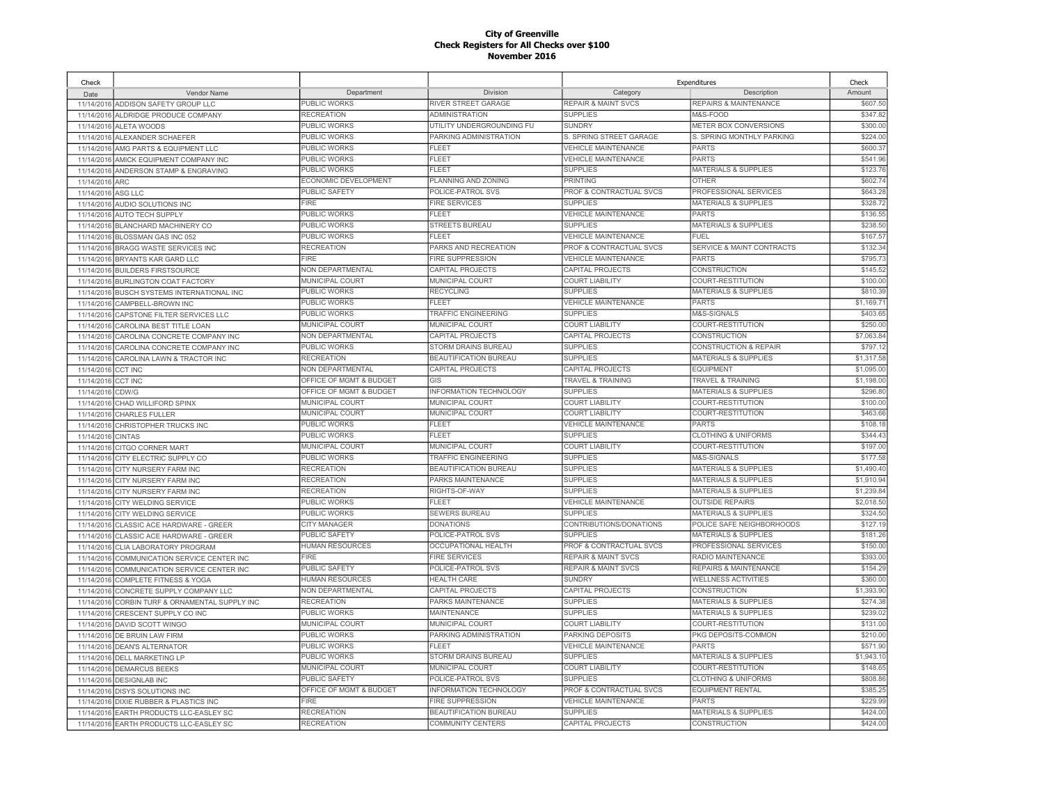| Check                    |                                         |                         |                                                            |                                    | Expenditures                    | Check                  |
|--------------------------|-----------------------------------------|-------------------------|------------------------------------------------------------|------------------------------------|---------------------------------|------------------------|
| Date                     | Vendor Name                             | Department              | Division                                                   | Category                           | Description                     | Amount                 |
| 11/14/2016               | ADDISON SAFETY GROUP LLC                | <b>PUBLIC WORKS</b>     | RIVER STREET GARAGE                                        | <b>REPAIR &amp; MAINT SVCS</b>     | REPAIRS & MAINTENANCE           | \$607.50               |
| 11/14/2016               | ALDRIDGE PRODUCE COMPANY                | <b>RECREATION</b>       | <b>ADMINISTRATION</b>                                      | <b>SUPPLIES</b>                    | M&S-FOOD                        | \$347.82               |
| 11/14/2016               | ALETA WOODS                             | <b>PUBLIC WORKS</b>     | UTILITY UNDERGROUNDING FU                                  | <b>SUNDRY</b>                      | METER BOX CONVERSIONS           | \$300.00               |
| 11/14/2016               | ALEXANDER SCHAEFER                      | <b>PUBLIC WORKS</b>     | PARKING ADMINISTRATION                                     | S. SPRING STREET GARAGE            | S. SPRING MONTHLY PARKING       | \$224.00               |
|                          | 11/14/2016 AMG PARTS & EQUIPMENT LLC    | PUBLIC WORKS            | FLEET                                                      | <b>VEHICLE MAINTENANCE</b>         | PARTS                           | \$600.37               |
| 11/14/2016               | AMICK EQUIPMENT COMPANY INC             | <b>PUBLIC WORKS</b>     | <b>FLEET</b>                                               | <b>VEHICLE MAINTENANCE</b>         | PARTS                           | \$541.96               |
| 11/14/2016               | ANDERSON STAMP & ENGRAVING              | <b>PUBLIC WORKS</b>     | FLEET                                                      | <b>SUPPLIES</b>                    | <b>MATERIALS &amp; SUPPLIES</b> | \$123.76               |
| 11/14/2016               | <b>ARC</b>                              | ECONOMIC DEVELOPMENT    | PLANNING AND ZONING                                        | PRINTING                           | OTHER                           | \$602.74               |
| 11/14/2016               | ASG LLC                                 | <b>PUBLIC SAFETY</b>    | POLICE-PATROL SVS                                          | PROF & CONTRACTUAL SVCS            | PROFESSIONAL SERVICES           | \$643.28               |
| 11/14/2016               | AUDIO SOLUTIONS INC                     | <b>FIRE</b>             | <b>FIRE SERVICES</b>                                       | <b>SUPPLIES</b>                    | <b>MATERIALS &amp; SUPPLIES</b> | \$328.72               |
| 11/14/2016               | <b>AUTO TECH SUPPLY</b>                 | PUBLIC WORKS            | FLEET                                                      | <b>VEHICLE MAINTENANCE</b>         | <b>PARTS</b>                    | \$136.55               |
| 11/14/2016               | BLANCHARD MACHINERY CO                  | PUBLIC WORKS            | <b>STREETS BUREAU</b>                                      | <b>SUPPLIES</b>                    | <b>MATERIALS &amp; SUPPLIES</b> | \$238.50               |
| 11/14/2016               | BLOSSMAN GAS INC 052                    | PUBLIC WORKS            | FLEET                                                      | <b>VEHICLE MAINTENANCE</b>         | <b>FUEL</b>                     | \$167.57               |
| 11/14/2016               | BRAGG WASTE SERVICES INC                | <b>RECREATION</b>       | PARKS AND RECREATION                                       | PROF & CONTRACTUAL SVCS            | SERVICE & MAINT CONTRACTS       | \$132.34               |
| 11/14/2016               | BRYANTS KAR GARD LLC                    | FIRE                    | <b>FIRE SUPPRESSION</b>                                    | <b>VEHICLE MAINTENANCE</b>         | <b>PARTS</b>                    | \$795.73               |
|                          | 11/14/2016 BUILDERS FIRSTSOURCE         | NON DEPARTMENTAL        | CAPITAL PROJECTS                                           | CAPITAL PROJECTS                   | <b>CONSTRUCTION</b>             | \$145.52               |
| 11/14/2016               | <b>BURLINGTON COAT FACTORY</b>          | MUNICIPAL COURT         | MUNICIPAL COURT                                            | <b>COURT LIABILITY</b>             | COURT-RESTITUTION               | \$100.00               |
| 11/14/2016               | <b>BUSCH SYSTEMS INTERNATIONAL INC</b>  | <b>PUBLIC WORKS</b>     | <b>RECYCLING</b>                                           | <b>SUPPLIES</b>                    | <b>MATERIALS &amp; SUPPLIES</b> | \$810.39               |
| 11/14/2016               | CAMPBELL-BROWN INC                      | PUBLIC WORKS            | <b>FLEET</b>                                               | <b>VEHICLE MAINTENANCE</b>         | PARTS                           | \$1,169.71             |
| 11/14/2016               | CAPSTONE FILTER SERVICES LLC            | PUBLIC WORKS            | TRAFFIC ENGINEERING                                        | <b>SUPPLIES</b>                    | M&S-SIGNALS                     | \$403.65               |
| 11/14/2016               | CAROLINA BEST TITLE LOAN                | MUNICIPAL COURT         | MUNICIPAL COURT                                            | <b>COURT LIABILITY</b>             | COURT-RESTITUTION               | \$250.0                |
| 11/14/2016               | CAROLINA CONCRETE COMPANY INC           | <b>NON DEPARTMENTAL</b> | CAPITAL PROJECTS                                           | CAPITAL PROJECTS                   | CONSTRUCTION                    | \$7,063.84             |
| 11/14/2016               | CAROLINA CONCRETE COMPANY INC           | PUBLIC WORKS            | STORM DRAINS BUREAU                                        | <b>SUPPLIES</b>                    | CONSTRUCTION & REPAIR           | \$797.1                |
|                          | CAROLINA LAWN & TRACTOR INC             | <b>RECREATION</b>       | <b>BEAUTIFICATION BUREAU</b>                               | <b>SUPPLIES</b>                    | <b>MATERIALS &amp; SUPPLIES</b> | \$1,317.58             |
| 11/14/2016<br>11/14/2016 | <b>CCT INC</b>                          | NON DEPARTMENTAL        | CAPITAL PROJECTS                                           | CAPITAL PROJECTS                   | EQUIPMENT                       | \$1,095.0              |
|                          |                                         | OFFICE OF MGMT & BUDGET | GIS                                                        | <b>TRAVEL &amp; TRAINING</b>       | <b>TRAVEL &amp; TRAINING</b>    | \$1,198.00             |
| 11/14/2016               | <b>CCT INC</b>                          | OFFICE OF MGMT & BUDGET | <b>INFORMATION TECHNOLOGY</b>                              | <b>SUPPLIES</b>                    | <b>MATERIALS &amp; SUPPLIES</b> | \$296.80               |
| 11/14/2016               | CDW/G                                   | <b>MUNICIPAL COURT</b>  | <b>MUNICIPAL COURT</b>                                     | <b>COURT LIABILITY</b>             | COURT-RESTITUTION               | \$100.00               |
| 11/14/2016               | CHAD WILLIFORD SPINX                    | MUNICIPAL COURT         | MUNICIPAL COURT                                            | <b>COURT LIABILITY</b>             | COURT-RESTITUTION               | \$463.66               |
| 11/14/2016               | <b>CHARLES FULLER</b>                   | <b>PUBLIC WORKS</b>     | FLEET                                                      | <b>VEHICLE MAINTENANCE</b>         | PARTS                           | \$108.1                |
| 11/14/2016               | CHRISTOPHER TRUCKS INC                  | <b>PUBLIC WORKS</b>     | <b>FLEET</b>                                               | <b>SUPPLIES</b>                    | <b>CLOTHING &amp; UNIFORMS</b>  | \$344.43               |
| 11/14/2016               | <b>CINTAS</b>                           | MUNICIPAL COURT         | MUNICIPAL COURT                                            | <b>COURT LIABILITY</b>             | COURT-RESTITUTION               | \$197.00               |
| 11/14/2016               | <b>CITGO CORNER MART</b>                |                         |                                                            |                                    |                                 |                        |
| 11/14/2016               | CITY ELECTRIC SUPPLY CO                 | PUBLIC WORKS            | <b>TRAFFIC ENGINEERING</b><br><b>BEAUTIFICATION BUREAU</b> | <b>SUPPLIES</b><br><b>SUPPLIES</b> | M&S-SIGNALS                     | \$177.58<br>\$1,490.40 |
| 11/14/2016               | CITY NURSERY FARM INC                   | <b>RECREATION</b>       |                                                            |                                    | <b>MATERIALS &amp; SUPPLIES</b> |                        |
| 11/14/2016               | CITY NURSERY FARM INC                   | <b>RECREATION</b>       | <b>PARKS MAINTENANCE</b>                                   | <b>SUPPLIES</b>                    | <b>MATERIALS &amp; SUPPLIES</b> | \$1,910.94             |
| 11/14/2016               | <b>CITY NURSERY FARM INC</b>            | <b>RECREATION</b>       | RIGHTS-OF-WAY                                              | <b>SUPPLIES</b>                    | MATERIALS & SUPPLIES            | \$1,239.84             |
| 11/14/2016               | CITY WELDING SERVICE                    | PUBLIC WORKS            | FLEET                                                      | <b>VEHICLE MAINTENANCE</b>         | <b>OUTSIDE REPAIRS</b>          | \$2,018.50             |
| 11/14/2016               | CITY WELDING SERVICE                    | PUBLIC WORKS            | <b>SEWERS BUREAU</b>                                       | <b>SUPPLIES</b>                    | MATERIALS & SUPPLIES            | \$324.50               |
| 11/14/2016               | CLASSIC ACE HARDWARE - GREER            | <b>CITY MANAGER</b>     | <b>DONATIONS</b>                                           | CONTRIBUTIONS/DONATIONS            | POLICE SAFE NEIGHBORHOODS       | \$127.19               |
| 11/14/2016               | CLASSIC ACE HARDWARE - GREER            | PUBLIC SAFETY           | POLICE-PATROL SVS                                          | <b>SUPPLIES</b>                    | <b>MATERIALS &amp; SUPPLIES</b> | \$181.26               |
| 11/14/2016               | CLIA LABORATORY PROGRAM                 | <b>HUMAN RESOURCES</b>  | OCCUPATIONAL HEALTH                                        | PROF & CONTRACTUAL SVCS            | PROFESSIONAL SERVICES           | \$150.00               |
| 11/14/2016               | COMMUNICATION SERVICE CENTER INC        | <b>FIRE</b>             | <b>FIRE SERVICES</b>                                       | <b>REPAIR &amp; MAINT SVCS</b>     | RADIO MAINTENANCE               | \$393.00               |
| 11/14/2016               | COMMUNICATION SERVICE CENTER INC        | PUBLIC SAFETY           | POLICE-PATROL SVS                                          | <b>REPAIR &amp; MAINT SVCS</b>     | REPAIRS & MAINTENANCE           | \$154.29               |
| 11/14/2016               | <b>COMPLETE FITNESS &amp; YOGA</b>      | <b>HUMAN RESOURCES</b>  | <b>HEALTH CARE</b>                                         | <b>SUNDRY</b>                      | <b>WELLNESS ACTIVITIES</b>      | \$360.00               |
| 11/14/2016               | CONCRETE SUPPLY COMPANY LLC             | NON DEPARTMENTAL        | CAPITAL PROJECTS                                           | CAPITAL PROJECTS                   | CONSTRUCTION                    | \$1,393.90             |
| 11/14/2016               | CORBIN TURF & ORNAMENTAL SUPPLY INC     | <b>RECREATION</b>       | PARKS MAINTENANCE                                          | <b>SUPPLIES</b>                    | <b>MATERIALS &amp; SUPPLIES</b> | \$274.38               |
| 11/14/2016               | CRESCENT SUPPLY CO INC                  | <b>PUBLIC WORKS</b>     | MAINTENANCE                                                | <b>SUPPLIES</b>                    | <b>MATERIALS &amp; SUPPLIES</b> | \$239.02               |
| 11/14/2016               | DAVID SCOTT WINGO                       | <b>MUNICIPAL COURT</b>  | <b>MUNICIPAL COURT</b>                                     | <b>COURT LIABILITY</b>             | COURT-RESTITUTION               | \$131.00               |
| 11/14/2016               | DE BRUIN LAW FIRM                       | <b>PUBLIC WORKS</b>     | PARKING ADMINISTRATION                                     | PARKING DEPOSITS                   | PKG DEPOSITS-COMMON             | \$210.00               |
| 11/14/2016               | <b>DEAN'S ALTERNATOR</b>                | PUBLIC WORKS            | <b>FLEET</b>                                               | <b>VEHICLE MAINTENANCE</b>         | <b>PARTS</b>                    | \$571.90               |
| 11/14/2016               | <b>DELL MARKETING LP</b>                | <b>PUBLIC WORKS</b>     | STORM DRAINS BUREAU                                        | <b>SUPPLIES</b>                    | <b>MATERIALS &amp; SUPPLIES</b> | \$1,943.1              |
| 11/14/2016               | <b>DEMARCUS BEEKS</b>                   | <b>MUNICIPAL COURT</b>  | <b>MUNICIPAL COURT</b>                                     | <b>COURT LIABILITY</b>             | <b>COURT-RESTITUTION</b>        | \$148.65               |
| 11/14/2016               | <b>DESIGNLAB INC</b>                    | <b>PUBLIC SAFETY</b>    | POLICE-PATROL SVS                                          | <b>SUPPLIES</b>                    | <b>CLOTHING &amp; UNIFORMS</b>  | \$808.86               |
| 11/14/2016               | <b>DISYS SOLUTIONS INC</b>              | OFFICE OF MGMT & BUDGET | <b>INFORMATION TECHNOLOGY</b>                              | PROF & CONTRACTUAL SVCS            | <b>EQUIPMENT RENTAL</b>         | \$385.25               |
| 11/14/2016               | DIXIE RUBBER & PLASTICS INC             | <b>FIRE</b>             | <b>FIRE SUPPRESSION</b>                                    | <b>VEHICLE MAINTENANCE</b>         | PARTS                           | \$229.99               |
| 11/14/2016               | EARTH PRODUCTS LLC-EASLEY SC            | <b>RECREATION</b>       | <b>BEAUTIFICATION BUREAU</b>                               | <b>SUPPLIES</b>                    | <b>MATERIALS &amp; SUPPLIES</b> | \$424.00               |
|                          | 11/14/2016 EARTH PRODUCTS LLC-EASLEY SC | <b>RECREATION</b>       | COMMUNITY CENTERS                                          | CAPITAL PROJECTS                   | <b>CONSTRUCTION</b>             | \$424.00               |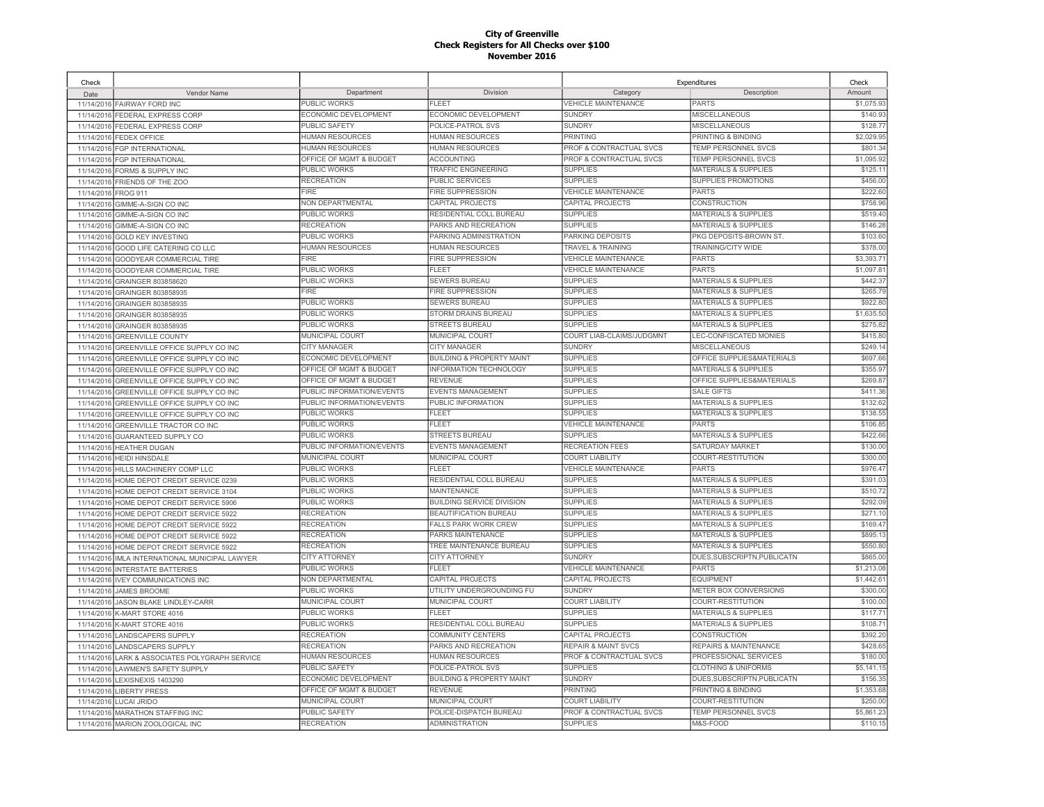| Check      |                                     |                             |                                      |                                | Expenditures                    | Check      |
|------------|-------------------------------------|-----------------------------|--------------------------------------|--------------------------------|---------------------------------|------------|
| Date       | Vendor Name                         | Department                  | Division                             | Category                       | Description                     | Amount     |
|            | 11/14/2016 FAIRWAY FORD INC         | PUBLIC WORKS                | FLEET                                | <b>VEHICLE MAINTENANCE</b>     | PARTS                           | \$1,075.93 |
| 11/14/2016 | FEDERAL EXPRESS CORP                | ECONOMIC DEVELOPMENT        | ECONOMIC DEVELOPMENT                 | <b>SUNDRY</b>                  | <b>MISCELLANEOUS</b>            | \$140.93   |
| 11/14/2016 | <b>FEDERAL EXPRESS CORP</b>         | <b>PUBLIC SAFETY</b>        | POLICE-PATROL SVS                    | <b>SUNDRY</b>                  | MISCELLANEOUS                   | \$128.77   |
| 11/14/2016 | <b>FEDEX OFFICE</b>                 | <b>HUMAN RESOURCES</b>      | HUMAN RESOURCES                      | <b>PRINTING</b>                | PRINTING & BINDING              | \$2,029.95 |
| 11/14/2016 | FGP INTERNATIONAL                   | HUMAN RESOURCES             | <b>HUMAN RESOURCES</b>               | PROF & CONTRACTUAL SVCS        | TEMP PERSONNEL SVCS             | \$801.34   |
| 11/14/2016 | <b>FGP INTERNATIONAL</b>            | OFFICE OF MGMT & BUDGET     | <b>ACCOUNTING</b>                    | PROF & CONTRACTUAL SVCS        | TEMP PERSONNEL SVCS             | \$1,095.92 |
| 11/14/2016 | FORMS & SUPPLY INC                  | PUBLIC WORKS                | TRAFFIC ENGINEERING                  | <b>SUPPLIES</b>                | <b>MATERIALS &amp; SUPPLIES</b> | \$125.1    |
| 11/14/2016 | FRIENDS OF THE ZOO                  | <b>RECREATION</b>           | PUBLIC SERVICES                      | <b>SUPPLIES</b>                | <b>SUPPLIES PROMOTIONS</b>      | \$456.00   |
| 11/14/2016 | <b>FROG 911</b>                     | <b>FIRE</b>                 | <b>FIRE SUPPRESSION</b>              | <b>VEHICLE MAINTENANCE</b>     | <b>PARTS</b>                    | \$222.60   |
| 11/14/2016 | GIMME-A-SIGN CO INC                 | NON DEPARTMENTAL            | CAPITAL PROJECTS                     | CAPITAL PROJECTS               | CONSTRUCTION                    | \$758.96   |
| 11/14/2016 | GIMME-A-SIGN CO INC                 | PUBLIC WORKS                | RESIDENTIAL COLL BUREAU              | <b>SUPPLIES</b>                | <b>MATERIALS &amp; SUPPLIES</b> | \$519.40   |
| 11/14/2016 | GIMME-A-SIGN CO INC                 | <b>RECREATION</b>           | PARKS AND RECREATION                 | <b>SUPPLIES</b>                | <b>MATERIALS &amp; SUPPLIES</b> | \$146.28   |
| 11/14/2016 | <b>GOLD KEY INVESTING</b>           | PUBLIC WORKS                | PARKING ADMINISTRATION               | PARKING DEPOSITS               | PKG DEPOSITS-BROWN ST.          | \$103.60   |
| 11/14/2016 | GOOD LIFE CATERING CO LLC           | <b>HUMAN RESOURCES</b>      | <b>HUMAN RESOURCES</b>               | <b>TRAVEL &amp; TRAINING</b>   | <b>TRAINING/CITY WIDE</b>       | \$378.0    |
| 11/14/2016 | <b>GOODYEAR COMMERCIAL TIRE</b>     | <b>FIRE</b>                 | <b>FIRE SUPPRESSION</b>              | <b>VEHICLE MAINTENANCE</b>     | <b>PARTS</b>                    | \$3,393.7  |
| 11/14/2016 | GOODYEAR COMMERCIAL TIRE            | PUBLIC WORKS                | <b>FLEET</b>                         | <b>VEHICLE MAINTENANCE</b>     | <b>PARTS</b>                    | \$1,097.8  |
| 11/14/2016 | GRAINGER 803858620                  | PUBLIC WORKS                | SEWERS BUREAU                        | <b>SUPPLIES</b>                | <b>MATERIALS &amp; SUPPLIES</b> | \$442.3    |
| 11/14/2016 | GRAINGER 803858935                  | FIRE                        | <b>FIRE SUPPRESSION</b>              | <b>SUPPLIES</b>                | <b>MATERIALS &amp; SUPPLIES</b> | \$265.79   |
| 11/14/2016 | GRAINGER 803858935                  | PUBLIC WORKS                | <b>SEWERS BUREAU</b>                 | <b>SUPPLIES</b>                | <b>MATERIALS &amp; SUPPLIES</b> | \$922.80   |
| 11/14/2016 | GRAINGER 803858935                  | <b>PUBLIC WORKS</b>         | STORM DRAINS BUREAU                  | <b>SUPPLIES</b>                | <b>MATERIALS &amp; SUPPLIES</b> | \$1,635.50 |
| 11/14/2016 | GRAINGER 803858935                  | <b>PUBLIC WORKS</b>         | <b>STREETS BUREAU</b>                | <b>SUPPLIES</b>                | <b>MATERIALS &amp; SUPPLIES</b> | \$275.82   |
| 11/14/2016 | <b>GREENVILLE COUNTY</b>            | MUNICIPAL COURT             | MUNICIPAL COURT                      | COURT LIAB-CLAIMS/JUDGMNT      | LEC-CONFISCATED MONIES          | \$415.80   |
| 11/14/2016 | GREENVILLE OFFICE SUPPLY CO INC     | <b>CITY MANAGER</b>         | <b>CITY MANAGER</b>                  | <b>SUNDRY</b>                  | <b>MISCELLANEOUS</b>            | \$249.14   |
| 11/14/2016 | GREENVILLE OFFICE SUPPLY CO INC     | ECONOMIC DEVELOPMENT        | <b>BUILDING &amp; PROPERTY MAINT</b> | <b>SUPPLIES</b>                | OFFICE SUPPLIES&MATERIALS       | \$697.66   |
| 11/14/2016 | GREENVILLE OFFICE SUPPLY CO INC     | OFFICE OF MGMT & BUDGET     | <b>INFORMATION TECHNOLOGY</b>        | <b>SUPPLIES</b>                | <b>MATERIALS &amp; SUPPLIES</b> | \$355.9    |
| 11/14/2016 | GREENVILLE OFFICE SUPPLY CO INC     | OFFICE OF MGMT & BUDGET     | REVENUE                              | <b>SUPPLIES</b>                | OFFICE SUPPLIES&MATERIALS       | \$269.87   |
| 11/14/2016 | GREENVILLE OFFICE SUPPLY CO INC     | PUBLIC INFORMATION/EVENTS   | <b>EVENTS MANAGEMENT</b>             | <b>SUPPLIES</b>                | <b>SALE GIFTS</b>               | \$411.36   |
| 11/14/2016 | GREENVILLE OFFICE SUPPLY CO INC     | PUBLIC INFORMATION/EVENTS   | PUBLIC INFORMATION                   | <b>SUPPLIES</b>                | <b>MATERIALS &amp; SUPPLIES</b> | \$132.62   |
| 11/14/2016 | GREENVILLE OFFICE SUPPLY CO INC     | PUBLIC WORKS                | <b>FLEET</b>                         | <b>SUPPLIES</b>                | <b>MATERIALS &amp; SUPPLIES</b> | \$138.55   |
| 11/14/2016 | GREENVILLE TRACTOR CO INC           | <b>PUBLIC WORKS</b>         | FLEET                                | <b>VEHICLE MAINTENANCE</b>     | PARTS                           | \$106.85   |
| 11/14/2016 | GUARANTEED SUPPLY CO                | PUBLIC WORKS                | <b>STREETS BUREAU</b>                | <b>SUPPLIES</b>                | <b>MATERIALS &amp; SUPPLIES</b> | \$422.66   |
| 11/14/2016 | <b>HEATHER DUGAN</b>                | PUBLIC INFORMATION/EVENTS   | <b>EVENTS MANAGEMENT</b>             | <b>RECREATION FEES</b>         | SATURDAY MARKET                 | \$130.00   |
| 11/14/2016 | <b>HEIDI HINSDALE</b>               | MUNICIPAL COURT             | MUNICIPAL COURT                      | <b>COURT LIABILITY</b>         | COURT-RESTITUTION               | \$300.00   |
| 11/14/2016 | HILLS MACHINERY COMP LLC            | PUBLIC WORKS                | FLEET                                | <b>VEHICLE MAINTENANCE</b>     | <b>PARTS</b>                    | \$976.47   |
| 11/14/2016 | HOME DEPOT CREDIT SERVICE 0239      | PUBLIC WORKS                | RESIDENTIAL COLL BUREAU              | <b>SUPPLIES</b>                | <b>MATERIALS &amp; SUPPLIES</b> | \$391.03   |
| 11/14/2016 | HOME DEPOT CREDIT SERVICE 3104      | PUBLIC WORKS                | <b>MAINTENANCE</b>                   | <b>SUPPLIES</b>                | <b>MATERIALS &amp; SUPPLIES</b> | \$510.72   |
| 11/14/2016 | HOME DEPOT CREDIT SERVICE 5906      | PUBLIC WORKS                | <b>BUILDING SERVICE DIVISION</b>     | <b>SUPPLIES</b>                | <b>MATERIALS &amp; SUPPLIES</b> | \$292.09   |
| 11/14/2016 | HOME DEPOT CREDIT SERVICE 5922      | <b>RECREATION</b>           | BEAUTIFICATION BUREAU                | <b>SUPPLIES</b>                | <b>MATERIALS &amp; SUPPLIES</b> | \$271.10   |
| 11/14/2016 | HOME DEPOT CREDIT SERVICE 5922      | <b>RECREATION</b>           | <b>FALLS PARK WORK CREW</b>          | <b>SUPPLIES</b>                | <b>MATERIALS &amp; SUPPLIES</b> | \$169.47   |
| 11/14/2016 | HOME DEPOT CREDIT SERVICE 5922      | <b>RECREATION</b>           | PARKS MAINTENANCE                    | <b>SUPPLIES</b>                | <b>MATERIALS &amp; SUPPLIES</b> | \$895.1    |
| 11/14/2016 | HOME DEPOT CREDIT SERVICE 5922      | <b>RECREATION</b>           | TREE MAINTENANCE BUREAU              | <b>SUPPLIES</b>                | <b>MATERIALS &amp; SUPPLIES</b> | \$550.80   |
| 11/14/2016 | IMLA INTERNATIONAL MUNICIPAL LAWYER | <b>CITY ATTORNEY</b>        | <b>CITY ATTORNEY</b>                 | <b>SUNDRY</b>                  | DUES, SUBSCRIPTN, PUBLICATN     | \$865.00   |
| 11/14/2016 | <b>INTERSTATE BATTERIES</b>         | PUBLIC WORKS                | <b>FLEET</b>                         | <b>VEHICLE MAINTENANCE</b>     | <b>PARTS</b>                    | \$1,213.08 |
| 11/14/2016 | <b>IVEY COMMUNICATIONS INC</b>      | NON DEPARTMENTAL            | CAPITAL PROJECTS                     | CAPITAL PROJECTS               | <b>EQUIPMENT</b>                | \$1,442.6  |
| 11/14/2016 | <b>JAMES BROOME</b>                 | PUBLIC WORKS                | UTILITY UNDERGROUNDING FU            | <b>SUNDRY</b>                  | METER BOX CONVERSIONS           | \$300.00   |
| 11/14/2016 | JASON BLAKE LINDLEY-CARR            | MUNICIPAL COURT             | MUNICIPAL COURT                      | <b>COURT LIABILITY</b>         | COURT-RESTITUTION               | \$100.00   |
| 11/14/2016 | K-MART STORE 4016                   | PUBLIC WORKS                | <b>FLEET</b>                         | <b>SUPPLIES</b>                | <b>MATERIALS &amp; SUPPLIES</b> | \$117.7'   |
| 11/14/2016 | K-MART STORE 4016                   | PUBLIC WORKS                | RESIDENTIAL COLL BUREAU              | <b>SUPPLIES</b>                | <b>MATERIALS &amp; SUPPLIES</b> | \$108.7    |
| 11/14/2016 | <b>LANDSCAPERS SUPPLY</b>           | <b>RECREATION</b>           | <b>COMMUNITY CENTERS</b>             | CAPITAL PROJECTS               | CONSTRUCTION                    | \$392.20   |
| 11/14/2016 | <b>LANDSCAPERS SUPPLY</b>           | <b>RECREATION</b>           | PARKS AND RECREATION                 | <b>REPAIR &amp; MAINT SVCS</b> | REPAIRS & MAINTENANCE           | \$428.65   |
| 11/14/2016 | LARK & ASSOCIATES POLYGRAPH SERVICE | HUMAN RESOURCES             | <b>HUMAN RESOURCES</b>               | PROF & CONTRACTUAL SVCS        | PROFESSIONAL SERVICES           | \$180.00   |
| 11/14/201  | <b>LAWMEN'S SAFETY SUPPLY</b>       | PUBLIC SAFETY               | POLICE-PATROL SVS                    | <b>SUPPLIES</b>                | <b>CLOTHING &amp; UNIFORMS</b>  | \$5,141.1  |
| 11/14/2016 | LEXISNEXIS 1403290                  | <b>ECONOMIC DEVELOPMENT</b> | <b>BUILDING &amp; PROPERTY MAINT</b> | <b>SUNDRY</b>                  | DUES.SUBSCRIPTN.PUBLICATN       | \$156.35   |
| 11/14/2016 | LIBERTY PRESS                       | OFFICE OF MGMT & BUDGET     | <b>REVENUE</b>                       | <b>PRINTING</b>                | PRINTING & BINDING              | \$1,353.68 |
| 11/14/2016 | LUCAI JRIDO                         | MUNICIPAL COURT             | MUNICIPAL COURT                      | <b>COURT LIABILITY</b>         | COURT-RESTITUTION               | \$250.00   |
| 11/14/2016 | <b>MARATHON STAFFING INC</b>        | <b>PUBLIC SAFETY</b>        | POLICE-DISPATCH BUREAU               | PROF & CONTRACTUAL SVCS        | TEMP PERSONNEL SVCS             | \$5,861.23 |
|            | 11/14/2016 MARION ZOOLOGICAL INC    | <b>RECREATION</b>           | <b>ADMINISTRATION</b>                | <b>SUPPLIES</b>                | M&S-FOOD                        | \$110.15   |
|            |                                     |                             |                                      |                                |                                 |            |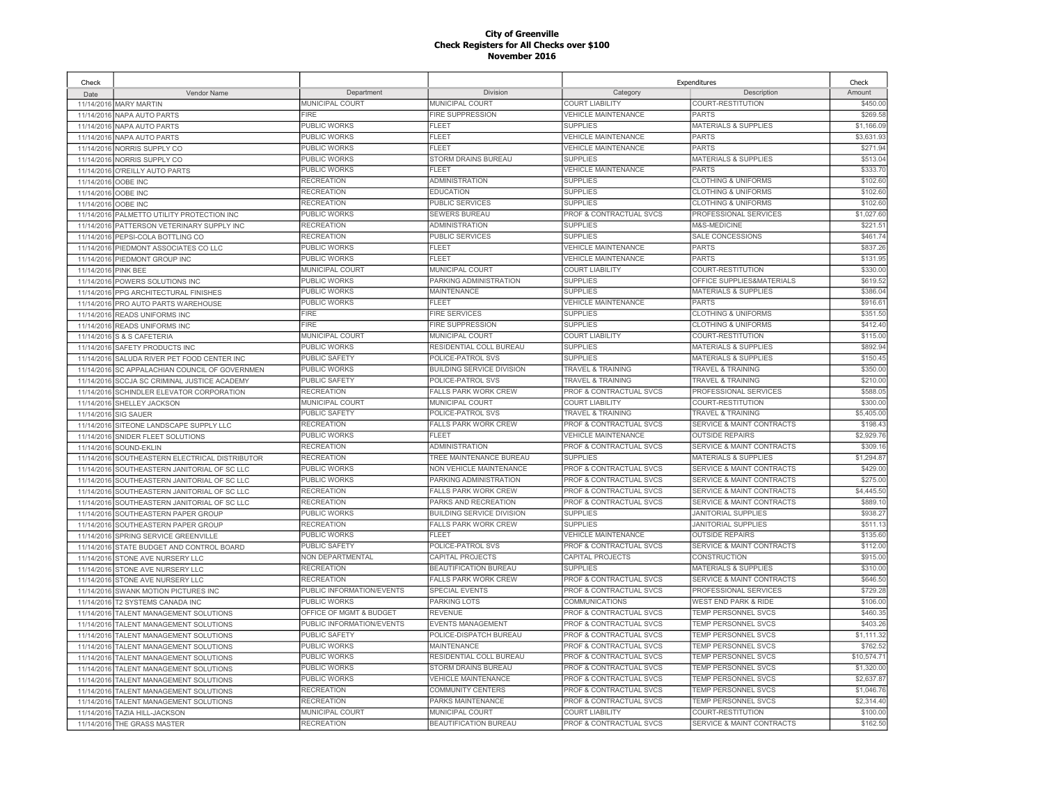| Check                    |                                                      |                           |                                  |                                    | Expenditures                         | Check                    |
|--------------------------|------------------------------------------------------|---------------------------|----------------------------------|------------------------------------|--------------------------------------|--------------------------|
| Date                     | Vendor Name                                          | Department                | Division                         | Category                           | Description                          | Amount                   |
| 11/14/2016               | <b>MARY MARTIN</b>                                   | <b>MUNICIPAL COURT</b>    | <b>MUNICIPAL COURT</b>           | <b>COURT LIABILITY</b>             | COURT-RESTITUTION                    | \$450.00                 |
| 11/14/2016               | NAPA AUTO PARTS                                      | <b>FIRE</b>               | <b>FIRE SUPPRESSION</b>          | <b>VEHICLE MAINTENANCE</b>         | <b>PARTS</b>                         | \$269.58                 |
| 11/14/2016               | NAPA AUTO PARTS                                      | <b>PUBLIC WORKS</b>       | FLEET                            | <b>SUPPLIES</b>                    | <b>MATERIALS &amp; SUPPLIES</b>      | \$1,166.09               |
| 11/14/2016               | NAPA AUTO PARTS                                      | <b>PUBLIC WORKS</b>       | FLEET                            | <b>VEHICLE MAINTENANCE</b>         | PARTS                                | \$3,631.93               |
|                          | 11/14/2016 NORRIS SUPPLY CO                          | PUBLIC WORKS              | FLEET                            | <b>VEHICLE MAINTENANCE</b>         | PARTS                                | \$271.94                 |
| 11/14/2016               | NORRIS SUPPLY CO                                     | PUBLIC WORKS              | <b>STORM DRAINS BUREAU</b>       | <b>SUPPLIES</b>                    | <b>MATERIALS &amp; SUPPLIES</b>      | \$513.04                 |
| 11/14/2016               | O'REILLY AUTO PARTS                                  | PUBLIC WORKS              | FLEET                            | <b>VEHICLE MAINTENANCE</b>         | PARTS                                | \$333.70                 |
| 11/14/2016               | OOBE INC                                             | <b>RECREATION</b>         | <b>ADMINISTRATION</b>            | <b>SUPPLIES</b>                    | <b>CLOTHING &amp; UNIFORMS</b>       | \$102.60                 |
| 11/14/2016               | OOBE INC                                             | <b>RECREATION</b>         | <b>EDUCATION</b>                 | <b>SUPPLIES</b>                    | <b>CLOTHING &amp; UNIFORMS</b>       | \$102.60                 |
| 11/14/2016               | OOBE INC                                             | <b>RECREATION</b>         | <b>PUBLIC SERVICES</b>           | <b>SUPPLIES</b>                    | <b>CLOTHING &amp; UNIFORMS</b>       | \$102.60                 |
| 11/14/2016               | PALMETTO UTILITY PROTECTION INC                      | PUBLIC WORKS              | SEWERS BUREAU                    | PROF & CONTRACTUAL SVCS            | PROFESSIONAL SERVICES                | \$1,027.60               |
| 11/14/2016               | PATTERSON VETERINARY SUPPLY INC                      | <b>RECREATION</b>         | <b>ADMINISTRATION</b>            | <b>SUPPLIES</b>                    | M&S-MEDICINE                         | \$221.5'                 |
| 11/14/2016               | PEPSI-COLA BOTTLING CO                               | <b>RECREATION</b>         | PUBLIC SERVICES                  | <b>SUPPLIES</b>                    | <b>SALE CONCESSIONS</b>              | \$461.74                 |
| 11/14/2016               | PIEDMONT ASSOCIATES CO LLC                           | PUBLIC WORKS              | <b>FLEET</b>                     | <b>VEHICLE MAINTENANCE</b>         | <b>PARTS</b>                         | \$837.26                 |
| 11/14/2016               | PIEDMONT GROUP INC                                   | PUBLIC WORKS              | <b>FLEET</b>                     | <b>VEHICLE MAINTENANCE</b>         | <b>PARTS</b>                         | \$131.95                 |
| 11/14/2016               | <b>PINK BEE</b>                                      | MUNICIPAL COURT           | MUNICIPAL COURT                  | <b>COURT LIABILITY</b>             | COURT-RESTITUTION                    | \$330.00                 |
| 11/14/2016               | POWERS SOLUTIONS INC                                 | PUBLIC WORKS              | PARKING ADMINISTRATION           | <b>SUPPLIES</b>                    | OFFICE SUPPLIES&MATERIALS            | \$619.52                 |
| 11/14/2016               | PPG ARCHITECTURAL FINISHES                           | <b>PUBLIC WORKS</b>       | <b>MAINTENANCE</b>               | <b>SUPPLIES</b>                    | <b>MATERIALS &amp; SUPPLIES</b>      | \$386.0                  |
| 11/14/2016               | PRO AUTO PARTS WAREHOUSE                             | <b>PUBLIC WORKS</b>       | <b>FLEET</b>                     | <b>VEHICLE MAINTENANCE</b>         | <b>PARTS</b>                         | \$916.61                 |
| 11/14/2016               | <b>READS UNIFORMS INC</b>                            | <b>FIRE</b>               | <b>FIRE SERVICES</b>             | <b>SUPPLIES</b>                    | <b>CLOTHING &amp; UNIFORMS</b>       | \$351.50                 |
| 11/14/2016               | <b>READS UNIFORMS INC</b>                            | FIRE                      | <b>FIRE SUPPRESSION</b>          | <b>SUPPLIES</b>                    | <b>CLOTHING &amp; UNIFORMS</b>       | \$412.40                 |
| 11/14/2016               | S & S CAFETERIA                                      | MUNICIPAL COURT           | <b>MUNICIPAL COURT</b>           | <b>COURT LIABILITY</b>             | COURT-RESTITUTION                    | \$115.00                 |
| 11/14/2016               | SAFETY PRODUCTS INC                                  | <b>PUBLIC WORKS</b>       | RESIDENTIAL COLL BUREAU          | <b>SUPPLIES</b>                    | <b>MATERIALS &amp; SUPPLIES</b>      | \$892.94                 |
| 11/14/2016               | SALUDA RIVER PET FOOD CENTER INC                     | <b>PUBLIC SAFETY</b>      | POLICE-PATROL SVS                | <b>SUPPLIES</b>                    | <b>MATERIALS &amp; SUPPLIES</b>      | \$150.45                 |
| 11/14/2016               | SC APPALACHIAN COUNCIL OF GOVERNMEN                  | <b>PUBLIC WORKS</b>       | <b>BUILDING SERVICE DIVISION</b> | <b>TRAVEL &amp; TRAINING</b>       | <b>TRAVEL &amp; TRAINING</b>         | \$350.00                 |
| 11/14/2016               | <b>SCCJA SC CRIMINAL JUSTICE ACADEMY</b>             | <b>PUBLIC SAFETY</b>      | POLICE-PATROL SVS                | <b>TRAVEL &amp; TRAINING</b>       | <b>TRAVEL &amp; TRAINING</b>         | \$210.00                 |
| 11/14/2016               | SCHINDLER ELEVATOR CORPORATION                       | <b>RECREATION</b>         | <b>FALLS PARK WORK CREW</b>      | <b>PROF &amp; CONTRACTUAL SVCS</b> | <b>PROFESSIONAL SERVICES</b>         | \$588.05                 |
|                          | 11/14/2016 SHELLEY JACKSON                           | <b>MUNICIPAL COURT</b>    | MUNICIPAL COURT                  | <b>COURT LIABILITY</b>             | COURT-RESTITUTION                    | \$300.00                 |
| 11/14/2016               | <b>SIG SAUER</b>                                     | <b>PUBLIC SAFETY</b>      | POLICE-PATROL SVS                | <b>TRAVEL &amp; TRAINING</b>       | <b>TRAVEL &amp; TRAINING</b>         | \$5,405.00               |
| 11/14/2016               | SITEONE LANDSCAPE SUPPLY LLC                         | <b>RECREATION</b>         | <b>FALLS PARK WORK CREW</b>      | PROF & CONTRACTUAL SVCS            | <b>SERVICE &amp; MAINT CONTRACTS</b> | \$198.43                 |
| 11/14/2016               | SNIDER FLEET SOLUTIONS                               | PUBLIC WORKS              | <b>FLEET</b>                     | <b>VEHICLE MAINTENANCE</b>         | <b>OUTSIDE REPAIRS</b>               | \$2,929.76               |
| 11/14/2016               | SOUND-EKLIN                                          | <b>RECREATION</b>         | <b>ADMINISTRATION</b>            | PROF & CONTRACTUAL SVCS            | <b>SERVICE &amp; MAINT CONTRACTS</b> | \$309.16                 |
| 11/14/2016               | SOUTHEASTERN ELECTRICAL DISTRIBUTOR                  | <b>RECREATION</b>         | TREE MAINTENANCE BUREAU          | <b>SUPPLIES</b>                    | <b>MATERIALS &amp; SUPPLIES</b>      | \$1,294.87               |
| 11/14/2016               | SOUTHEASTERN JANITORIAL OF SC LLC                    | PUBLIC WORKS              | NON VEHICLE MAINTENANCE          | PROF & CONTRACTUAL SVCS            | <b>SERVICE &amp; MAINT CONTRACTS</b> | \$429.00                 |
| 11/14/2016               | SOUTHEASTERN JANITORIAL OF SC LLC                    | PUBLIC WORKS              | PARKING ADMINISTRATION           | PROF & CONTRACTUAL SVCS            | <b>SERVICE &amp; MAINT CONTRACTS</b> | \$275.00                 |
| 11/14/2016               | SOUTHEASTERN JANITORIAL OF SC LLC                    | <b>RECREATION</b>         | <b>FALLS PARK WORK CREW</b>      | PROF & CONTRACTUAL SVCS            | SERVICE & MAINT CONTRACTS            | \$4,445.50               |
| 11/14/2016               | SOUTHEASTERN JANITORIAL OF SC LLC                    | <b>RECREATION</b>         | PARKS AND RECREATION             | <b>PROF &amp; CONTRACTUAL SVCS</b> | SERVICE & MAINT CONTRACTS            | \$889.10                 |
| 11/14/2016               | SOUTHEASTERN PAPER GROUP                             | PUBLIC WORKS              | <b>BUILDING SERVICE DIVISION</b> | <b>SUPPLIES</b>                    | <b>JANITORIAL SUPPLIES</b>           | \$938.27                 |
| 11/14/2016               | SOUTHEASTERN PAPER GROUP                             | <b>RECREATION</b>         | <b>FALLS PARK WORK CREW</b>      | <b>SUPPLIES</b>                    | <b>JANITORIAL SUPPLIES</b>           | \$511.13                 |
| 11/14/2016               | SPRING SERVICE GREENVILLE                            | PUBLIC WORKS              | <b>FLEET</b>                     | <b>VEHICLE MAINTENANCE</b>         | <b>OUTSIDE REPAIRS</b>               | \$135.60                 |
| 11/14/2016               | STATE BUDGET AND CONTROL BOARD                       | <b>PUBLIC SAFETY</b>      | POLICE-PATROL SVS                | PROF & CONTRACTUAL SVCS            | <b>SERVICE &amp; MAINT CONTRACTS</b> | \$112.00                 |
| 11/14/2016               | STONE AVE NURSERY LLC                                | NON DEPARTMENTAL          | CAPITAL PROJECTS                 | CAPITAL PROJECTS                   | CONSTRUCTION                         | \$915.00                 |
| 11/14/2016               | STONE AVE NURSERY LLC                                | <b>RECREATION</b>         | BEAUTIFICATION BUREAU            | <b>SUPPLIES</b>                    | <b>MATERIALS &amp; SUPPLIES</b>      | \$310.00                 |
| 11/14/2016               | STONE AVE NURSERY LLC                                | <b>RECREATION</b>         | <b>FALLS PARK WORK CREW</b>      | PROF & CONTRACTUAL SVCS            | <b>SERVICE &amp; MAINT CONTRACTS</b> | \$646.50                 |
| 11/14/2016               | SWANK MOTION PICTURES INC                            | PUBLIC INFORMATION/EVENTS | <b>SPECIAL EVENTS</b>            | PROF & CONTRACTUAL SVCS            | <b>PROFESSIONAL SERVICES</b>         | \$729.28                 |
|                          |                                                      | <b>PUBLIC WORKS</b>       | <b>PARKING LOTS</b>              | COMMUNICATIONS                     | <b>WEST END PARK &amp; RIDE</b>      | \$106.00                 |
| 11/14/2016               | T2 SYSTEMS CANADA INC<br>TALENT MANAGEMENT SOLUTIONS | OFFICE OF MGMT & BUDGET   | REVENUE                          | <b>PROF &amp; CONTRACTUAL SVCS</b> | <b>TEMP PERSONNEL SVCS</b>           | \$460.35                 |
| 11/14/2016<br>11/14/2016 | TALENT MANAGEMENT SOLUTIONS                          | PUBLIC INFORMATION/EVENTS | <b>EVENTS MANAGEMENT</b>         | PROF & CONTRACTUAL SVCS            | <b>TEMP PERSONNEL SVCS</b>           | \$403.26                 |
|                          |                                                      | <b>PUBLIC SAFETY</b>      | POLICE-DISPATCH BUREAU           | <b>PROF &amp; CONTRACTUAL SVCS</b> | <b>TEMP PERSONNEL SVCS</b>           | \$1,111.32               |
| 11/14/2016               | TALENT MANAGEMENT SOLUTIONS                          | <b>PUBLIC WORKS</b>       | <b>MAINTENANCE</b>               | <b>PROF &amp; CONTRACTUAL SVCS</b> | <b>TEMP PERSONNEL SVCS</b>           | \$762.52                 |
| 11/14/2016               | TALENT MANAGEMENT SOLUTIONS                          | <b>PUBLIC WORKS</b>       | RESIDENTIAL COLL BUREAU          | PROF & CONTRACTUAL SVCS            | TEMP PERSONNEL SVCS                  | \$10,574.7               |
| 11/14/2016               | TALENT MANAGEMENT SOLUTIONS                          |                           | <b>STORM DRAINS BUREAU</b>       | PROF & CONTRACTUAL SVCS            | TEMP PERSONNEL SVCS                  | \$1,320.00               |
| 11/14/2016               | TALENT MANAGEMENT SOLUTIONS                          | PUBLIC WORKS              |                                  |                                    |                                      |                          |
| 11/14/2016               | <b>TALENT MANAGEMENT SOLUTIONS</b>                   | PUBLIC WORKS              | <b>VEHICLE MAINTENANCE</b>       | PROF & CONTRACTUAL SVCS            | TEMP PERSONNEL SVCS                  | \$2,637.87               |
| 11/14/2016               | TALENT MANAGEMENT SOLUTIONS                          | <b>RECREATION</b>         | COMMUNITY CENTERS                | <b>PROF &amp; CONTRACTUAL SVCS</b> | TEMP PERSONNEL SVCS                  | \$1,046.76<br>\$2,314.40 |
| 11/14/2016               | TALENT MANAGEMENT SOLUTIONS                          | <b>RECREATION</b>         | PARKS MAINTENANCE                | PROF & CONTRACTUAL SVCS            | TEMP PERSONNEL SVCS                  |                          |
|                          | 11/14/2016 TAZIA HILL-JACKSON                        | MUNICIPAL COURT           | MUNICIPAL COURT                  | <b>COURT LIABILITY</b>             | COURT-RESTITUTION                    | \$100.00                 |
|                          | 11/14/2016 THE GRASS MASTER                          | <b>RECREATION</b>         | BEAUTIFICATION BUREAU            | PROF & CONTRACTUAL SVCS            | <b>SERVICE &amp; MAINT CONTRACTS</b> | \$162.50                 |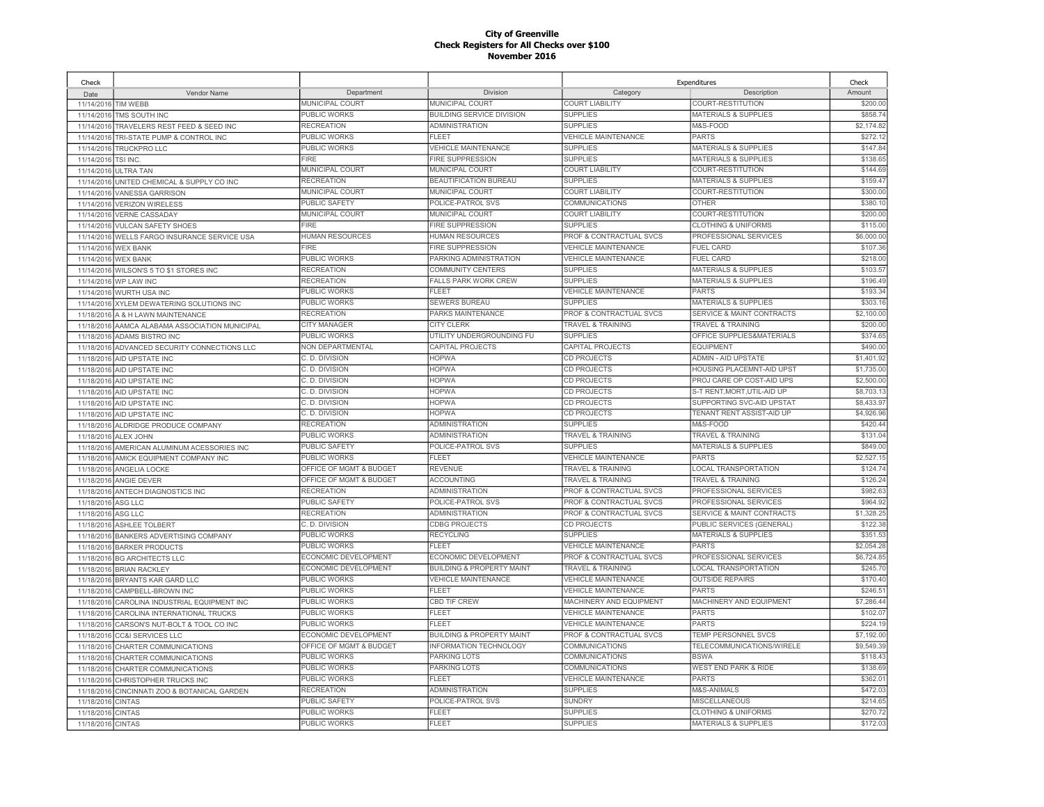| Check                    |                                                  |                         |                                      |                              | Expenditures                         | Check      |
|--------------------------|--------------------------------------------------|-------------------------|--------------------------------------|------------------------------|--------------------------------------|------------|
| Date                     | Vendor Name                                      | Department              | Division                             | Category                     | Description                          | Amount     |
| 11/14/2016 TIM WEBB      |                                                  | MUNICIPAL COURT         | <b>MUNICIPAL COURT</b>               | <b>COURT LIABILITY</b>       | COURT-RESTITUTION                    | \$200.00   |
| 11/14/2016               | TMS SOUTH INC                                    | PUBLIC WORKS            | BUILDING SERVICE DIVISION            | <b>SUPPLIES</b>              | <b>MATERIALS &amp; SUPPLIES</b>      | \$858.74   |
| 11/14/2016               | TRAVELERS REST FEED & SEED INC                   | <b>RECREATION</b>       | ADMINISTRATION                       | <b>SUPPLIES</b>              | M&S-FOOD                             | \$2,174.82 |
| 11/14/2016               | TRI-STATE PUMP & CONTROL INC                     | PUBLIC WORKS            | FLEET                                | <b>VEHICLE MAINTENANCE</b>   | <b>PARTS</b>                         | \$272.12   |
| 11/14/2016               | <b>TRUCKPRO LLC</b>                              | <b>PUBLIC WORKS</b>     | <b>VEHICLE MAINTENANCE</b>           | <b>SUPPLIES</b>              | <b>MATERIALS &amp; SUPPLIES</b>      | \$147.84   |
| 11/14/2016               | <b>TSI INC</b>                                   | <b>FIRE</b>             | <b>FIRE SUPPRESSION</b>              | <b>SUPPLIES</b>              | <b>MATERIALS &amp; SUPPLIES</b>      | \$138.65   |
| 11/14/2016               | <b>ULTRA TAN</b>                                 | MUNICIPAL COURT         | MUNICIPAL COURT                      | <b>COURT LIABILITY</b>       | COURT-RESTITUTION                    | \$144.69   |
| 11/14/2016               | UNITED CHEMICAL & SUPPLY CO INC                  | <b>RECREATION</b>       | BEAUTIFICATION BUREAU                | <b>SUPPLIES</b>              | <b>MATERIALS &amp; SUPPLIES</b>      | \$159.47   |
| 11/14/2016               | <b>VANESSA GARRISON</b>                          | MUNICIPAL COURT         | MUNICIPAL COURT                      | <b>COURT LIABILITY</b>       | COURT-RESTITUTION                    | \$300.00   |
| 11/14/2016               | <b>VERIZON WIRELESS</b>                          | PUBLIC SAFETY           | POLICE-PATROL SVS                    | COMMUNICATIONS               | <b>OTHER</b>                         | \$380.1    |
| 11/14/2016               | <b>VERNE CASSADAY</b>                            | MUNICIPAL COURT         | MUNICIPAL COURT                      | <b>COURT LIABILITY</b>       | COURT-RESTITUTION                    | \$200.00   |
| 11/14/2016               | <b>VULCAN SAFETY SHOES</b>                       | <b>FIRE</b>             | <b>FIRE SUPPRESSION</b>              | <b>SUPPLIES</b>              | <b>CLOTHING &amp; UNIFORMS</b>       | \$115.00   |
| 11/14/2016               | WELLS FARGO INSURANCE SERVICE USA                | <b>HUMAN RESOURCES</b>  | <b>HUMAN RESOURCES</b>               | PROF & CONTRACTUAL SVCS      | PROFESSIONAL SERVICES                | \$6,000.0  |
| 11/14/2016               | <b>WEX BANK</b>                                  | <b>FIRE</b>             | <b>FIRE SUPPRESSION</b>              | <b>VEHICLE MAINTENANCE</b>   | <b>FUEL CARD</b>                     | \$107.3    |
| 11/14/2016               | <b>WEX BANK</b>                                  | <b>PUBLIC WORKS</b>     | PARKING ADMINISTRATION               | <b>VEHICLE MAINTENANCE</b>   | <b>FUEL CARD</b>                     | \$218.00   |
|                          | 11/14/2016 WILSON'S 5 TO \$1 STORES INC          | <b>RECREATION</b>       | COMMUNITY CENTERS                    | <b>SUPPLIES</b>              | <b>MATERIALS &amp; SUPPLIES</b>      | \$103.57   |
| 11/14/2016               | WP LAW INC                                       | <b>RECREATION</b>       | <b>FALLS PARK WORK CREW</b>          | <b>SUPPLIES</b>              | <b>MATERIALS &amp; SUPPLIES</b>      | \$196.49   |
| 11/14/2016               | WURTH USA INC                                    | <b>PUBLIC WORKS</b>     | FI FFT                               | <b>VEHICLE MAINTENANCE</b>   | PARTS                                | \$193.3    |
| 11/14/2016               | XYLEM DEWATERING SOLUTIONS INC                   | PUBLIC WORKS            | <b>SEWERS BUREAU</b>                 | <b>SUPPLIES</b>              | <b>MATERIALS &amp; SUPPLIES</b>      | \$303.1    |
| 11/18/2016               | A & H LAWN MAINTENANCE                           | <b>RECREATION</b>       | PARKS MAINTENANCE                    | PROF & CONTRACTUAL SVCS      | <b>SERVICE &amp; MAINT CONTRACTS</b> | \$2,100.00 |
| 11/18/2016               | AAMCA ALABAMA ASSOCIATION MUNICIPAL              | <b>CITY MANAGER</b>     | <b>CITY CLERK</b>                    | <b>TRAVEL &amp; TRAINING</b> | <b>TRAVEL &amp; TRAINING</b>         | \$200.0    |
| 11/18/2016               | ADAMS BISTRO INC                                 | <b>PUBLIC WORKS</b>     | UTILITY UNDERGROUNDING FU            | <b>SUPPLIES</b>              | OFFICE SUPPLIES&MATERIALS            | \$374.65   |
| 11/18/2016               | ADVANCED SECURITY CONNECTIONS LLC                | <b>NON DEPARTMENTAL</b> | CAPITAL PROJECTS                     | CAPITAL PROJECTS             | <b>EQUIPMENT</b>                     | \$490.00   |
|                          | 11/18/2016 AID UPSTATE INC                       | C. D. DIVISION          | <b>HOPWA</b>                         | CD PROJECTS                  | <b>ADMIN - AID UPSTATE</b>           | \$1,401.92 |
| 11/18/2016               | AID UPSTATE INC                                  | C. D. DIVISION          | <b>HOPWA</b>                         | <b>CD PROJECTS</b>           | <b>HOUSING PLACEMNT-AID UPST</b>     | \$1,735.00 |
|                          | 11/18/2016 AID UPSTATE INC                       | C. D. DIVISION          | <b>HOPWA</b>                         | <b>CD PROJECTS</b>           | PROJ CARE OP COST-AID UPS            | \$2,500.0  |
| 11/18/2016               | AID UPSTATE INC                                  | C. D. DIVISION          | <b>HOPWA</b>                         | CD PROJECTS                  | S-T RENT, MORT, UTIL-AID UP          | \$8,703.1  |
|                          | 11/18/2016 AID UPSTATE INC                       | C. D. DIVISION          | <b>HOPWA</b>                         | <b>CD PROJECTS</b>           | SUPPORTING SVC-AID UPSTAT            | \$8,433.97 |
| 11/18/2016               | AID UPSTATE INC                                  | C. D. DIVISION          | <b>HOPWA</b>                         | <b>CD PROJECTS</b>           | TENANT RENT ASSIST-AID UP            | \$4,926.96 |
|                          | 11/18/2016 ALDRIDGE PRODUCE COMPANY              | <b>RECREATION</b>       | <b>ADMINISTRATION</b>                | <b>SUPPLIES</b>              | M&S-FOOD                             | \$420.44   |
| 11/18/2016               | ALEX JOHN                                        | PUBLIC WORKS            | <b>ADMINISTRATION</b>                | <b>TRAVEL &amp; TRAINING</b> | <b>TRAVEL &amp; TRAINING</b>         | \$131.04   |
|                          | 11/18/2016 AMERICAN ALUMINUM ACESSORIES INC      | PUBLIC SAFETY           | POLICE-PATROL SVS                    | <b>SUPPLIES</b>              | <b>MATERIALS &amp; SUPPLIES</b>      | \$849.00   |
| 11/18/2016               | AMICK EQUIPMENT COMPANY INC                      | PUBLIC WORKS            | <b>FLEET</b>                         | <b>VEHICLE MAINTENANCE</b>   | <b>PARTS</b>                         | \$2,527.1  |
| 11/18/2016               | ANGELIA LOCKE                                    | OFFICE OF MGMT & BUDGET | <b>REVENUE</b>                       | <b>TRAVEL &amp; TRAINING</b> | <b>LOCAL TRANSPORTATION</b>          | \$124.74   |
| 11/18/2016               | ANGIE DEVER                                      | OFFICE OF MGMT & BUDGET | ACCOUNTING                           | <b>TRAVEL &amp; TRAINING</b> | <b>TRAVEL &amp; TRAINING</b>         | \$126.24   |
| 11/18/2016               | ANTECH DIAGNOSTICS INC                           | <b>RECREATION</b>       | <b>ADMINISTRATION</b>                | PROF & CONTRACTUAL SVCS      | PROFESSIONAL SERVICES                | \$982.63   |
| 11/18/2016               | ASG LLC                                          | <b>PUBLIC SAFETY</b>    | POLICE-PATROL SVS                    | PROF & CONTRACTUAL SVCS      | PROFESSIONAL SERVICES                | \$964.92   |
| 11/18/2016               | ASG LLC                                          | <b>RECREATION</b>       | ADMINISTRATION                       | PROF & CONTRACTUAL SVCS      | SERVICE & MAINT CONTRACTS            | \$1,328.25 |
| 11/18/2016               | <b>ASHLEE TOLBERT</b>                            | C. D. DIVISION          | <b>CDBG PROJECTS</b>                 | <b>CD PROJECTS</b>           | PUBLIC SERVICES (GENERAL)            | \$122.38   |
|                          | 11/18/2016 BANKERS ADVERTISING COMPANY           | PUBLIC WORKS            | <b>RECYCLING</b>                     | <b>SUPPLIES</b>              | MATERIALS & SUPPLIES                 | \$351.53   |
|                          | 11/18/2016 BARKER PRODUCTS                       | PUBLIC WORKS            | FLEET                                | <b>VEHICLE MAINTENANCE</b>   | PARTS                                | \$2,054.28 |
|                          | 11/18/2016 BG ARCHITECTS LLC                     | ECONOMIC DEVELOPMENT    | ECONOMIC DEVELOPMENT                 | PROF & CONTRACTUAL SVCS      | PROFESSIONAL SERVICES                | \$6,724.85 |
|                          | 11/18/2016 BRIAN RACKLEY                         | ECONOMIC DEVELOPMENT    | <b>BUILDING &amp; PROPERTY MAINT</b> | <b>TRAVEL &amp; TRAINING</b> | <b>LOCAL TRANSPORTATION</b>          | \$245.70   |
|                          | 11/18/2016 BRYANTS KAR GARD LLC                  | PUBLIC WORKS            | <b>VEHICLE MAINTENANCE</b>           | <b>VEHICLE MAINTENANCE</b>   | <b>OUTSIDE REPAIRS</b>               | \$170.40   |
| 11/18/2016               | CAMPBELL-BROWN INC                               | <b>PUBLIC WORKS</b>     | <b>FLEET</b>                         | <b>VEHICLE MAINTENANCE</b>   | <b>PARTS</b>                         | \$246.5    |
| 11/18/2016               | CAROLINA INDUSTRIAL EQUIPMENT INC                | PUBLIC WORKS            | CBD TIF CREW                         | MACHINERY AND EQUIPMENT      | MACHINERY AND EQUIPMENT              | \$7,286.44 |
| 11/18/2016               | CAROLINA INTERNATIONAL TRUCKS                    | PUBLIC WORKS            | FLEET                                | <b>VEHICLE MAINTENANCE</b>   | <b>PARTS</b>                         | \$102.07   |
| 11/18/2016               | CARSON'S NUT-BOLT & TOOL CO INC                  | PUBLIC WORKS            | <b>FLEET</b>                         | <b>VEHICLE MAINTENANCE</b>   | <b>PARTS</b>                         | \$224.1    |
| 11/18/2016               | <b>CC&amp;I SERVICES LLC</b>                     | ECONOMIC DEVELOPMENT    | <b>BUILDING &amp; PROPERTY MAINT</b> | PROF & CONTRACTUAL SVCS      | TEMP PERSONNEL SVCS                  | \$7,192.0  |
| 11/18/2016               | CHARTER COMMUNICATIONS                           | OFFICE OF MGMT & BUDGET | INFORMATION TECHNOLOGY               | <b>COMMUNICATIONS</b>        | TELECOMMUNICATIONS/WIRELE            | \$9,549.39 |
|                          |                                                  | <b>PUBLIC WORKS</b>     | <b>PARKING LOTS</b>                  | <b>COMMUNICATIONS</b>        | <b>BSWA</b>                          | \$118.43   |
| 11/18/2016               | CHARTER COMMUNICATIONS                           | PUBLIC WORKS            | <b>PARKING LOTS</b>                  | COMMUNICATIONS               | <b>WEST END PARK &amp; RIDE</b>      | \$138.6    |
| 11/18/2016<br>11/18/2016 | CHARTER COMMUNICATIONS<br>CHRISTOPHER TRUCKS INC | <b>PUBLIC WORKS</b>     | FLEET                                | <b>VEHICLE MAINTENANCE</b>   | PARTS                                | \$362.0    |
|                          |                                                  | <b>RECREATION</b>       | <b>ADMINISTRATION</b>                | <b>SUPPLIES</b>              | <b>M&amp;S-ANIMALS</b>               | \$472.03   |
| 11/18/2016               | CINCINNATI ZOO & BOTANICAL GARDEN                | <b>PUBLIC SAFETY</b>    | POLICE-PATROL SVS                    | <b>SUNDRY</b>                | <b>MISCELLANEOUS</b>                 | \$214.65   |
| 11/18/2016               | <b>CINTAS</b>                                    | <b>PUBLIC WORKS</b>     | <b>FLEET</b>                         | <b>SUPPLIES</b>              | <b>CLOTHING &amp; UNIFORMS</b>       | \$270.72   |
| 11/18/2016               | <b>CINTAS</b>                                    | <b>PUBLIC WORKS</b>     | FLEET                                | <b>SUPPLIES</b>              | <b>MATERIALS &amp; SUPPLIES</b>      | \$172.03   |
| 11/18/2016 CINTAS        |                                                  |                         |                                      |                              |                                      |            |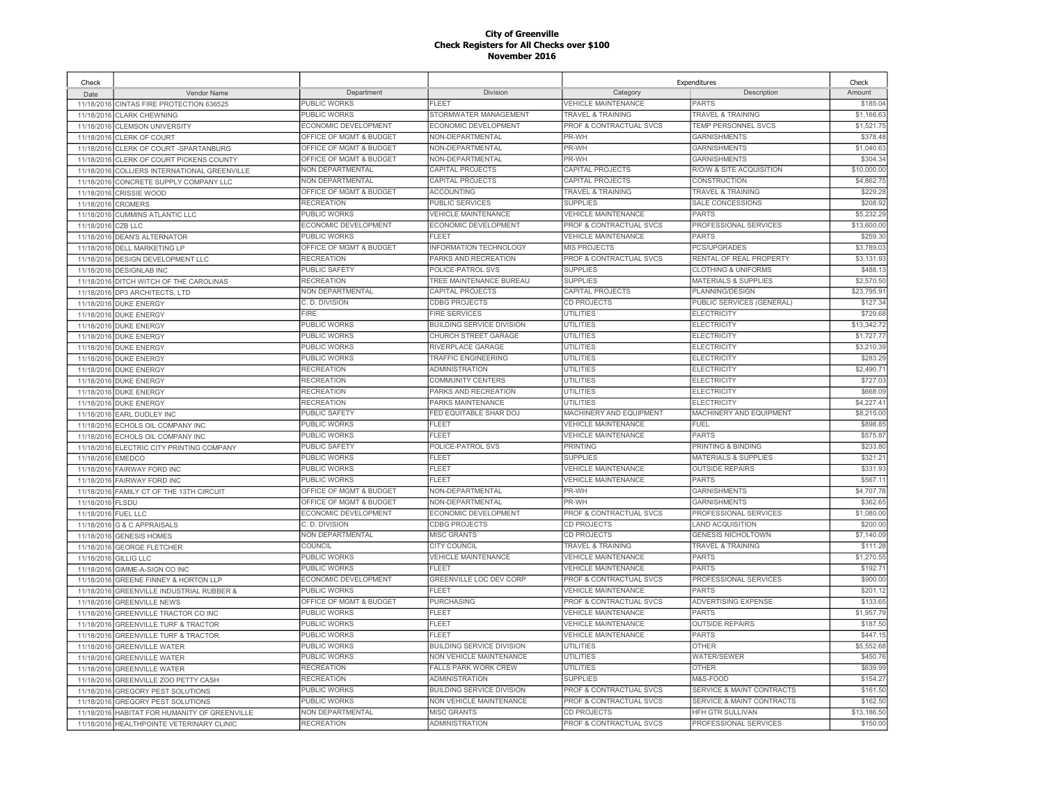| Check      |                                           |                             |                                  | Expenditures                       |                                      | Check       |
|------------|-------------------------------------------|-----------------------------|----------------------------------|------------------------------------|--------------------------------------|-------------|
| Date       | Vendor Name                               | Department                  | Division                         | Category                           | Description                          | Amount      |
| 11/18/2016 | CINTAS FIRE PROTECTION 636525             | PUBLIC WORKS                | FLEET                            | <b>VEHICLE MAINTENANCE</b>         | <b>PARTS</b>                         | \$185.04    |
| 11/18/2016 | <b>CLARK CHEWNING</b>                     | PUBLIC WORKS                | STORMWATER MANAGEMENT            | <b>TRAVEL &amp; TRAINING</b>       | <b>TRAVEL &amp; TRAINING</b>         | \$1,166.63  |
| 11/18/2016 | <b>CLEMSON UNIVERSITY</b>                 | ECONOMIC DEVELOPMENT        | ECONOMIC DEVELOPMENT             | PROF & CONTRACTUAL SVCS            | TEMP PERSONNEL SVCS                  | \$1,521.75  |
| 11/18/2016 | <b>CLERK OF COURT</b>                     | OFFICE OF MGMT & BUDGET     | NON-DEPARTMENTAL                 | PR-WH                              | GARNISHMENTS                         | \$378.48    |
| 11/18/2016 | CLERK OF COURT-SPARTANBURG                | OFFICE OF MGMT & BUDGET     | NON-DEPARTMENTAL                 | PR-WH                              | <b>GARNISHMENTS</b>                  | \$1,040.63  |
| 11/18/2016 | CLERK OF COURT PICKENS COUNTY             | OFFICE OF MGMT & BUDGET     | NON-DEPARTMENTAL                 | PR-WH                              | <b>GARNISHMENTS</b>                  | \$304.34    |
| 11/18/2016 | COLLIERS INTERNATIONAL GREENVILLE         | NON DEPARTMENTAL            | CAPITAL PROJECTS                 | CAPITAL PROJECTS                   | R/O/W & SITE ACQUISITION             | \$10,000.00 |
| 11/18/2016 | CONCRETE SUPPLY COMPANY LLC               | <b>NON DEPARTMENTAL</b>     | CAPITAL PROJECTS                 | CAPITAL PROJECTS                   | CONSTRUCTION                         | \$4,862.75  |
| 11/18/2016 | <b>CRISSIE WOOD</b>                       | OFFICE OF MGMT & BUDGET     | <b>ACCOUNTING</b>                | <b>TRAVEL &amp; TRAINING</b>       | <b>TRAVEL &amp; TRAINING</b>         | \$229.28    |
| 11/18/2016 | <b>CROMERS</b>                            | <b>RECREATION</b>           | PUBLIC SERVICES                  | <b>SUPPLIES</b>                    | SALE CONCESSIONS                     | \$208.92    |
| 11/18/2016 | <b>CUMMINS ATLANTIC LLC</b>               | PUBLIC WORKS                | <b>VEHICLE MAINTENANCE</b>       | <b>VEHICLE MAINTENANCE</b>         | <b>PARTS</b>                         | \$5,232.29  |
| 11/18/2016 | CZBIIC                                    | ECONOMIC DEVELOPMENT        | ECONOMIC DEVELOPMENT             | PROF & CONTRACTUAL SVCS            | PROFESSIONAL SERVICES                | \$13,600.00 |
| 11/18/2016 | <b>DEAN'S ALTERNATOR</b>                  | <b>PUBLIC WORKS</b>         | <b>FLEET</b>                     | <b>VEHICLE MAINTENANCE</b>         | <b>PARTS</b>                         | \$259.30    |
| 11/18/2016 | <b>DELL MARKETING LP</b>                  | OFFICE OF MGMT & BUDGET     | <b>INFORMATION TECHNOLOGY</b>    | <b>MIS PROJECTS</b>                | <b>PCS/UPGRADES</b>                  | \$3,789.0   |
| 11/18/2016 | DESIGN DEVELOPMENT LLC                    | <b>RECREATION</b>           | PARKS AND RECREATION             | PROF & CONTRACTUAL SVCS            | RENTAL OF REAL PROPERTY              | \$3,131.93  |
|            | 11/18/2016 DESIGNLAB INC                  | <b>PUBLIC SAFETY</b>        | POLICE-PATROL SVS                | <b>SUPPLIES</b>                    | <b>CLOTHING &amp; UNIFORMS</b>       | \$488.1     |
| 11/18/2016 | DITCH WITCH OF THE CAROLINAS              | <b>RECREATION</b>           | TREE MAINTENANCE BUREAU          | <b>SUPPLIES</b>                    | <b>MATERIALS &amp; SUPPLIES</b>      | \$2,570.50  |
|            | 11/18/2016 DP3 ARCHITECTS, LTD            | <b>NON DEPARTMENTAL</b>     | CAPITAL PROJECTS                 | CAPITAL PROJECTS                   | <b>PLANNING/DESIGN</b>               | \$23,795.9  |
| 11/18/2016 | <b>DUKE ENERGY</b>                        | C. D. DIVISION              | <b>CDBG PROJECTS</b>             | CD PROJECTS                        | PUBLIC SERVICES (GENERAL)            | \$127.34    |
|            | 11/18/2016 DUKE ENERGY                    | <b>FIRE</b>                 | <b>FIRE SERVICES</b>             | <b>UTILITIES</b>                   | <b>ELECTRICITY</b>                   | \$729.68    |
|            |                                           | <b>PUBLIC WORKS</b>         | <b>BUILDING SERVICE DIVISION</b> | <b>UTILITIES</b>                   | <b>ELECTRICITY</b>                   | \$13,342.72 |
| 11/18/2016 | <b>DUKE ENERGY</b>                        | PUBLIC WORKS                | CHURCH STREET GARAGE             | <b>UTILITIES</b>                   | <b>ELECTRICITY</b>                   | \$1,727.7   |
|            | 11/18/2016 DUKE ENERGY                    | PUBLIC WORKS                | RIVERPLACE GARAGE                | <b>UTILITIES</b>                   | <b>ELECTRICITY</b>                   | \$3,210.39  |
| 11/18/2016 | <b>DUKE ENERGY</b>                        | PUBLIC WORKS                | <b>TRAFFIC ENGINEERING</b>       | <b>UTILITIES</b>                   | ELECTRICITY                          | \$283.29    |
| 11/18/2016 | <b>DUKE ENERGY</b>                        | <b>RECREATION</b>           | <b>ADMINISTRATION</b>            | <b>UTILITIES</b>                   | ELECTRICITY                          | \$2,490.7   |
| 11/18/2016 | <b>DUKE ENERGY</b>                        |                             |                                  | <b>UTILITIES</b>                   |                                      | \$727.03    |
| 11/18/2016 | <b>DUKE ENERGY</b>                        | <b>RECREATION</b>           | <b>COMMUNITY CENTERS</b>         |                                    | <b>ELECTRICITY</b>                   | \$668.09    |
| 11/18/2016 | <b>DUKE ENERGY</b>                        | <b>RECREATION</b>           | PARKS AND RECREATION             | <b>UTILITIES</b>                   | <b>ELECTRICITY</b>                   |             |
| 11/18/2016 | <b>DUKE ENERGY</b>                        | <b>RECREATION</b>           | PARKS MAINTENANCE                | <b>UTILITIES</b>                   | <b>ELECTRICITY</b>                   | \$4,227.4   |
| 11/18/2016 | <b>EARL DUDLEY INC</b>                    | <b>PUBLIC SAFETY</b>        | FED EQUITABLE SHAR DOJ<br>FL FET | MACHINERY AND EQUIPMENT            | MACHINERY AND EQUIPMENT              | \$8,215.00  |
| 11/18/2016 | ECHOLS OIL COMPANY INC                    | <b>PUBLIC WORKS</b>         |                                  | <b>VEHICLE MAINTENANCE</b>         | <b>FUEL</b>                          | \$898.85    |
|            | 11/18/2016 ECHOLS OIL COMPANY INC         | PUBLIC WORKS                | FLEET                            | <b>VEHICLE MAINTENANCE</b>         | <b>PARTS</b>                         | \$575.87    |
|            | 11/18/2016 ELECTRIC CITY PRINTING COMPANY | PUBLIC SAFETY               | POLICE-PATROL SVS                | <b>PRINTING</b>                    | PRINTING & BINDING                   | \$233.80    |
| 11/18/2016 | <b>EMEDCO</b>                             | PUBLIC WORKS                | <b>FLEET</b>                     | <b>SUPPLIES</b>                    | <b>MATERIALS &amp; SUPPLIES</b>      | \$321.2'    |
| 11/18/2016 | <b>FAIRWAY FORD INC</b>                   | PUBLIC WORKS                | FLEET                            | <b>VEHICLE MAINTENANCE</b>         | <b>OUTSIDE REPAIRS</b>               | \$331.93    |
|            | 11/18/2016 FAIRWAY FORD INC               | PUBLIC WORKS                | FLEET                            | <b>VEHICLE MAINTENANCE</b>         | <b>PARTS</b>                         | \$567.11    |
| 11/18/2016 | FAMILY CT OF THE 13TH CIRCUIT             | OFFICE OF MGMT & BUDGET     | NON-DEPARTMENTAL                 | PR-WH                              | <b>GARNISHMENTS</b>                  | \$4,707.78  |
| 11/18/2016 | <b>FLSDU</b>                              | OFFICE OF MGMT & BUDGET     | NON-DEPARTMENTAL                 | PR-WH                              | <b>GARNISHMENTS</b>                  | \$362.6     |
| 11/18/2016 | <b>FUEL LLC</b>                           | ECONOMIC DEVELOPMENT        | ECONOMIC DEVELOPMENT             | PROF & CONTRACTUAL SVCS            | PROFESSIONAL SERVICES                | \$1,080.00  |
|            | 11/18/2016 G & C APPRAISALS               | C. D. DIVISION              | <b>CDBG PROJECTS</b>             | CD PROJECTS                        | AND ACQUISITION                      | \$200.00    |
| 11/18/2016 | <b>GENESIS HOMES</b>                      | NON DEPARTMENTAL            | <b>MISC GRANTS</b>               | <b>CD PROJECTS</b>                 | <b>GENESIS NICHOLTOWN</b>            | \$7,140.09  |
| 11/18/2016 | <b>GEORGE FLETCHER</b>                    | COLINCIL                    | CITY COUNCIL                     | TRAVEL & TRAINING                  | <b>TRAVEL &amp; TRAINING</b>         | \$111.28    |
| 11/18/2016 | <b>GILLIG LLC</b>                         | PUBLIC WORKS                | VEHICLE MAINTENANCE              | <b>VEHICLE MAINTENANCE</b>         | <b>PARTS</b>                         | \$1,270.55  |
| 11/18/2016 | GIMME-A-SIGN CO INC                       | PUBLIC WORKS                | FLEET                            | <b>VEHICLE MAINTENANCE</b>         | PARTS                                | \$192.71    |
| 11/18/2016 | GREENE FINNEY & HORTON LLP                | <b>ECONOMIC DEVELOPMENT</b> | GREENVILLE LOC DEV CORP          | <b>PROF &amp; CONTRACTUAL SVCS</b> | PROFESSIONAL SERVICES                | \$900.00    |
| 11/18/2016 | <b>GREENVILLE INDUSTRIAL RUBBER &amp;</b> | <b>PUBLIC WORKS</b>         | FI FFT                           | <b>VEHICLE MAINTENANCE</b>         | PARTS                                | \$201.1     |
| 11/18/2016 | <b>GREENVILLE NEWS</b>                    | OFFICE OF MGMT & BUDGET     | PURCHASING                       | PROF & CONTRACTUAL SVCS            | ADVERTISING EXPENSE                  | \$133.65    |
| 11/18/2016 | GREENVILLE TRACTOR CO INC                 | PUBLIC WORKS                | FLEET                            | <b>VEHICLE MAINTENANCE</b>         | <b>PARTS</b>                         | \$1,957.79  |
| 11/18/2016 | <b>GREENVILLE TURF &amp; TRACTOR</b>      | <b>PUBLIC WORKS</b>         | <b>FLEET</b>                     | <b>VEHICLE MAINTENANCE</b>         | <b>OUTSIDE REPAIRS</b>               | \$187.50    |
| 11/18/2016 | <b>GREENVILLE TURF &amp; TRACTOR</b>      | <b>PUBLIC WORKS</b>         | <b>FLEET</b>                     | <b>VEHICLE MAINTENANCE</b>         | <b>PARTS</b>                         | \$447.1     |
| 11/18/2016 | <b>GREENVILLE WATER</b>                   | <b>PUBLIC WORKS</b>         | BUILDING SERVICE DIVISION        | <b>UTILITIES</b>                   | <b>OTHER</b>                         | \$5,552.68  |
| 11/18/2016 | <b>GREENVILLE WATER</b>                   | PUBLIC WORKS                | NON VEHICLE MAINTENANCE          | <b>UTILITIES</b>                   | WATER/SEWER                          | \$450.76    |
| 11/18/2016 | <b>GREENVILLE WATER</b>                   | <b>RECREATION</b>           | <b>FALLS PARK WORK CREW</b>      | <b>UTILITIES</b>                   | <b>OTHER</b>                         | \$639.99    |
| 11/18/2016 | GREENVILLE ZOO PETTY CASH                 | <b>RECREATION</b>           | <b>ADMINISTRATION</b>            | <b>SUPPLIES</b>                    | M&S-FOOD                             | \$154.27    |
| 11/18/2016 | <b>GREGORY PEST SOLUTIONS</b>             | PUBLIC WORKS                | <b>BUILDING SERVICE DIVISION</b> | PROF & CONTRACTUAL SVCS            | SERVICE & MAINT CONTRACTS            | \$161.50    |
| 11/18/201  | <b>GREGORY PEST SOLUTIONS</b>             | <b>PUBLIC WORKS</b>         | NON VEHICLE MAINTENANCE          | PROF & CONTRACTUAL SVCS            | <b>SERVICE &amp; MAINT CONTRACTS</b> | \$162.50    |
| 11/18/2016 | HABITAT FOR HUMANITY OF GREENVILLE        | NON DEPARTMENTAL            | <b>MISC GRANTS</b>               | <b>CD PROJECTS</b>                 | <b>HFH GTR SULLIVAN</b>              | \$13,186,50 |
|            | 11/18/2016 HEALTHPOINTE VETERINARY CLINIC | <b>RECREATION</b>           | <b>ADMINISTRATION</b>            | PROF & CONTRACTUAL SVCS            | PROFESSIONAL SERVICES                | \$150.00    |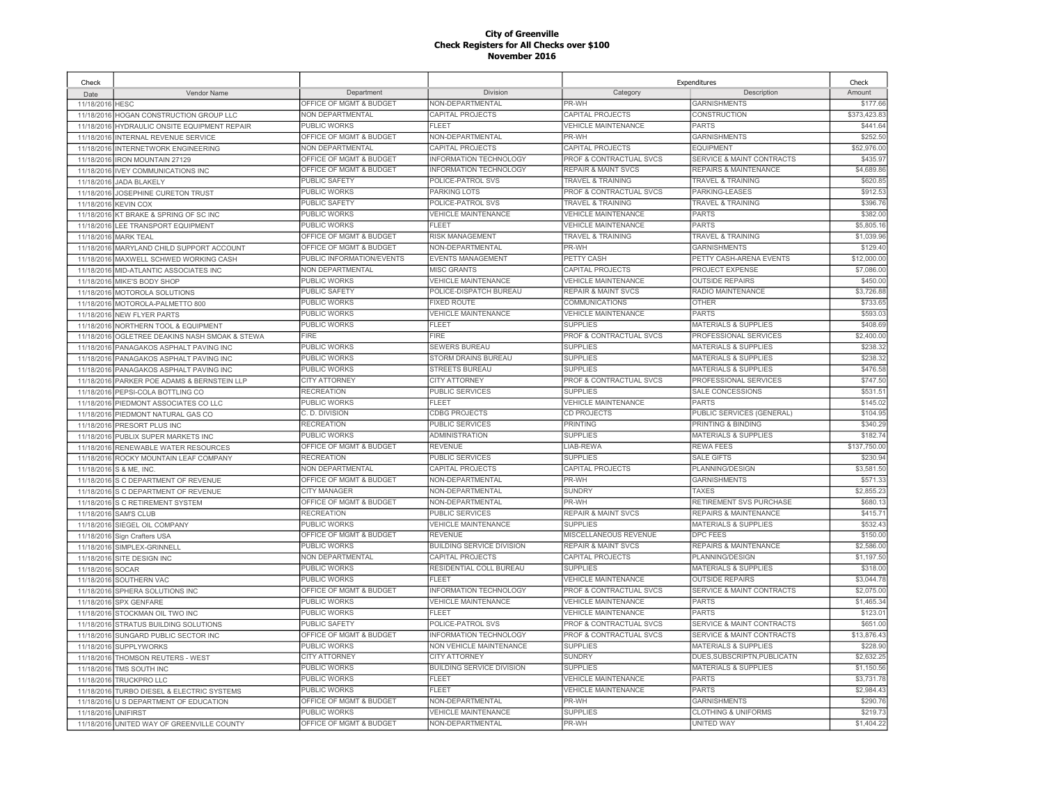| Check            |                                            |                           |                                  | Expenditures                       |                                      | Check        |
|------------------|--------------------------------------------|---------------------------|----------------------------------|------------------------------------|--------------------------------------|--------------|
| Date             | Vendor Name                                | Department                | Division                         | Category                           | Description                          | Amount       |
| 11/18/2016       | <b>HESC</b>                                | OFFICE OF MGMT & BUDGET   | NON-DEPARTMENTAL                 | PR-WH                              | <b>GARNISHMENTS</b>                  | \$177.66     |
| 11/18/2016       | HOGAN CONSTRUCTION GROUP LLC               | <b>NON DEPARTMENTAL</b>   | CAPITAL PROJECTS                 | CAPITAL PROJECTS                   | <b>CONSTRUCTION</b>                  | \$373,423.83 |
| 11/18/2016       | HYDRAULIC ONSITE EQUIPMENT REPAIR          | PUBLIC WORKS              | FLEET                            | <b>VEHICLE MAINTENANCE</b>         | <b>PARTS</b>                         | \$441.64     |
| 11/18/2016       | <b>INTERNAL REVENUE SERVICE</b>            | OFFICE OF MGMT & BUDGET   | NON-DEPARTMENTAL                 | PR-WH                              | <b>GARNISHMENTS</b>                  | \$252.50     |
| 11/18/2016       | INTERNETWORK ENGINEERING                   | <b>NON DEPARTMENTAL</b>   | CAPITAL PROJECTS                 | <b>CAPITAL PROJECTS</b>            | <b>EQUIPMENT</b>                     | \$52,976.00  |
| 11/18/2016       | RON MOUNTAIN 27129                         | OFFICE OF MGMT & BUDGET   | <b>INFORMATION TECHNOLOGY</b>    | PROF & CONTRACTUAL SVCS            | <b>SERVICE &amp; MAINT CONTRACTS</b> | \$435.9      |
| 11/18/2016       | <b>IVEY COMMUNICATIONS INC</b>             | OFFICE OF MGMT & BUDGET   | <b>INFORMATION TECHNOLOGY</b>    | <b>REPAIR &amp; MAINT SVCS</b>     | <b>REPAIRS &amp; MAINTENANCE</b>     | \$4,689.86   |
| 11/18/2016       | <b>JADA BLAKELY</b>                        | <b>PUBLIC SAFETY</b>      | POLICE-PATROL SVS                | <b>TRAVEL &amp; TRAINING</b>       | <b>TRAVEL &amp; TRAINING</b>         | \$620.85     |
| 11/18/2016       | JOSEPHINE CURETON TRUST                    | PUBLIC WORKS              | <b>PARKING LOTS</b>              | PROF & CONTRACTUAL SVCS            | PARKING-LEASES                       | \$912.53     |
| 11/18/2016       | <b>KEVIN COX</b>                           | PUBLIC SAFETY             | POLICE-PATROL SVS                | <b>TRAVEL &amp; TRAINING</b>       | TRAVEL & TRAINING                    | \$396.76     |
| 11/18/2016       | KT BRAKE & SPRING OF SC INC                | PUBLIC WORKS              | <b>VEHICLE MAINTENANCE</b>       | <b>VEHICLE MAINTENANCE</b>         | <b>PARTS</b>                         | \$382.00     |
| 11/18/2016       | LEE TRANSPORT EQUIPMENT                    | PUBLIC WORKS              | FLEET                            | <b>VEHICLE MAINTENANCE</b>         | <b>PARTS</b>                         | \$5,805.16   |
| 11/18/2016       | <b>MARK TEAL</b>                           | OFFICE OF MGMT & BUDGET   | RISK MANAGEMENT                  | <b>TRAVEL &amp; TRAINING</b>       | <b>TRAVEL &amp; TRAINING</b>         | \$1,039.96   |
| 11/18/2016       | MARYLAND CHILD SUPPORT ACCOUNT             | OFFICE OF MGMT & BUDGET   | NON-DEPARTMENTAL                 | PR-WH                              | <b>GARNISHMENTS</b>                  | \$129.40     |
| 11/18/2016       | MAXWELL SCHWED WORKING CASH                | PUBLIC INFORMATION/EVENTS | <b>EVENTS MANAGEMENT</b>         | PETTY CASH                         | PETTY CASH-ARENA EVENTS              | \$12,000.00  |
|                  | 11/18/2016 MID-ATLANTIC ASSOCIATES INC     | NON DEPARTMENTAL          | <b>MISC GRANTS</b>               | <b>CAPITAL PROJECTS</b>            | PROJECT EXPENSE                      | \$7,086.00   |
| 11/18/2016       | MIKE'S BODY SHOP                           | PUBLIC WORKS              | <b>VEHICLE MAINTENANCE</b>       | <b>VEHICLE MAINTENANCE</b>         | <b>OUTSIDE REPAIRS</b>               | \$450.00     |
| 11/18/2016       | <b>MOTOROLA SOLUTIONS</b>                  | <b>PUBLIC SAFETY</b>      | POLICE-DISPATCH BUREAU           | <b>REPAIR &amp; MAINT SVCS</b>     | RADIO MAINTENANCE                    | \$3,726.88   |
| 11/18/2016       | MOTOROLA-PALMETTO 800                      | PUBLIC WORKS              | <b>FIXED ROUTE</b>               | <b>COMMUNICATIONS</b>              | <b>OTHER</b>                         | \$733.65     |
|                  | 11/18/2016 NEW FLYER PARTS                 | PUBLIC WORKS              | <b>VEHICLE MAINTENANCE</b>       | <b>VEHICLE MAINTENANCE</b>         | <b>PARTS</b>                         | \$593.03     |
| 11/18/2016       | NORTHERN TOOL & EQUIPMENT                  | PUBLIC WORKS              | <b>FLEET</b>                     | <b>SUPPLIES</b>                    | <b>MATERIALS &amp; SUPPLIES</b>      | \$408.6      |
| 11/18/2016       | OGLETREE DEAKINS NASH SMOAK & STEWA        | <b>FIRE</b>               | <b>FIRE</b>                      | <b>PROF &amp; CONTRACTUAL SVCS</b> | PROFESSIONAL SERVICES                | \$2,400.00   |
| 11/18/2016       | PANAGAKOS ASPHALT PAVING INC               | <b>PUBLIC WORKS</b>       | <b>SEWERS BUREAU</b>             | <b>SUPPLIES</b>                    | <b>MATERIALS &amp; SUPPLIES</b>      | \$238.32     |
| 11/18/2016       | PANAGAKOS ASPHALT PAVING INC               | PUBLIC WORKS              | STORM DRAINS BUREAU              | <b>SUPPLIES</b>                    | <b>MATERIALS &amp; SUPPLIES</b>      | \$238.32     |
| 11/18/2016       | PANAGAKOS ASPHALT PAVING INC               | <b>PUBLIC WORKS</b>       | <b>STREETS BUREAU</b>            | <b>SUPPLIES</b>                    | <b>MATERIALS &amp; SUPPLIES</b>      | \$476.5      |
| 11/18/2016       | PARKER POE ADAMS & BERNSTEIN LLP           | <b>CITY ATTORNEY</b>      | <b>CITY ATTORNEY</b>             | <b>PROF &amp; CONTRACTUAL SVCS</b> | PROFESSIONAL SERVICES                | \$747.50     |
| 11/18/2016       | PEPSI-COLA BOTTLING CO                     | <b>RECREATION</b>         | <b>PUBLIC SERVICES</b>           | <b>SUPPLIES</b>                    | <b>SALE CONCESSIONS</b>              | \$531.5'     |
| 11/18/2016       | PIEDMONT ASSOCIATES CO LLC                 | <b>PUBLIC WORKS</b>       | FLEET                            | <b>VEHICLE MAINTENANCE</b>         | <b>PARTS</b>                         | \$145.02     |
| 11/18/2016       | PIEDMONT NATURAL GAS CO                    | C. D. DIVISION            | CDBG PROJECTS                    | CD PROJECTS                        | PUBLIC SERVICES (GENERAL)            | \$104.95     |
| 11/18/2016       | PRESORT PLUS INC                           | <b>RECREATION</b>         | PUBLIC SERVICES                  | <b>PRINTING</b>                    | PRINTING & BINDING                   | \$340.29     |
| 11/18/2016       | PUBLIX SUPER MARKETS INC                   | PUBLIC WORKS              | <b>ADMINISTRATION</b>            | <b>SUPPLIES</b>                    | <b>MATERIALS &amp; SUPPLIES</b>      | \$182.74     |
| 11/18/2016       | RENEWABLE WATER RESOURCES                  | OFFICE OF MGMT & BUDGET   | REVENUE                          | LIAB-REWA                          | <b>REWA FEES</b>                     | \$137,750.00 |
| 11/18/2016       | ROCKY MOUNTAIN LEAF COMPANY                | <b>RECREATION</b>         | PUBLIC SERVICES                  | <b>SUPPLIES</b>                    | <b>SALE GIFTS</b>                    | \$230.94     |
| 11/18/2016       | S & ME. INC.                               | NON DEPARTMENTAL          | CAPITAL PROJECTS                 | <b>CAPITAL PROJECTS</b>            | PLANNING/DESIGN                      | \$3.581.50   |
| 11/18/2016       | S C DEPARTMENT OF REVENUE                  | OFFICE OF MGMT & BUDGET   | NON-DEPARTMENTAL                 | PR-WH                              | <b>GARNISHMENTS</b>                  | \$571.33     |
| 11/18/2016       | S C DEPARTMENT OF REVENUE                  | CITY MANAGER              | NON-DEPARTMENTAL                 | <b>SUNDRY</b>                      | <b>TAXES</b>                         | \$2,855.23   |
| 11/18/2016       | S C RETIREMENT SYSTEM                      | OFFICE OF MGMT & BUDGET   | NON-DEPARTMENTAL                 | PR-WH                              | RETIREMENT SVS PURCHASE              | \$680.1      |
| 11/18/2016       | <b>SAM'S CLUB</b>                          | <b>RECREATION</b>         | PUBLIC SERVICES                  | <b>REPAIR &amp; MAINT SVCS</b>     | <b>REPAIRS &amp; MAINTENANCE</b>     | \$415.7      |
|                  | 11/18/2016 SIEGEL OIL COMPANY              | PUBLIC WORKS              | <b>VEHICLE MAINTENANCE</b>       | <b>SUPPLIES</b>                    | <b>MATERIALS &amp; SUPPLIES</b>      | \$532.43     |
| 11/18/2016       | Sign Crafters USA                          | OFFICE OF MGMT & BUDGET   | <b>REVENUE</b>                   | MISCELLANEOUS REVENUE              | <b>DPC FEES</b>                      | \$150.00     |
| 11/18/2016       | SIMPLEX-GRINNELL                           | PUBLIC WORKS              | <b>BUILDING SERVICE DIVISION</b> | <b>REPAIR &amp; MAINT SVCS</b>     | <b>REPAIRS &amp; MAINTENANCE</b>     | \$2,586.00   |
| 11/18/2016       | SITE DESIGN INC                            | NON DEPARTMENTAL          | <b>CAPITAL PROJECTS</b>          | CAPITAL PROJECTS                   | PLANNING/DESIGN                      | \$1,197.50   |
| 11/18/2016 SOCAR |                                            | <b>PUBLIC WORKS</b>       | RESIDENTIAL COLL BUREAU          | <b>SUPPLIES</b>                    | MATERIALS & SUPPLIES                 | \$318.00     |
| 11/18/2016       | SOUTHERN VAC                               | PUBLIC WORKS              | <b>FLEET</b>                     | <b>VEHICLE MAINTENANCE</b>         | <b>OUTSIDE REPAIRS</b>               | \$3,044.78   |
| 11/18/2016       | SPHERA SOLUTIONS INC                       | OFFICE OF MGMT & BUDGET   | INFORMATION TECHNOLOGY           | PROF & CONTRACTUAL SVCS            | SERVICE & MAINT CONTRACTS            | \$2,075.00   |
| 11/18/2016       | SPX GENFARE                                | PUBLIC WORKS              | <b>VEHICLE MAINTENANCE</b>       | <b>VEHICLE MAINTENANCE</b>         | <b>PARTS</b>                         | \$1,465.34   |
| 11/18/2016       | STOCKMAN OIL TWO INC                       | PUBLIC WORKS              | FLEET                            | <b>VEHICLE MAINTENANCE</b>         | <b>PARTS</b>                         | \$123.0      |
| 11/18/2016       | STRATUS BUILDING SOLUTIONS                 | <b>PUBLIC SAFETY</b>      | POLICE-PATROL SVS                | <b>PROF &amp; CONTRACTUAL SVCS</b> | <b>SERVICE &amp; MAINT CONTRACTS</b> | \$651.00     |
| 11/18/2016       | SUNGARD PUBLIC SECTOR INC                  | OFFICE OF MGMT & BUDGET   | <b>INFORMATION TECHNOLOGY</b>    | PROF & CONTRACTUAL SVCS            | <b>SERVICE &amp; MAINT CONTRACTS</b> | \$13,876.4   |
| 11/18/2016       | <b>SUPPLYWORKS</b>                         | PUBLIC WORKS              | NON VEHICLE MAINTENANCE          | <b>SUPPLIES</b>                    | <b>MATERIALS &amp; SUPPLIES</b>      | \$228.90     |
| 11/18/2016       | THOMSON REUTERS - WEST                     | <b>CITY ATTORNEY</b>      | <b>CITY ATTORNEY</b>             | <b>SUNDRY</b>                      | DUES.SUBSCRIPTN.PUBLICATN            | \$2.632.25   |
| 11/18/2016       | TMS SOUTH INC                              | <b>PUBLIC WORKS</b>       | BUILDING SERVICE DIVISION        | <b>SUPPLIES</b>                    | <b>MATERIALS &amp; SUPPLIES</b>      | \$1,150.56   |
| 11/18/2016       | TRUCKPRO LLC                               | <b>PUBLIC WORKS</b>       | FLEET                            | <b>VEHICLE MAINTENANCE</b>         | <b>PARTS</b>                         | \$3,731.78   |
| 11/18/2016       | <b>TURBO DIESEL &amp; ELECTRIC SYSTEMS</b> | <b>PUBLIC WORKS</b>       | FLEET                            | <b>VEHICLE MAINTENANCE</b>         | <b>PARTS</b>                         | \$2,984.43   |
| 11/18/2016       | U S DEPARTMENT OF EDUCATION                | OFFICE OF MGMT & BUDGET   | <b>NON-DEPARTMENTAL</b>          | PR-WH                              | <b>GARNISHMENTS</b>                  | \$290.76     |
| 11/18/2016       | <b>UNIFIRST</b>                            | PUBLIC WORKS              | <b>VEHICLE MAINTENANCE</b>       | <b>SUPPLIES</b>                    | <b>CLOTHING &amp; UNIFORMS</b>       | \$219.73     |
|                  | 11/18/2016 UNITED WAY OF GREENVILLE COUNTY | OFFICE OF MGMT & BUDGET   | NON-DEPARTMENTAL                 | PR-WH                              | <b>UNITED WAY</b>                    | \$1,404.22   |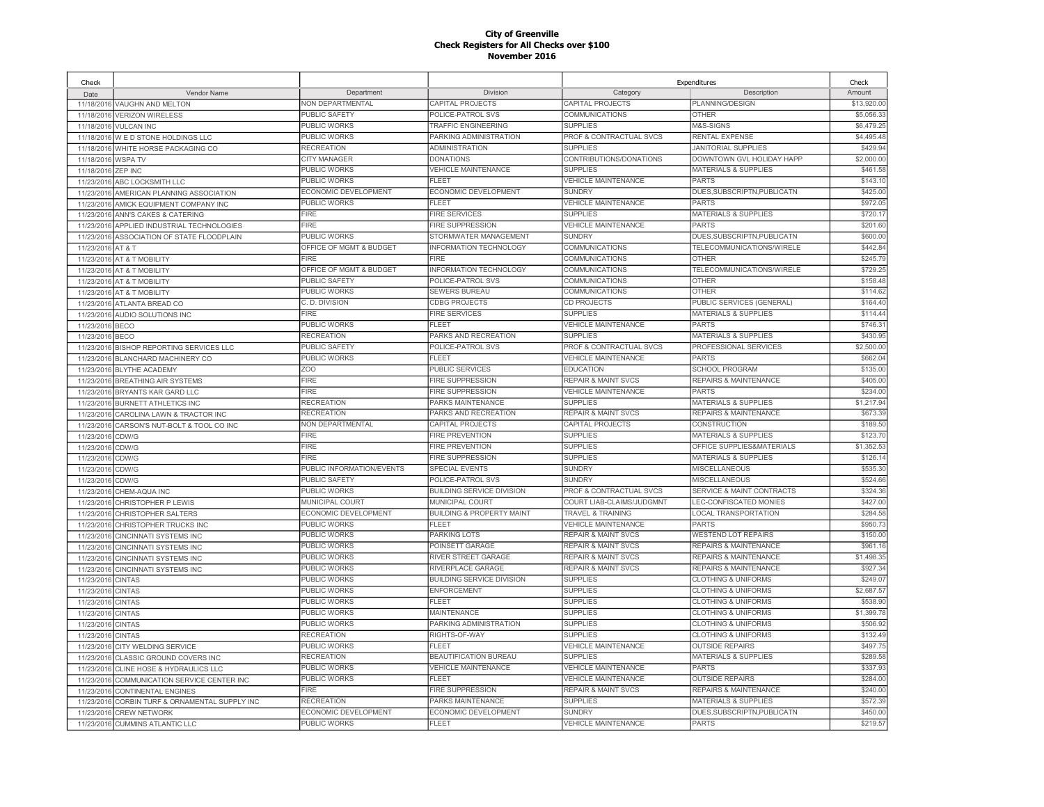| Check                    |                                                             |                           |                                      | Expenditures                   |                                                            | Check       |
|--------------------------|-------------------------------------------------------------|---------------------------|--------------------------------------|--------------------------------|------------------------------------------------------------|-------------|
| Date                     | Vendor Name                                                 | Department                | Division                             | Category                       | Description                                                | Amount      |
|                          | 11/18/2016 VAUGHN AND MELTON                                | NON DEPARTMENTAL          | CAPITAL PROJECTS                     | CAPITAL PROJECTS               | PLANNING/DESIGN                                            | \$13,920.00 |
| 11/18/2016               | <b>VERIZON WIRELESS</b>                                     | PUBLIC SAFETY             | POLICE-PATROL SVS                    | <b>COMMUNICATIONS</b>          | <b>OTHER</b>                                               | \$5,056.3   |
|                          | 11/18/2016 VULCAN INC                                       | <b>PUBLIC WORKS</b>       | <b>TRAFFIC ENGINEERING</b>           | <b>SUPPLIES</b>                | M&S-SIGNS                                                  | \$6,479.25  |
| 11/18/2016               | W E D STONE HOLDINGS LLC                                    | PUBLIC WORKS              | PARKING ADMINISTRATION               | PROF & CONTRACTUAL SVCS        | RENTAL EXPENSE                                             | \$4,495.48  |
| 11/18/2016               | WHITE HORSE PACKAGING CO                                    | <b>RECREATION</b>         | ADMINISTRATION                       | <b>SUPPLIES</b>                | <b>JANITORIAL SUPPLIES</b>                                 | \$429.94    |
| 11/18/2016               | <b>WSPATV</b>                                               | CITY MANAGER              | <b>DONATIONS</b>                     | CONTRIBUTIONS/DONATIONS        | DOWNTOWN GVL HOLIDAY HAPP                                  | \$2,000.00  |
| 11/18/2016               | <b>ZEP INC</b>                                              | <b>PUBLIC WORKS</b>       | <b>VEHICLE MAINTENANCE</b>           | <b>SUPPLIES</b>                | <b>MATERIALS &amp; SUPPLIES</b>                            | \$461.58    |
| 11/23/2016               | ABC LOCKSMITH LLC                                           | <b>PUBLIC WORKS</b>       | <b>FLEET</b>                         | <b>VEHICLE MAINTENANCE</b>     | <b>PARTS</b>                                               | \$143.10    |
| 11/23/2016               | AMERICAN PLANNING ASSOCIATION                               | ECONOMIC DEVELOPMENT      | ECONOMIC DEVELOPMENT                 | <b>SUNDRY</b>                  | DUES.SUBSCRIPTN.PUBLICATN                                  | \$425.00    |
| 11/23/2016               | AMICK EQUIPMENT COMPANY INC                                 | <b>PUBLIC WORKS</b>       | <b>FLEET</b>                         | <b>VEHICLE MAINTENANCE</b>     | <b>PARTS</b>                                               | \$972.05    |
| 11/23/2016               | ANN'S CAKES & CATERING                                      | <b>FIRE</b>               | <b>FIRE SERVICES</b>                 | <b>SUPPLIES</b>                | <b>MATERIALS &amp; SUPPLIES</b>                            | \$720.17    |
| 11/23/2016               | APPLIED INDUSTRIAL TECHNOLOGIES                             | <b>FIRE</b>               | <b>FIRE SUPPRESSION</b>              | <b>VEHICLE MAINTENANCE</b>     | <b>PARTS</b>                                               | \$201.60    |
|                          | 11/23/2016 ASSOCIATION OF STATE FLOODPLAIN                  | PUBLIC WORKS              | STORMWATER MANAGEMENT                | <b>SUNDRY</b>                  | DUES, SUBSCRIPTN, PUBLICATN                                | \$600.00    |
| 11/23/2016 AT & T        |                                                             | OFFICE OF MGMT & BUDGET   | <b>INFORMATION TECHNOLOGY</b>        | COMMUNICATIONS                 | TELECOMMUNICATIONS/WIRELE                                  | \$442.84    |
| 11/23/2016               | AT & T MOBILITY                                             | <b>FIRE</b>               | FIRE                                 | COMMUNICATIONS                 | <b>OTHER</b>                                               | \$245.79    |
|                          | 11/23/2016 AT & T MOBILITY                                  | OFFICE OF MGMT & BUDGET   | INFORMATION TECHNOLOGY               | COMMUNICATIONS                 | TELECOMMUNICATIONS/WIRELE                                  | \$729.25    |
|                          | 11/23/2016 AT & T MOBILITY                                  | PUBLIC SAFETY             | POLICE-PATROL SVS                    | COMMUNICATIONS                 | <b>OTHER</b>                                               | \$158.48    |
|                          | 11/23/2016 AT & T MOBILITY                                  | PUBLIC WORKS              | <b>SEWERS BUREAU</b>                 | COMMUNICATIONS                 | <b>OTHER</b>                                               | \$114.62    |
| 11/23/2016               | ATLANTA BREAD CO                                            | C. D. DIVISION            | <b>CDBG PROJECTS</b>                 | <b>CD PROJECTS</b>             | PUBLIC SERVICES (GENERAL)                                  | \$164.40    |
| 11/23/2016               | AUDIO SOLUTIONS INC                                         | <b>FIRE</b>               | <b>FIRE SERVICES</b>                 | <b>SUPPLIES</b>                | <b>MATERIALS &amp; SUPPLIES</b>                            | \$114.44    |
| 11/23/2016               | <b>BECO</b>                                                 | PUBLIC WORKS              | <b>FLEET</b>                         | <b>VEHICLE MAINTENANCE</b>     | <b>PARTS</b>                                               | \$746.3     |
| 11/23/2016               | <b>BECO</b>                                                 | <b>RECREATION</b>         | PARKS AND RECREATION                 | <b>SUPPLIES</b>                | <b>MATERIALS &amp; SUPPLIES</b>                            | \$430.95    |
| 11/23/2016               | BISHOP REPORTING SERVICES LLC                               | <b>PUBLIC SAFETY</b>      | POLICE-PATROL SVS                    | PROF & CONTRACTUAL SVCS        | PROFESSIONAL SERVICES                                      | \$2,500.00  |
| 11/23/2016               | BLANCHARD MACHINERY CO                                      | PUBLIC WORKS              | FLEET                                | <b>VEHICLE MAINTENANCE</b>     | <b>PARTS</b>                                               | \$662.04    |
| 11/23/2016               | <b>BLYTHE ACADEMY</b>                                       | ZO <sub>O</sub>           | PUBLIC SERVICES                      | <b>EDUCATION</b>               | <b>SCHOOL PROGRAM</b>                                      | \$135.00    |
| 11/23/2016               | <b>BREATHING AIR SYSTEMS</b>                                | <b>FIRE</b>               | <b>FIRE SUPPRESSION</b>              | <b>REPAIR &amp; MAINT SVCS</b> | <b>REPAIRS &amp; MAINTENANCE</b>                           | \$405.00    |
| 11/23/2016               | BRYANTS KAR GARD LLC                                        | <b>FIRE</b>               | <b>FIRE SUPPRESSION</b>              | <b>VEHICLE MAINTENANCE</b>     | <b>PARTS</b>                                               | \$234.00    |
|                          |                                                             | <b>RECREATION</b>         | PARKS MAINTENANCE                    | <b>SUPPLIES</b>                | <b>MATERIALS &amp; SUPPLIES</b>                            | \$1,217.94  |
| 11/23/2016<br>11/23/2016 | <b>BURNETT ATHLETICS INC</b><br>CAROLINA LAWN & TRACTOR INC | <b>RECREATION</b>         | PARKS AND RECREATION                 | <b>REPAIR &amp; MAINT SVCS</b> | REPAIRS & MAINTENANCE                                      | \$673.39    |
|                          | CARSON'S NUT-BOLT & TOOL CO INC                             | <b>NON DEPARTMENTAL</b>   | CAPITAL PROJECTS                     | <b>CAPITAL PROJECTS</b>        | <b>CONSTRUCTION</b>                                        | \$189.50    |
| 11/23/2016<br>11/23/2016 |                                                             | <b>FIRE</b>               | <b>FIRE PREVENTION</b>               | <b>SUPPLIES</b>                | <b>MATERIALS &amp; SUPPLIES</b>                            | \$123.70    |
|                          | CDW/G                                                       | <b>FIRE</b>               | <b>FIRE PREVENTION</b>               | <b>SUPPLIES</b>                | OFFICE SUPPLIES&MATERIALS                                  | \$1,352.53  |
| 11/23/2016<br>11/23/2016 | CDW/G<br>CDW/G                                              | <b>FIRE</b>               | <b>FIRE SUPPRESSION</b>              | <b>SUPPLIES</b>                | <b>MATERIALS &amp; SUPPLIES</b>                            | \$126.1     |
| 11/23/2016               | CDW/G                                                       | PUBLIC INFORMATION/EVENTS | <b>SPECIAL EVENTS</b>                | <b>SUNDRY</b>                  | MISCELLANEOUS                                              | \$535.30    |
| 11/23/2016               | CDW/G                                                       | PUBLIC SAFETY             | POLICE-PATROL SVS                    | <b>SUNDRY</b>                  | <b>MISCELLANEOUS</b>                                       | \$524.66    |
| 11/23/2016               | CHEM-AQUA INC                                               | PUBLIC WORKS              | <b>BUILDING SERVICE DIVISION</b>     | PROF & CONTRACTUAL SVCS        | SERVICE & MAINT CONTRACTS                                  | \$324.36    |
| 11/23/2016               | CHRISTOPHER P LEWIS                                         | MUNICIPAL COURT           | MUNICIPAL COURT                      | COURT LIAB-CLAIMS/JUDGMNT      | LEC-CONFISCATED MONIES                                     | \$427.00    |
| 11/23/2016               | CHRISTOPHER SALTERS                                         | ECONOMIC DEVELOPMENT      | <b>BUILDING &amp; PROPERTY MAINT</b> | <b>TRAVEL &amp; TRAINING</b>   | <b>LOCAL TRANSPORTATION</b>                                | \$284.58    |
|                          | <b>CHRISTOPHER TRUCKS INC</b>                               | PUBLIC WORKS              | <b>FLEET</b>                         | <b>VEHICLE MAINTENANCE</b>     | <b>PARTS</b>                                               | \$950.73    |
| 11/23/2016<br>11/23/2016 | <b>CINCINNATI SYSTEMS INC</b>                               | PUBLIC WORKS              | PARKING LOTS                         | <b>REPAIR &amp; MAINT SVCS</b> | <b>WESTEND LOT REPAIRS</b>                                 | \$150.00    |
| 11/23/2016               | <b>CINCINNATI SYSTEMS INC.</b>                              | <b>PUBLIC WORKS</b>       | POINSETT GARAGE                      | <b>REPAIR &amp; MAINT SVCS</b> | <b>REPAIRS &amp; MAINTENANCE</b>                           | \$961.1     |
| 11/23/2016               | <b>CINCINNATI SYSTEMS INC</b>                               | PUBLIC WORKS              | RIVER STREET GARAGE                  | <b>REPAIR &amp; MAINT SVCS</b> | <b>REPAIRS &amp; MAINTENANCE</b>                           | \$1,498.35  |
| 11/23/2016               |                                                             | PUBLIC WORKS              | RIVERPLACE GARAGE                    | <b>REPAIR &amp; MAINT SVCS</b> | REPAIRS & MAINTENANCE                                      | \$927.34    |
|                          | <b>CINCINNATI SYSTEMS INC</b>                               | PUBLIC WORKS              | <b>BUILDING SERVICE DIVISION</b>     | <b>SUPPLIES</b>                | <b>CLOTHING &amp; UNIFORMS</b>                             | \$249.0     |
| 11/23/2016<br>11/23/2016 | <b>CINTAS</b><br><b>CINTAS</b>                              | <b>PUBLIC WORKS</b>       | <b>ENFORCEMENT</b>                   | <b>SUPPLIES</b>                | <b>CLOTHING &amp; UNIFORMS</b>                             | \$2,687.5   |
|                          |                                                             | <b>PUBLIC WORKS</b>       | <b>FLEET</b>                         | <b>SUPPLIES</b>                | <b>CLOTHING &amp; UNIFORMS</b>                             | \$538.90    |
| 11/23/201                | <b>CINTAS</b><br><b>CINTAS</b>                              | PUBLIC WORKS              | <b>MAINTENANCE</b>                   | <b>SUPPLIES</b>                | <b>CLOTHING &amp; UNIFORMS</b>                             | \$1,399.78  |
| 11/23/2016<br>11/23/2016 | <b>CINTAS</b>                                               | PUBLIC WORKS              | PARKING ADMINISTRATION               | <b>SUPPLIES</b>                | <b>CLOTHING &amp; UNIFORMS</b>                             | \$506.92    |
|                          |                                                             | <b>RECREATION</b>         | RIGHTS-OF-WAY                        | <b>SUPPLIES</b>                | <b>CLOTHING &amp; UNIFORMS</b>                             | \$132.49    |
| 11/23/2016<br>11/23/2016 | <b>CINTAS</b>                                               | <b>PUBLIC WORKS</b>       | <b>FLEET</b>                         | <b>VEHICLE MAINTENANCE</b>     | <b>OUTSIDE REPAIRS</b>                                     | \$497.75    |
|                          | CITY WELDING SERVICE                                        | <b>RECREATION</b>         | BEAUTIFICATION BUREAU                | <b>SUPPLIES</b>                | <b>MATERIALS &amp; SUPPLIES</b>                            | \$289.58    |
| 11/23/2016               | CLASSIC GROUND COVERS INC                                   | <b>PUBLIC WORKS</b>       | <b>VEHICLE MAINTENANCE</b>           | <b>VEHICLE MAINTENANCE</b>     | <b>PARTS</b>                                               | \$337.93    |
| 11/23/2016               | CLINE HOSE & HYDRAULICS LLC                                 | PUBLIC WORKS              | <b>FLEET</b>                         | <b>VEHICLE MAINTENANCE</b>     |                                                            | \$284.00    |
| 11/23/2016               | COMMUNICATION SERVICE CENTER INC                            | <b>FIRE</b>               | <b>FIRE SUPPRESSION</b>              | <b>REPAIR &amp; MAINT SVCS</b> | <b>OUTSIDE REPAIRS</b><br><b>REPAIRS &amp; MAINTENANCE</b> | \$240.00    |
| 11/23/2016<br>11/23/2016 | <b>CONTINENTAL ENGINES</b>                                  | <b>RECREATION</b>         | PARKS MAINTENANCE                    | <b>SUPPLIES</b>                | <b>MATERIALS &amp; SUPPLIES</b>                            | \$572.39    |
|                          | CORBIN TURF & ORNAMENTAL SUPPLY INC                         | ECONOMIC DEVELOPMENT      | ECONOMIC DEVELOPMENT                 | <b>SUNDRY</b>                  | DUES, SUBSCRIPTN, PUBLICATN                                | \$450.00    |
| 11/23/2016               | <b>CREW NETWORK</b>                                         | <b>PUBLIC WORKS</b>       | <b>FLEET</b>                         | <b>VEHICLE MAINTENANCE</b>     | <b>PARTS</b>                                               | \$219.57    |
|                          | 11/23/2016 CUMMINS ATLANTIC LLC                             |                           |                                      |                                |                                                            |             |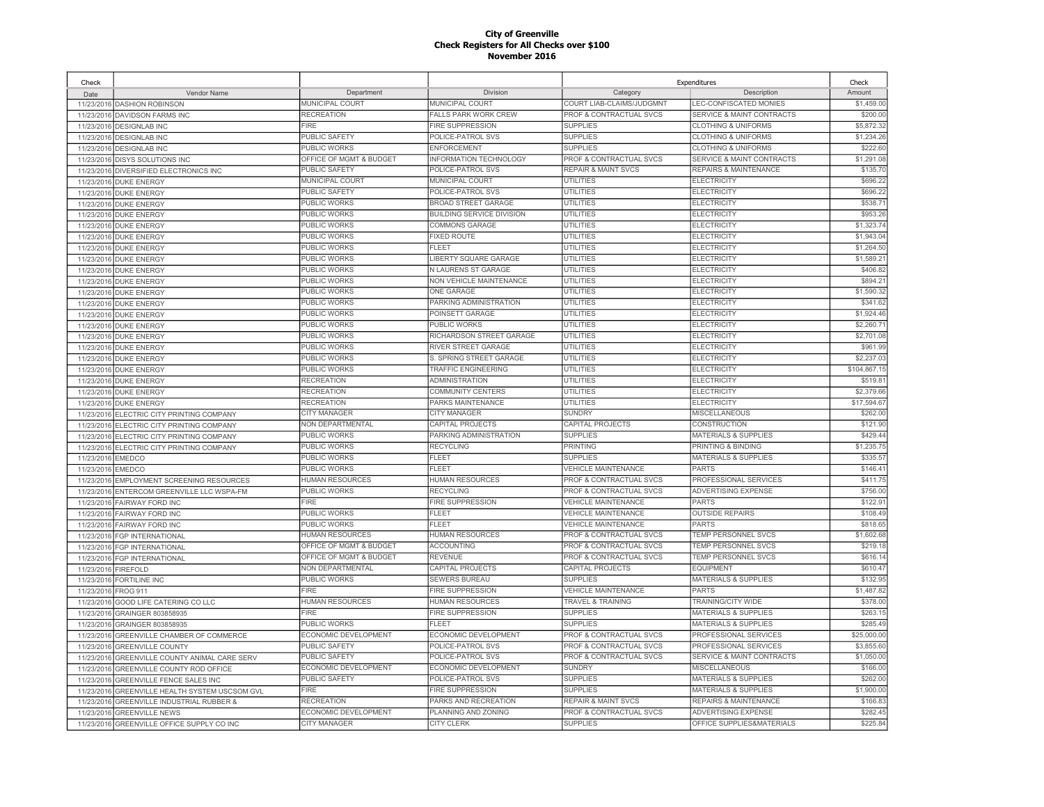| Check      |                                            |                         |                                  |                                | Expenditures                         | Check        |
|------------|--------------------------------------------|-------------------------|----------------------------------|--------------------------------|--------------------------------------|--------------|
| Date       | Vendor Name                                | Department              | Division                         | Category                       | Description                          | Amount       |
| 11/23/2016 | <b>DASHION ROBINSON</b>                    | MUNICIPAL COURT         | MUNICIPAL COURT                  | COURT LIAB-CLAIMS/JUDGMNT      | LEC-CONFISCATED MONIES               | \$1,459.00   |
| 11/23/2016 | <b>DAVIDSON FARMS INC</b>                  | <b>RECREATION</b>       | <b>FALLS PARK WORK CREW</b>      | PROF & CONTRACTUAL SVCS        | <b>SERVICE &amp; MAINT CONTRACTS</b> | \$200.00     |
| 11/23/2016 | <b>DESIGNLAB INC</b>                       | FIRE                    | <b>FIRE SUPPRESSION</b>          | <b>SUPPLIES</b>                | <b>CLOTHING &amp; UNIFORMS</b>       | \$5,872.32   |
| 11/23/2016 | <b>DESIGNLAB INC</b>                       | PUBLIC SAFETY           | POLICE-PATROL SVS                | <b>SUPPLIES</b>                | <b>CLOTHING &amp; UNIFORMS</b>       | \$1,234.26   |
| 11/23/2016 | <b>DESIGNLAB INC</b>                       | <b>PUBLIC WORKS</b>     | ENFORCEMENT                      | <b>SUPPLIES</b>                | <b>CLOTHING &amp; UNIFORMS</b>       | \$222.60     |
| 11/23/2016 | <b>DISYS SOLUTIONS INC</b>                 | OFFICE OF MGMT & BUDGET | INFORMATION TECHNOLOGY           | PROF & CONTRACTUAL SVCS        | <b>SERVICE &amp; MAINT CONTRACTS</b> | \$1,291.08   |
| 11/23/2016 | DIVERSIFIED ELECTRONICS INC                | PUBLIC SAFETY           | POLICE-PATROL SVS                | <b>REPAIR &amp; MAINT SVCS</b> | <b>REPAIRS &amp; MAINTENANCE</b>     | \$135.70     |
| 11/23/2016 | <b>DUKE ENERGY</b>                         | MUNICIPAL COURT         | MUNICIPAL COURT                  | <b>UTILITIES</b>               | <b>ELECTRICITY</b>                   | \$696.22     |
| 11/23/2016 | <b>DUKE ENERGY</b>                         | <b>PUBLIC SAFETY</b>    | POLICE-PATROL SVS                | <b>UTILITIES</b>               | <b>ELECTRICITY</b>                   | \$696.22     |
| 11/23/2016 | <b>DUKE ENERGY</b>                         | PUBLIC WORKS            | <b>BROAD STREET GARAGE</b>       | UTILITIES                      | <b>ELECTRICITY</b>                   | \$538.71     |
| 11/23/2016 | <b>DUKE ENERGY</b>                         | PUBLIC WORKS            | <b>BUILDING SERVICE DIVISION</b> | <b>UTILITIES</b>               | <b>ELECTRICITY</b>                   | \$953.26     |
| 11/23/2016 | <b>DUKE ENERGY</b>                         | PUBLIC WORKS            | COMMONS GARAGE                   | <b>UTILITIES</b>               | <b>ELECTRICITY</b>                   | \$1,323.74   |
| 11/23/201  | <b>DUKE ENERGY</b>                         | <b>PUBLIC WORKS</b>     | <b>FIXED ROUTE</b>               | <b>UTILITIES</b>               | <b>ELECTRICITY</b>                   | \$1,943.04   |
| 11/23/2016 | <b>DUKE ENERGY</b>                         | <b>PUBLIC WORKS</b>     | EL FET                           | <b>UTILITIES</b>               | <b>ELECTRICITY</b>                   | \$1,264.50   |
| 11/23/2016 | <b>DUKE ENERGY</b>                         | PUBLIC WORKS            | LIBERTY SQUARE GARAGE            | <b>UTILITIES</b>               | <b>ELECTRICITY</b>                   | \$1,589.2    |
| 11/23/2016 | <b>DUKE ENERGY</b>                         | PUBLIC WORKS            | <b>N LAURENS ST GARAGE</b>       | <b>UTILITIES</b>               | <b>ELECTRICITY</b>                   | \$406.82     |
| 11/23/2016 | <b>DUKE ENERGY</b>                         | PUBLIC WORKS            | NON VEHICLE MAINTENANCE          | UTILITIES                      | <b>ELECTRICITY</b>                   | \$894.2      |
| 11/23/2016 | <b>DUKE ENERGY</b>                         | <b>PUBLIC WORKS</b>     | ONE GARAGE                       | <b>UTILITIES</b>               | <b>ELECTRICITY</b>                   | \$1,590.32   |
| 11/23/2016 | <b>DUKE ENERGY</b>                         | PUBLIC WORKS            | PARKING ADMINISTRATION           | <b>UTILITIES</b>               | <b>ELECTRICITY</b>                   | \$341.62     |
| 11/23/2016 | <b>DUKE ENERGY</b>                         | PUBLIC WORKS            | POINSETT GARAGE                  | <b>UTILITIES</b>               | <b>ELECTRICITY</b>                   | \$1,924.46   |
| 11/23/2016 | <b>DUKE ENERGY</b>                         | PUBLIC WORKS            | <b>PUBLIC WORKS</b>              | <b>UTILITIES</b>               | <b>ELECTRICITY</b>                   | \$2,260.7    |
| 11/23/2016 | <b>DUKE ENERGY</b>                         | PUBLIC WORKS            | RICHARDSON STREET GARAGE         | <b>UTILITIES</b>               | <b>ELECTRICITY</b>                   | \$2,701.08   |
| 11/23/2016 | <b>DUKE ENERGY</b>                         | PUBLIC WORKS            | RIVER STREET GARAGE              | UTILITIES                      | <b>ELECTRICITY</b>                   | \$961.99     |
| 11/23/2016 | <b>DUKE ENERGY</b>                         | PUBLIC WORKS            | S. SPRING STREET GARAGE          | <b>UTILITIES</b>               | <b>ELECTRICITY</b>                   | \$2,237.03   |
| 11/23/2016 | <b>DUKE ENERGY</b>                         | PUBLIC WORKS            | TRAFFIC ENGINEERING              | UTILITIES                      | <b>ELECTRICITY</b>                   | \$104,867.15 |
| 11/23/2016 | <b>DUKE ENERGY</b>                         | <b>RECREATION</b>       | <b>ADMINISTRATION</b>            | <b>UTILITIES</b>               | <b>ELECTRICITY</b>                   | \$519.8      |
| 11/23/2016 | <b>DUKE ENERGY</b>                         | <b>RECREATION</b>       | COMMUNITY CENTERS                | <b>UTILITIES</b>               | <b>ELECTRICITY</b>                   | \$2,379.66   |
| 11/23/2016 | <b>DUKE ENERGY</b>                         | <b>RECREATION</b>       | PARKS MAINTENANCE                | UTILITIES                      | <b>ELECTRICITY</b>                   | \$17,594.67  |
| 11/23/2016 | ELECTRIC CITY PRINTING COMPANY             | <b>CITY MANAGER</b>     | CITY MANAGER                     | <b>SUNDRY</b>                  | <b>MISCELLANEOUS</b>                 | \$262.00     |
| 11/23/2016 | ELECTRIC CITY PRINTING COMPANY             | NON DEPARTMENTAL        | CAPITAL PROJECTS                 | CAPITAL PROJECTS               | CONSTRUCTION                         | \$121.90     |
| 11/23/2016 | ELECTRIC CITY PRINTING COMPANY             | PUBLIC WORKS            | PARKING ADMINISTRATION           | <b>SUPPLIES</b>                | <b>MATERIALS &amp; SUPPLIES</b>      | \$429.44     |
| 11/23/2016 | ELECTRIC CITY PRINTING COMPANY             | PUBLIC WORKS            | <b>RECYCLING</b>                 | <b>PRINTING</b>                | PRINTING & BINDING                   | \$1,235.75   |
| 11/23/2016 | <b>EMEDCO</b>                              | <b>PUBLIC WORKS</b>     | <b>FLEET</b>                     | <b>SUPPLIES</b>                | <b>MATERIALS &amp; SUPPLIES</b>      | \$335.57     |
| 11/23/2016 | <b>EMEDCO</b>                              | PUBLIC WORKS            | FLEET                            | <b>VEHICLE MAINTENANCE</b>     | <b>PARTS</b>                         | \$146.41     |
| 11/23/2016 | <b>EMPLOYMENT SCREENING RESOURCES</b>      | HUMAN RESOURCES         | HUMAN RESOURCES                  | PROF & CONTRACTUAL SVCS        | PROFESSIONAL SERVICES                | \$411.75     |
| 11/23/2016 | ENTERCOM GREENVILLE LLC WSPA-FM            | <b>PUBLIC WORKS</b>     | <b>RECYCLING</b>                 | PROF & CONTRACTUAL SVCS        | <b>ADVERTISING EXPENSE</b>           | \$756.00     |
| 11/23/2016 | <b>FAIRWAY FORD INC</b>                    | FIRE                    | <b>FIRE SUPPRESSION</b>          | <b>VEHICLE MAINTENANCE</b>     | <b>PARTS</b>                         | \$122.9      |
| 11/23/2016 | FAIRWAY FORD INC                           | <b>PUBLIC WORKS</b>     | FLEET                            | <b>VEHICLE MAINTENANCE</b>     | <b>OUTSIDE REPAIRS</b>               | \$108.49     |
| 11/23/2016 | <b>FAIRWAY FORD INC</b>                    | PUBLIC WORKS            | <b>FLEET</b>                     | <b>VEHICLE MAINTENANCE</b>     | <b>PARTS</b>                         | \$818.65     |
| 11/23/2016 | <b>FGP INTERNATIONAL</b>                   | <b>HUMAN RESOURCES</b>  | <b>HUMAN RESOURCES</b>           | PROF & CONTRACTUAL SVCS        | <b>TEMP PERSONNEL SVCS</b>           | \$1,602.68   |
| 11/23/2016 | <b>FGP INTERNATIONAL</b>                   | OFFICE OF MGMT & BUDGET | <b>ACCOUNTING</b>                | PROF & CONTRACTUAL SVCS        | <b>TEMP PERSONNEL SVCS</b>           | \$219.18     |
| 11/23/2016 | FGP INTERNATIONAL                          | OFFICE OF MGMT & BUDGET | <b>REVENUE</b>                   | PROF & CONTRACTUAL SVCS        | TEMP PERSONNEL SVCS                  | \$616.14     |
| 11/23/2016 | <b>FIREFOLD</b>                            | NON DEPARTMENTAL        | CAPITAL PROJECTS                 | CAPITAL PROJECTS               | <b>EQUIPMENT</b>                     | \$610.47     |
| 11/23/2016 | <b>FORTILINE INC</b>                       | PUBLIC WORKS            | <b>SEWERS BUREAU</b>             | <b>SUPPLIES</b>                | <b>MATERIALS &amp; SUPPLIES</b>      | \$132.95     |
| 11/23/2016 | <b>FROG 911</b>                            | FIRE                    | <b>FIRE SUPPRESSION</b>          | <b>VEHICLE MAINTENANCE</b>     | <b>PARTS</b>                         | \$1,487.82   |
| 11/23/2016 | GOOD LIFE CATERING CO LLC                  | HUMAN RESOURCES         | HUMAN RESOURCES                  | TRAVEL & TRAINING              | TRAINING/CITY WIDE                   | \$378.00     |
| 11/23/2016 | GRAINGER 803858935                         | FIRE                    | FIRE SUPPRESSION                 | <b>SUPPLIES</b>                | <b>MATERIALS &amp; SUPPLIES</b>      | \$263.15     |
| 11/23/2016 | GRAINGER 803858935                         | PUBLIC WORKS            | <b>FLEET</b>                     | <b>SUPPLIES</b>                | <b>MATERIALS &amp; SUPPLIES</b>      | \$285.49     |
| 11/23/2016 | GREENVILLE CHAMBER OF COMMERCE             | ECONOMIC DEVELOPMENT    | ECONOMIC DEVELOPMENT             | PROF & CONTRACTUAL SVCS        | PROFESSIONAL SERVICES                | \$25,000.00  |
| 11/23/2016 | <b>GREENVILLE COUNTY</b>                   | PUBLIC SAFETY           | POLICE-PATROL SVS                | PROF & CONTRACTUAL SVCS        | PROFESSIONAL SERVICES                | \$3,855.60   |
| 11/23/2016 | GREENVILLE COUNTY ANIMAL CARE SERV         | PUBLIC SAFETY           | POLICE-PATROL SVS                | PROF & CONTRACTUAL SVCS        | SERVICE & MAINT CONTRACTS            | \$1,050.00   |
| 11/23/2016 | <b>GREENVILLE COUNTY ROD OFFICE</b>        | ECONOMIC DEVELOPMENT    | <b>ECONOMIC DEVELOPMENT</b>      | <b>SUNDRY</b>                  | <b>MISCELLANEOUS</b>                 | \$166.00     |
| 11/23/2016 | <b>GREENVILLE FENCE SALES INC</b>          | PUBLIC SAFETY           | POLICE-PATROL SVS                | <b>SUPPLIES</b>                | <b>MATERIALS &amp; SUPPLIES</b>      | \$262.00     |
| 11/23/2016 | <b>GREENVILLE HEALTH SYSTEM USCSOM GVL</b> | <b>FIRE</b>             | <b>FIRE SUPPRESSION</b>          | <b>SUPPLIES</b>                | MATERIALS & SUPPLIES                 | \$1,900.00   |
| 11/23/2016 | <b>GREENVILLE INDUSTRIAL RUBBER &amp;</b>  | <b>RECREATION</b>       | PARKS AND RECREATION             | <b>REPAIR &amp; MAINT SVCS</b> | <b>REPAIRS &amp; MAINTENANCE</b>     | \$166.83     |
|            |                                            | ECONOMIC DEVELOPMENT    | PLANNING AND ZONING              | PROF & CONTRACTUAL SVCS        | ADVERTISING EXPENSE                  | \$282.45     |
| 11/23/2016 | <b>GREENVILLE NEWS</b>                     | <b>CITY MANAGER</b>     | <b>CITY CLERK</b>                | <b>SUPPLIES</b>                | OFFICE SUPPLIES&MATERIALS            | \$225.84     |
| 11/23/2016 | GREENVILLE OFFICE SUPPLY CO INC            |                         |                                  |                                |                                      |              |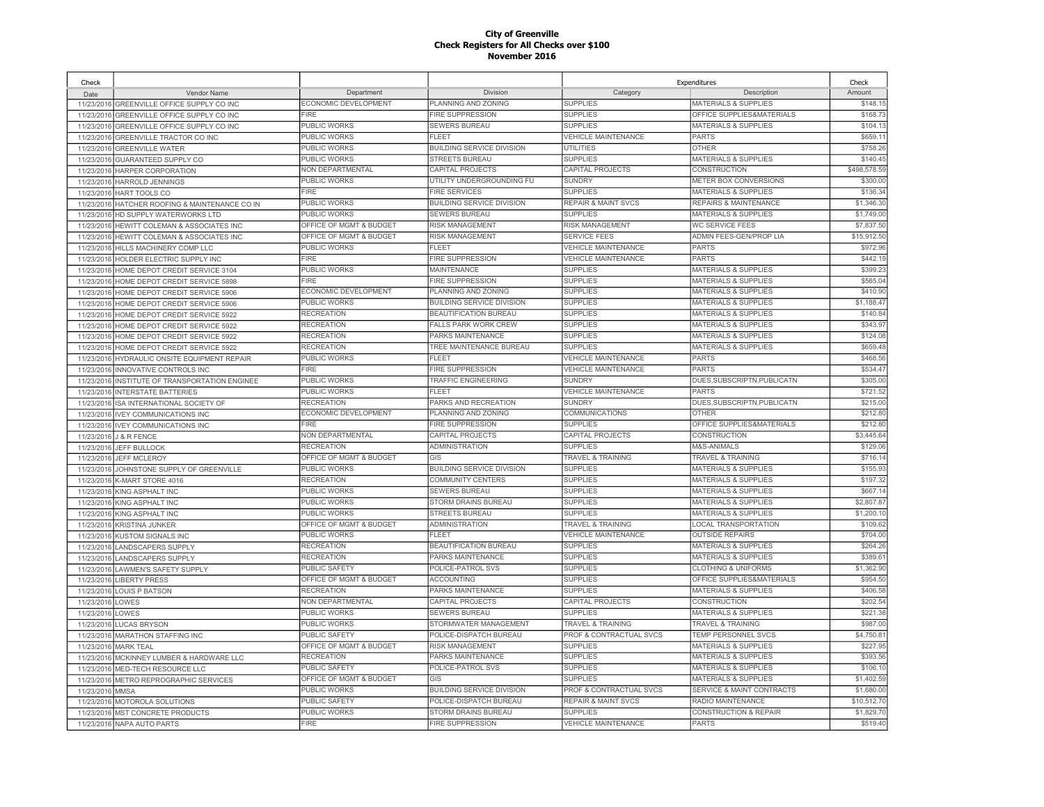| Check      |                                     |                             |                                  |                                | Expenditures                         | Check        |
|------------|-------------------------------------|-----------------------------|----------------------------------|--------------------------------|--------------------------------------|--------------|
| Date       | Vendor Name                         | Department                  | Division                         | Category                       | Description                          | Amount       |
| 11/23/2016 | GREENVILLE OFFICE SUPPLY CO INC     | ECONOMIC DEVELOPMENT        | PLANNING AND ZONING              | <b>SUPPLIES</b>                | <b>MATERIALS &amp; SUPPLIES</b>      | \$148.1      |
| 11/23/2016 | GREENVILLE OFFICE SUPPLY CO INC     | FIRE                        | <b>FIRE SUPPRESSION</b>          | <b>SUPPLIES</b>                | OFFICE SUPPLIES&MATERIALS            | \$168.73     |
| 11/23/2016 | GREENVILLE OFFICE SUPPLY CO INC     | <b>PUBLIC WORKS</b>         | <b>SEWERS BUREAU</b>             | <b>SUPPLIES</b>                | <b>MATERIALS &amp; SUPPLIES</b>      | \$104.1      |
| 11/23/2016 | GREENVILLE TRACTOR CO INC           | <b>PUBLIC WORKS</b>         | <b>FLEET</b>                     | <b>VEHICLE MAINTENANCE</b>     | <b>PARTS</b>                         | \$659.1      |
| 11/23/2016 | <b>GREENVILLE WATER</b>             | <b>PUBLIC WORKS</b>         | <b>BUILDING SERVICE DIVISION</b> | <b>UTILITIES</b>               | <b>OTHER</b>                         | \$758.26     |
| 11/23/2016 | GUARANTEED SUPPLY CO                | PUBLIC WORKS                | <b>STREETS BUREAU</b>            | <b>SUPPLIES</b>                | <b>MATERIALS &amp; SUPPLIES</b>      | \$140.4      |
| 11/23/2016 | HARPER CORPORATION                  | NON DEPARTMENTAL            | CAPITAL PROJECTS                 | CAPITAL PROJECTS               | <b>CONSTRUCTION</b>                  | \$498,578.59 |
| 11/23/2016 | HARROLD JENNINGS                    | PUBLIC WORKS                | UTILITY UNDERGROUNDING FU        | <b>SUNDRY</b>                  | METER BOX CONVERSIONS                | \$300.00     |
| 11/23/2016 | HART TOOLS CO                       | FIRF                        | <b>FIRE SERVICES</b>             | <b>SUPPLIES</b>                | <b>MATERIALS &amp; SUPPLIES</b>      | \$136.34     |
| 11/23/2016 | HATCHER ROOFING & MAINTENANCE CO IN | <b>PUBLIC WORKS</b>         | <b>BUILDING SERVICE DIVISION</b> | <b>REPAIR &amp; MAINT SVCS</b> | REPAIRS & MAINTENANCE                | \$1,346.30   |
| 11/23/2016 | HD SUPPLY WATERWORKS LTD            | PUBLIC WORKS                | <b>SEWERS BUREAU</b>             | <b>SUPPLIES</b>                | <b>MATERIALS &amp; SUPPLIES</b>      | \$1,749.00   |
| 11/23/2016 | HEWITT COLEMAN & ASSOCIATES INC     | OFFICE OF MGMT & BUDGET     | RISK MANAGEMENT                  | RISK MANAGEMENT                | WC SERVICE FEES                      | \$7,837.50   |
| 11/23/2016 | HEWITT COLEMAN & ASSOCIATES INC     | OFFICE OF MGMT & BUDGET     | <b>RISK MANAGEMENT</b>           | <b>SERVICE FEES</b>            | ADMIN FEES-GEN/PROP LIA              | \$15,912.50  |
| 11/23/2016 | HILLS MACHINERY COMP LLC            | PUBLIC WORKS                | <b>FLEET</b>                     | <b>VEHICLE MAINTENANCE</b>     | PARTS                                | \$972.96     |
| 11/23/2016 | HOLDER ELECTRIC SUPPLY INC          | <b>FIRE</b>                 | <b>FIRE SUPPRESSION</b>          | <b>VEHICLE MAINTENANCE</b>     | <b>PARTS</b>                         | \$442.19     |
| 11/23/2016 | HOME DEPOT CREDIT SERVICE 3104      | PUBLIC WORKS                | MAINTENANCE                      | <b>SUPPLIES</b>                | <b>MATERIALS &amp; SUPPLIES</b>      | \$399.2      |
| 11/23/2016 | HOME DEPOT CREDIT SERVICE 5898      | <b>FIRE</b>                 | <b>FIRE SUPPRESSION</b>          | <b>SUPPLIES</b>                | <b>MATERIALS &amp; SUPPLIES</b>      | \$565.04     |
| 11/23/2016 | HOME DEPOT CREDIT SERVICE 5906      | ECONOMIC DEVELOPMENT        | PLANNING AND ZONING              | <b>SUPPLIES</b>                | <b>MATERIALS &amp; SUPPLIES</b>      | \$410.90     |
| 11/23/2016 | HOME DEPOT CREDIT SERVICE 5906      | <b>PUBLIC WORKS</b>         | <b>BUILDING SERVICE DIVISION</b> | <b>SUPPLIES</b>                | <b>MATERIALS &amp; SUPPLIES</b>      | \$1,188.47   |
| 11/23/2016 | HOME DEPOT CREDIT SERVICE 5922      | <b>RECREATION</b>           | BEAUTIFICATION BUREAU            | <b>SUPPLIES</b>                | <b>MATERIALS &amp; SUPPLIES</b>      | \$140.84     |
| 11/23/201  | HOME DEPOT CREDIT SERVICE 5922      | <b>RECREATION</b>           | <b>FALLS PARK WORK CREW</b>      | <b>SUPPLIES</b>                | <b>MATERIALS &amp; SUPPLIES</b>      | \$343.9      |
| 11/23/2016 | HOME DEPOT CREDIT SERVICE 5922      | <b>RECREATION</b>           | PARKS MAINTENANCE                | <b>SUPPLIES</b>                | <b>MATERIALS &amp; SUPPLIES</b>      | \$124.0      |
| 11/23/201  | HOME DEPOT CREDIT SERVICE 5922      | <b>RECREATION</b>           | TREE MAINTENANCE BUREAU          | <b>SUPPLIES</b>                | <b>MATERIALS &amp; SUPPLIES</b>      | \$659.48     |
| 11/23/2016 | HYDRAULIC ONSITE EQUIPMENT REPAIR   | <b>PUBLIC WORKS</b>         | FI FFT                           | <b>VEHICLE MAINTENANCE</b>     | PARTS                                | \$468.56     |
| 11/23/201  | INNOVATIVE CONTROLS INC             | <b>FIRE</b>                 | FIRE SUPPRESSION                 | <b>VEHICLE MAINTENANCE</b>     | <b>PARTS</b>                         | \$534.4      |
| 11/23/2016 | INSTITUTE OF TRANSPORTATION ENGINEE | <b>PUBLIC WORKS</b>         | <b>TRAFFIC ENGINEERING</b>       | <b>SUNDRY</b>                  | DUES.SUBSCRIPTN.PUBLICATN            | \$305.00     |
| 11/23/2016 | <b>INTERSTATE BATTERIES</b>         | <b>PUBLIC WORKS</b>         | FI FFT                           | <b>VEHICLE MAINTENANCE</b>     | <b>PARTS</b>                         | \$721.52     |
| 11/23/2016 | ISA INTERNATIONAL SOCIETY OF        | <b>RECREATION</b>           | PARKS AND RECREATION             | <b>SUNDRY</b>                  | DUES, SUBSCRIPTN, PUBLICATN          | \$215.00     |
| 11/23/2016 | <b>IVEY COMMUNICATIONS INC</b>      | <b>ECONOMIC DEVELOPMENT</b> | PLANNING AND ZONING              | <b>COMMUNICATIONS</b>          | <b>OTHER</b>                         | \$212.80     |
| 11/23/2016 | <b>IVEY COMMUNICATIONS INC</b>      | <b>FIRE</b>                 | <b>FIRE SUPPRESSION</b>          | <b>SUPPLIES</b>                | OFFICE SUPPLIES&MATERIALS            | \$212.80     |
| 11/23/2016 | <b>J &amp; R FENCE</b>              | NON DEPARTMENTAL            | CAPITAL PROJECTS                 | <b>CAPITAL PROJECTS</b>        | <b>CONSTRUCTION</b>                  | \$3,445.64   |
|            | 11/23/2016 JEFF BULLOCK             | <b>RECREATION</b>           | <b>ADMINISTRATION</b>            | <b>SUPPLIES</b>                | M&S-ANIMALS                          | \$129.06     |
| 11/23/2016 | JEFF MCLEROY                        | OFFICE OF MGMT & BUDGET     | GIS                              | <b>TRAVEL &amp; TRAINING</b>   | <b>TRAVEL &amp; TRAINING</b>         | \$716.1      |
| 11/23/2016 | JOHNSTONE SUPPLY OF GREENVILLE      | <b>PUBLIC WORKS</b>         | <b>BUILDING SERVICE DIVISION</b> | <b>SUPPLIES</b>                | <b>MATERIALS &amp; SUPPLIES</b>      | \$155.93     |
| 11/23/2016 | K-MART STORE 4016                   | <b>RECREATION</b>           | COMMUNITY CENTERS                | <b>SUPPLIES</b>                | <b>MATERIALS &amp; SUPPLIES</b>      | \$197.32     |
| 11/23/2016 | <b>KING ASPHALT INC</b>             | PUBLIC WORKS                | <b>SEWERS BUREAU</b>             | <b>SUPPLIES</b>                | <b>MATERIALS &amp; SUPPLIES</b>      | \$667.1      |
| 11/23/2016 | KING ASPHALT INC                    | PUBLIC WORKS                | STORM DRAINS BUREAU              | <b>SUPPLIES</b>                | <b>MATERIALS &amp; SUPPLIES</b>      | \$2,807.87   |
| 11/23/2016 | KING ASPHALT INC                    | PUBLIC WORKS                | STREETS BUREAU                   | <b>SUPPLIES</b>                | <b>MATERIALS &amp; SUPPLIES</b>      | \$1,200.1    |
| 11/23/2016 | <b>KRISTINA JUNKER</b>              | OFFICE OF MGMT & BUDGET     | ADMINISTRATION                   | TRAVEL & TRAINING              | <b>LOCAL TRANSPORTATION</b>          | \$109.62     |
| 11/23/2016 | <b>KUSTOM SIGNALS INC</b>           | PUBLIC WORKS                | FLEET                            | <b>VEHICLE MAINTENANCE</b>     | <b>OUTSIDE REPAIRS</b>               | \$704.00     |
| 11/23/2016 | <b>LANDSCAPERS SUPPLY</b>           | <b>RECREATION</b>           | <b>BEAUTIFICATION BUREAU</b>     | <b>SUPPLIES</b>                | MATERIALS & SUPPLIES                 | \$264.26     |
| 11/23/2016 | <b>LANDSCAPERS SUPPLY</b>           | <b>RECREATION</b>           | PARKS MAINTENANCE                | <b>SUPPLIES</b>                | <b>MATERIALS &amp; SUPPLIES</b>      | \$389.6      |
| 11/23/2016 | <b>LAWMEN'S SAFETY SUPPLY</b>       | PUBLIC SAFETY               | POLICE-PATROL SVS                | <b>SUPPLIES</b>                | <b>CLOTHING &amp; UNIFORMS</b>       | \$1,362.90   |
| 11/23/2016 | <b>LIBERTY PRESS</b>                | OFFICE OF MGMT & BUDGET     | <b>ACCOUNTING</b>                | <b>SUPPLIES</b>                | OFFICE SUPPLIES&MATERIALS            | \$954.50     |
| 11/23/2016 | LOUIS P BATSON                      | <b>RECREATION</b>           | PARKS MAINTENANCE                | <b>SUPPLIES</b>                | <b>MATERIALS &amp; SUPPLIES</b>      | \$406.58     |
| 11/23/2016 | LOWES                               | NON DEPARTMENTAL            | CAPITAL PROJECTS                 | CAPITAL PROJECTS               | CONSTRUCTION                         | \$202.54     |
| 11/23/2016 | LOWES                               | PUBLIC WORKS                | SEWERS BUREAU                    | <b>SUPPLIES</b>                | <b>MATERIALS &amp; SUPPLIES</b>      | \$221.38     |
| 11/23/2016 | <b>LUCAS BRYSON</b>                 | PUBLIC WORKS                | STORMWATER MANAGEMENT            | <b>TRAVEL &amp; TRAINING</b>   | <b>TRAVEL &amp; TRAINING</b>         | \$987.0      |
| 11/23/2016 | <b>MARATHON STAFFING INC</b>        | <b>PUBLIC SAFETY</b>        | POLICE-DISPATCH BUREAU           | PROF & CONTRACTUAL SVCS        | <b>TEMP PERSONNEL SVCS</b>           | \$4.750.8    |
| 11/23/2016 | <b>MARK TEAL</b>                    | OFFICE OF MGMT & BUDGET     | RISK MANAGEMENT                  | <b>SUPPLIES</b>                | <b>MATERIALS &amp; SUPPLIES</b>      | \$227.95     |
| 11/23/2016 | MCKINNEY LUMBER & HARDWARE LLC      | <b>RECREATION</b>           | PARKS MAINTENANCE                | <b>SUPPLIES</b>                | <b>MATERIALS &amp; SUPPLIES</b>      | \$393.56     |
| 11/23/201  | MED-TECH RESOURCE LLC               | PUBLIC SAFETY               | POLICE-PATROL SVS                | <b>SUPPLIES</b>                | <b>MATERIALS &amp; SUPPLIES</b>      | \$106.1      |
| 11/23/2016 | METRO REPROGRAPHIC SERVICES         | OFFICE OF MGMT & BUDGET     | <b>GIS</b>                       | <b>SUPPLIES</b>                | <b>MATERIALS &amp; SUPPLIES</b>      | \$1,402.59   |
| 11/23/2016 | <b>MMSA</b>                         | PUBLIC WORKS                | <b>BUILDING SERVICE DIVISION</b> | PROF & CONTRACTUAL SVCS        | <b>SERVICE &amp; MAINT CONTRACTS</b> | \$1,680.00   |
| 11/23/2016 | MOTOROLA SOLUTIONS                  | PUBLIC SAFETY               | POLICE-DISPATCH BUREAU           | <b>REPAIR &amp; MAINT SVCS</b> | RADIO MAINTENANCE                    | \$10,512.70  |
| 11/23/2016 | MST CONCRETE PRODUCTS               | PUBLIC WORKS                | STORM DRAINS BUREAU              | <b>SUPPLIES</b>                | <b>CONSTRUCTION &amp; REPAIR</b>     | \$1,829.70   |
|            | 11/23/2016 NAPA AUTO PARTS          | <b>FIRE</b>                 | <b>FIRE SUPPRESSION</b>          | <b>VEHICLE MAINTENANCE</b>     | <b>PARTS</b>                         | \$519.40     |
|            |                                     |                             |                                  |                                |                                      |              |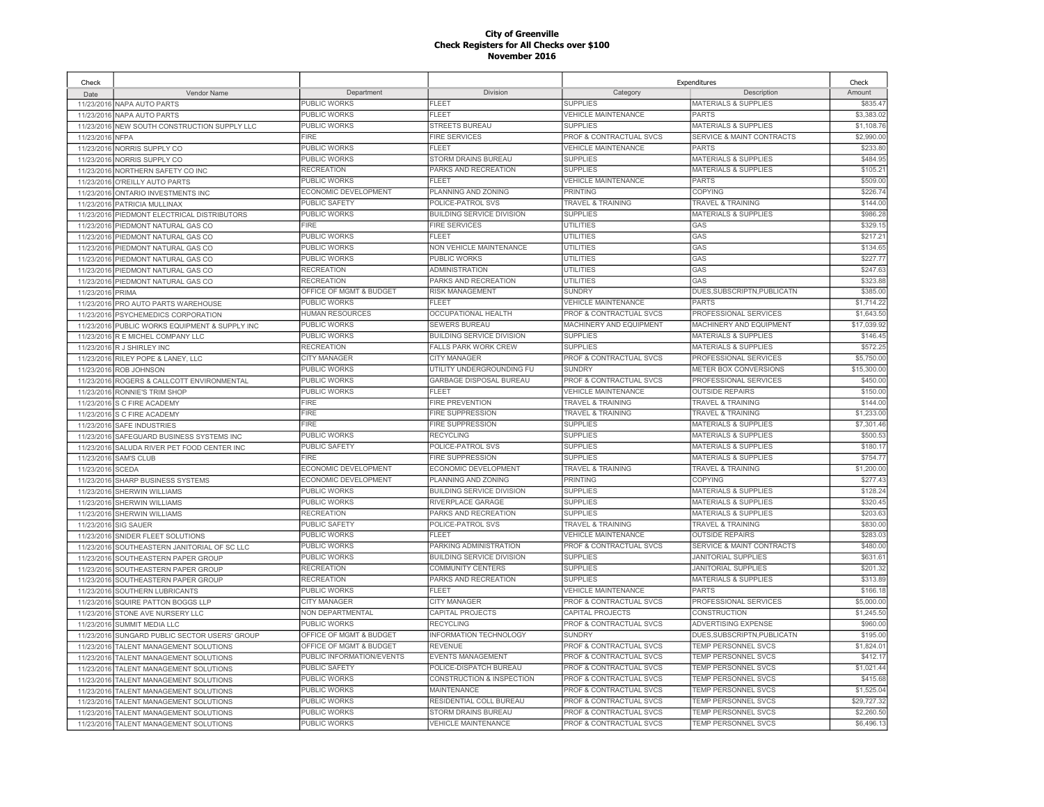| Check      |                                        |                           |                                  | Expenditures                       |                                      | Check       |
|------------|----------------------------------------|---------------------------|----------------------------------|------------------------------------|--------------------------------------|-------------|
| Date       | Vendor Name                            | Department                | Division                         | Category                           | Description                          | Amount      |
| 11/23/2016 | NAPA AUTO PARTS                        | PUBLIC WORKS              | FLEET                            | <b>SUPPLIES</b>                    | MATERIALS & SUPPLIES                 | \$835.47    |
| 11/23/2016 | <b>NAPA AUTO PARTS</b>                 | <b>PUBLIC WORKS</b>       | FLEET                            | <b>VEHICLE MAINTENANCE</b>         | PARTS                                | \$3,383.02  |
| 11/23/2016 | NEW SOUTH CONSTRUCTION SUPPLY LLC      | PUBLIC WORKS              | <b>STREETS BUREAU</b>            | <b>SUPPLIES</b>                    | MATERIALS & SUPPLIES                 | \$1,108.76  |
| 11/23/2016 | <b>NFPA</b>                            | <b>FIRE</b>               | <b>FIRE SERVICES</b>             | PROF & CONTRACTUAL SVCS            | <b>SERVICE &amp; MAINT CONTRACTS</b> | \$2,990.00  |
| 11/23/2016 | NORRIS SUPPLY CO                       | PUBLIC WORKS              | FLEET                            | <b>VEHICLE MAINTENANCE</b>         | <b>PARTS</b>                         | \$233.80    |
| 11/23/2016 | NORRIS SUPPLY CO                       | PUBLIC WORKS              | STORM DRAINS BUREAU              | <b>SUPPLIES</b>                    | <b>MATERIALS &amp; SUPPLIES</b>      | \$484.95    |
| 11/23/201  | NORTHERN SAFETY CO INC                 | <b>RECREATION</b>         | PARKS AND RECREATION             | <b>SUPPLIES</b>                    | <b>MATERIALS &amp; SUPPLIES</b>      | \$105.21    |
| 11/23/2016 | O'REILLY AUTO PARTS                    | PUBLIC WORKS              | <b>FLEET</b>                     | <b>VEHICLE MAINTENANCE</b>         | <b>PARTS</b>                         | \$509.00    |
| 11/23/2016 | ONTARIO INVESTMENTS INC                | ECONOMIC DEVELOPMENT      | PLANNING AND ZONING              | <b>PRINTING</b>                    | COPYING                              | \$226.7     |
| 11/23/2016 | PATRICIA MULLINAX                      | <b>PUBLIC SAFETY</b>      | POLICE-PATROL SVS                | <b>TRAVEL &amp; TRAINING</b>       | TRAVEL & TRAINING                    | \$144.00    |
| 11/23/2016 | PIEDMONT ELECTRICAL DISTRIBUTORS       | PUBLIC WORKS              | <b>BUILDING SERVICE DIVISION</b> | <b>SUPPLIES</b>                    | MATERIALS & SUPPLIES                 | \$986.28    |
| 11/23/2016 | PIEDMONT NATURAL GAS CO                | <b>FIRE</b>               | <b>FIRE SERVICES</b>             | UTILITIES                          | GAS                                  | \$329.15    |
| 11/23/2016 | PIEDMONT NATURAL GAS CO                | PUBLIC WORKS              | <b>FLEET</b>                     | <b>UTILITIES</b>                   | GAS                                  | \$217.2     |
| 11/23/2016 | PIEDMONT NATURAL GAS CO                | PUBLIC WORKS              | NON VEHICLE MAINTENANCE          | <b>UTILITIES</b>                   | GAS                                  | \$134.65    |
| 11/23/2016 | PIEDMONT NATURAL GAS CO                | PUBLIC WORKS              | PUBLIC WORKS                     | <b>UTILITIES</b>                   | GAS                                  | \$227.77    |
| 11/23/2016 | PIEDMONT NATURAL GAS CO                | <b>RECREATION</b>         | <b>ADMINISTRATION</b>            | <b>UTILITIES</b>                   | GAS                                  | \$247.63    |
| 11/23/2016 | PIEDMONT NATURAL GAS CO                | <b>RECREATION</b>         | PARKS AND RECREATION             | UTILITIES                          | GAS                                  | \$323.88    |
| 11/23/2016 | PRIMA                                  | OFFICE OF MGMT & BUDGET   | RISK MANAGEMENT                  | <b>SUNDRY</b>                      | DUES, SUBSCRIPTN, PUBLICATN          | \$385.00    |
| 11/23/2016 | PRO AUTO PARTS WAREHOUSE               | PUBLIC WORKS              | <b>FLEET</b>                     | <b>VEHICLE MAINTENANCE</b>         | <b>PARTS</b>                         | \$1,714.22  |
| 11/23/2016 | PSYCHEMEDICS CORPORATION               | HUMAN RESOURCES           | OCCUPATIONAL HEALTH              | PROF & CONTRACTUAL SVCS            | PROFESSIONAL SERVICES                | \$1,643.50  |
| 11/23/2016 | PUBLIC WORKS EQUIPMENT & SUPPLY INC    | PUBLIC WORKS              | <b>SEWERS BUREAU</b>             | MACHINERY AND EQUIPMENT            | MACHINERY AND EQUIPMENT              | \$17,039.9  |
| 11/23/2016 | R E MICHEL COMPANY LLC                 | PUBLIC WORKS              | BUILDING SERVICE DIVISION        | <b>SUPPLIES</b>                    | <b>MATERIALS &amp; SUPPLIES</b>      | \$146.45    |
| 11/23/2016 | R J SHIRLEY INC                        | <b>RECREATION</b>         | <b>FALLS PARK WORK CREW</b>      | <b>SUPPLIES</b>                    | <b>MATERIALS &amp; SUPPLIES</b>      | \$572.25    |
| 11/23/2016 | RILEY POPE & LANEY, LLC                | CITY MANAGER              | CITY MANAGER                     | PROF & CONTRACTUAL SVCS            | <b>PROFESSIONAL SERVICES</b>         | \$5,750.00  |
| 11/23/2016 | <b>ROB JOHNSON</b>                     | PUBLIC WORKS              | UTILITY UNDERGROUNDING FU        | <b>SUNDRY</b>                      | METER BOX CONVERSIONS                | \$15,300.0  |
| 11/23/2016 | ROGERS & CALLCOTT ENVIRONMENTAL        | PUBLIC WORKS              | <b>GARBAGE DISPOSAL BUREAU</b>   | <b>PROF &amp; CONTRACTUAL SVCS</b> | <b>PROFESSIONAL SERVICES</b>         | \$450.00    |
| 11/23/2016 | RONNIE'S TRIM SHOP                     | PUBLIC WORKS              | FI FFT                           | <b>VEHICLE MAINTENANCE</b>         | <b>OUTSIDE REPAIRS</b>               | \$150.00    |
|            | 11/23/2016 S C FIRE ACADEMY            | <b>FIRE</b>               | <b>FIRE PREVENTION</b>           | <b>TRAVEL &amp; TRAINING</b>       | <b>TRAVEL &amp; TRAINING</b>         | \$144.00    |
| 11/23/2016 | S C FIRE ACADEMY                       | <b>FIRE</b>               | <b>FIRE SUPPRESSION</b>          | <b>TRAVEL &amp; TRAINING</b>       | <b>TRAVEL &amp; TRAINING</b>         | \$1,233.00  |
| 11/23/2016 | SAFE INDUSTRIES                        | <b>FIRE</b>               | <b>FIRE SUPPRESSION</b>          | <b>SUPPLIES</b>                    | <b>MATERIALS &amp; SUPPLIES</b>      | \$7,301.46  |
| 11/23/2016 | SAFEGUARD BUSINESS SYSTEMS INC         | <b>PUBLIC WORKS</b>       | <b>RECYCLING</b>                 | <b>SUPPLIES</b>                    | <b>MATERIALS &amp; SUPPLIES</b>      | \$500.53    |
| 11/23/2016 | SALUDA RIVER PET FOOD CENTER INC       | <b>PUBLIC SAFETY</b>      | POLICE-PATROL SVS                | <b>SUPPLIES</b>                    | <b>MATERIALS &amp; SUPPLIES</b>      | \$180.1     |
| 11/23/2016 | <b>SAM'S CLUB</b>                      | <b>FIRE</b>               | <b>FIRE SUPPRESSION</b>          | <b>SUPPLIES</b>                    | <b>MATERIALS &amp; SUPPLIES</b>      | \$754.7     |
| 11/23/2016 | <b>SCEDA</b>                           | ECONOMIC DEVELOPMENT      | ECONOMIC DEVELOPMENT             | <b>TRAVEL &amp; TRAINING</b>       | <b>TRAVEL &amp; TRAINING</b>         | \$1,200.00  |
| 11/23/2016 | SHARP BUSINESS SYSTEMS                 | ECONOMIC DEVELOPMENT      | PLANNING AND ZONING              | PRINTING                           | COPYING                              | \$277.43    |
| 11/23/2016 | <b>SHERWIN WILLIAMS</b>                | PUBLIC WORKS              | <b>BUILDING SERVICE DIVISION</b> | <b>SUPPLIES</b>                    | <b>MATERIALS &amp; SUPPLIES</b>      | \$128.24    |
| 11/23/2016 | <b>SHERWIN WILLIAMS</b>                | PUBLIC WORKS              | RIVERPLACE GARAGE                | <b>SUPPLIES</b>                    | <b>MATERIALS &amp; SUPPLIES</b>      | \$320.45    |
| 11/23/2016 | <b>SHERWIN WILLIAMS</b>                | <b>RECREATION</b>         | PARKS AND RECREATION             | <b>SUPPLIES</b>                    | <b>MATERIALS &amp; SUPPLIES</b>      | \$203.63    |
| 11/23/2016 | <b>SIG SAUER</b>                       | PUBLIC SAFETY             | POLICE-PATROL SVS                | TRAVEL & TRAINING                  | <b>TRAVEL &amp; TRAINING</b>         | \$830.00    |
| 11/23/2016 | SNIDER FLEET SOLUTIONS                 | PUBLIC WORKS              | FL FFT                           | <b>VEHICLE MAINTENANCE</b>         | <b>OUTSIDE REPAIRS</b>               | \$283.03    |
| 11/23/2016 | SOUTHEASTERN JANITORIAL OF SC LLC      | PUBLIC WORKS              | PARKING ADMINISTRATION           | PROF & CONTRACTUAL SVCS            | <b>SERVICE &amp; MAINT CONTRACTS</b> | \$480.00    |
| 11/23/2016 | SOUTHEASTERN PAPER GROUP               | PUBLIC WORKS              | <b>BUILDING SERVICE DIVISION</b> | <b>SUPPLIES</b>                    | <b>JANITORIAL SUPPLIES</b>           | \$631.61    |
| 11/23/2016 | SOUTHEASTERN PAPER GROUP               | <b>RECREATION</b>         | COMMUNITY CENTERS                | <b>SUPPLIES</b>                    | <b>JANITORIAL SUPPLIES</b>           | \$201.32    |
| 11/23/2016 | SOUTHEASTERN PAPER GROUP               | <b>RECREATION</b>         | PARKS AND RECREATION             | <b>SUPPLIES</b>                    | <b>MATERIALS &amp; SUPPLIES</b>      | \$313.89    |
| 11/23/2016 | <b>SOUTHERN LUBRICANTS</b>             | <b>PUBLIC WORKS</b>       | FLEET                            | <b>VEHICLE MAINTENANCE</b>         | <b>PARTS</b>                         | \$166.18    |
| 11/23/2016 | SQUIRE PATTON BOGGS LLP                | <b>CITY MANAGER</b>       | CITY MANAGER                     | PROF & CONTRACTUAL SVCS            | PROFESSIONAL SERVICES                | \$5,000.00  |
| 11/23/2016 | STONE AVE NURSERY LLC                  | NON DEPARTMENTAL          | CAPITAL PROJECTS                 | CAPITAL PROJECTS                   | CONSTRUCTION                         | \$1,245.50  |
| 11/23/2016 | <b>SUMMIT MEDIA LLC</b>                | PUBLIC WORKS              | <b>RECYCLING</b>                 | PROF & CONTRACTUAL SVCS            | ADVERTISING EXPENSE                  | \$960.0     |
| 11/23/2016 | SUNGARD PUBLIC SECTOR USERS' GROUP     | OFFICE OF MGMT & BUDGET   | <b>INFORMATION TECHNOLOGY</b>    | <b>SUNDRY</b>                      | DUES, SUBSCRIPTN, PUBLICATN          | \$195.00    |
| 11/23/2016 | TALENT MANAGEMENT SOLUTIONS            | OFFICE OF MGMT & BUDGET   | <b>REVENUE</b>                   | PROF & CONTRACTUAL SVCS            | TEMP PERSONNEL SVCS                  | \$1,824.0   |
| 11/23/2016 | TALENT MANAGEMENT SOLUTIONS            | PUBLIC INFORMATION/EVENTS | <b>EVENTS MANAGEMENT</b>         | PROF & CONTRACTUAL SVCS            | <b>TEMP PERSONNEL SVCS</b>           | \$412.17    |
| 11/23/2016 | TALENT MANAGEMENT SOLUTIONS            | PUBLIC SAFETY             | POLICE-DISPATCH BUREAU           | PROF & CONTRACTUAL SVCS            | TEMP PERSONNEL SVCS                  | \$1,021.44  |
| 11/23/2016 | TALENT MANAGEMENT SOLUTIONS            | <b>PUBLIC WORKS</b>       | CONSTRUCTION & INSPECTION        | <b>PROF &amp; CONTRACTUAL SVCS</b> | <b>TEMP PERSONNEL SVCS</b>           | \$415.68    |
| 11/23/2016 | TALENT MANAGEMENT SOLUTIONS            | PUBLIC WORKS              | <b>MAINTENANCE</b>               | PROF & CONTRACTUAL SVCS            | TEMP PERSONNEL SVCS                  | \$1,525.04  |
| 11/23/2016 | TALENT MANAGEMENT SOLUTIONS            | PUBLIC WORKS              | RESIDENTIAL COLL BUREAU          | PROF & CONTRACTUAL SVCS            | TEMP PERSONNEL SVCS                  | \$29,727.32 |
| 11/23/2016 | TALENT MANAGEMENT SOLUTIONS            | PUBLIC WORKS              | <b>STORM DRAINS BUREAU</b>       | PROF & CONTRACTUAL SVCS            | TEMP PERSONNEL SVCS                  | \$2,260.50  |
|            | 11/23/2016 TALENT MANAGEMENT SOLUTIONS | <b>PUBLIC WORKS</b>       | <b>VEHICLE MAINTENANCE</b>       | PROF & CONTRACTUAL SVCS            | <b>TEMP PERSONNEL SVCS</b>           | \$6,496.13  |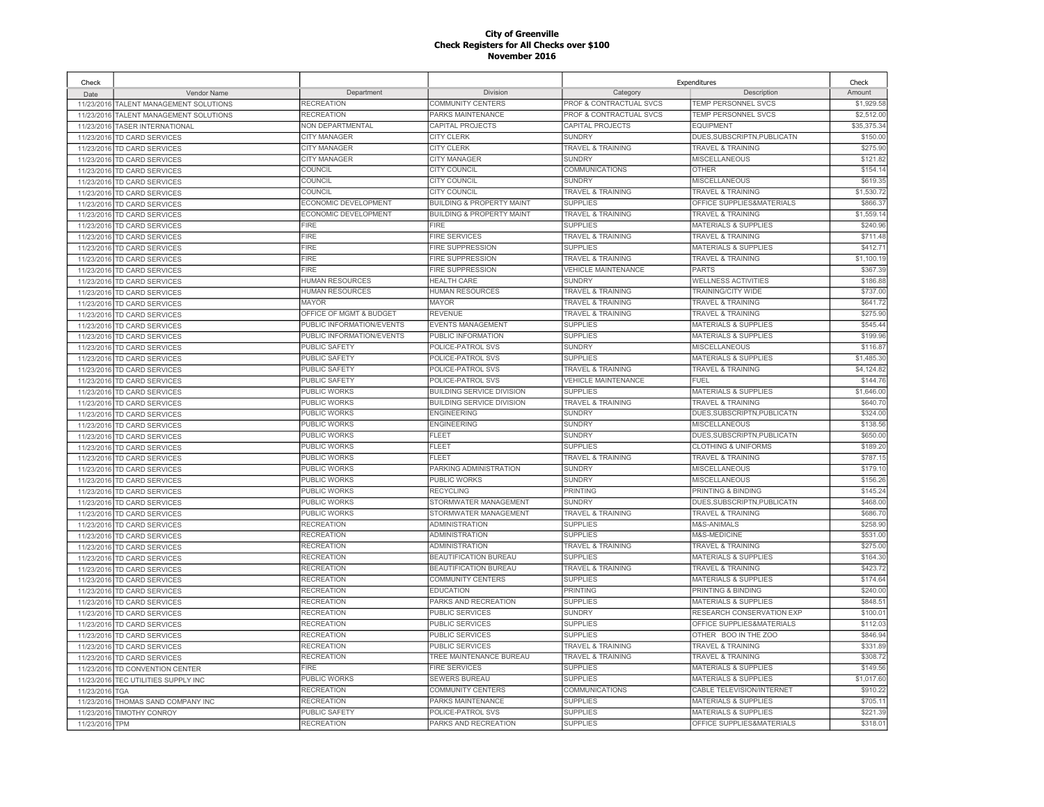| Check                    |                                             |                           |                                      | Expenditures                 |                                 | Check       |
|--------------------------|---------------------------------------------|---------------------------|--------------------------------------|------------------------------|---------------------------------|-------------|
| Date                     | Vendor Name                                 | Department                | Division                             | Category                     | Description                     | Amount      |
| 11/23/2016               | TALENT MANAGEMENT SOLUTIONS                 | RECREATION                | COMMUNITY CENTERS                    | PROF & CONTRACTUAL SVCS      | TEMP PERSONNEL SVCS             | \$1,929.58  |
| 11/23/2016               | TALENT MANAGEMENT SOLUTIONS                 | <b>RECREATION</b>         | PARKS MAINTENANCE                    | PROF & CONTRACTUAL SVCS      | TEMP PERSONNEL SVCS             | \$2,512.00  |
| 11/23/2016               | <b>TASER INTERNATIONAL</b>                  | NON DEPARTMENTAL          | CAPITAL PROJECTS                     | CAPITAL PROJECTS             | <b>EQUIPMENT</b>                | \$35,375.34 |
| 11/23/2016               | TD CARD SERVICES                            | CITY MANAGER              | <b>CITY CLERK</b>                    | <b>SUNDRY</b>                | DUES, SUBSCRIPTN, PUBLICATN     | \$150.00    |
| 11/23/2016               | TD CARD SERVICES                            | <b>CITY MANAGER</b>       | <b>CITY CLERK</b>                    | TRAVEL & TRAINING            | TRAVEL & TRAINING               | \$275.90    |
| 11/23/2016               | <b>TD CARD SERVICES</b>                     | CITY MANAGER              | CITY MANAGER                         | <b>SUNDRY</b>                | <b>MISCELLANEOUS</b>            | \$121.82    |
| 11/23/2016               | <b>TD CARD SERVICES</b>                     | <b>COUNCIL</b>            | <b>CITY COUNCIL</b>                  | COMMUNICATIONS               | <b>OTHER</b>                    | \$154.14    |
| 11/23/2016               | TD CARD SERVICES                            | COUNCIL                   | CITY COUNCIL                         | <b>SUNDRY</b>                | <b>MISCELLANEOUS</b>            | \$619.35    |
| 11/23/2016               | <b>TD CARD SERVICES</b>                     | COUNCIL                   | <b>CITY COUNCIL</b>                  | TRAVEL & TRAINING            | <b>TRAVEL &amp; TRAINING</b>    | \$1,530.7   |
| 11/23/2016               | <b>TD CARD SERVICES</b>                     | ECONOMIC DEVELOPMENT      | <b>BUILDING &amp; PROPERTY MAINT</b> | <b>SUPPLIES</b>              | OFFICE SUPPLIES&MATERIALS       | \$866.3     |
| 11/23/2016               | TD CARD SERVICES                            | ECONOMIC DEVELOPMENT      | <b>BUILDING &amp; PROPERTY MAINT</b> | <b>TRAVEL &amp; TRAINING</b> | <b>TRAVEL &amp; TRAINING</b>    | \$1,559.1   |
| 11/23/2016               | <b>TD CARD SERVICES</b>                     | FIRE                      | FIRE                                 | <b>SUPPLIES</b>              | MATERIALS & SUPPLIES            | \$240.96    |
| 11/23/2016               | <b>TD CARD SERVICES</b>                     | FIRE                      | <b>FIRE SERVICES</b>                 | <b>TRAVEL &amp; TRAINING</b> | <b>TRAVEL &amp; TRAINING</b>    | \$711.4     |
| 11/23/2016               | <b>TD CARD SERVICES</b>                     | <b>FIRE</b>               | <b>FIRE SUPPRESSION</b>              | <b>SUPPLIES</b>              | <b>MATERIALS &amp; SUPPLIES</b> | \$412.7     |
| 11/23/2016               | <b>TD CARD SERVICES</b>                     | FIRE                      | <b>FIRE SUPPRESSION</b>              | TRAVEL & TRAINING            | <b>TRAVEL &amp; TRAINING</b>    | \$1,100.1   |
| 11/23/2016               | TD CARD SERVICES                            | FIRE                      | <b>FIRE SUPPRESSION</b>              | <b>VEHICLE MAINTENANCE</b>   | PARTS                           | \$367.39    |
| 11/23/2016               | TD CARD SERVICES                            | HUMAN RESOURCES           | <b>HEALTH CARE</b>                   | <b>SUNDRY</b>                | <b>WELLNESS ACTIVITIES</b>      | \$186.8     |
| 11/23/2016               | TD CARD SERVICES                            | <b>HUMAN RESOURCES</b>    | <b>HUMAN RESOURCES</b>               | <b>TRAVEL &amp; TRAINING</b> | <b>TRAINING/CITY WIDE</b>       | \$737.00    |
| 11/23/2016               | TD CARD SERVICES                            | <b>MAYOR</b>              | <b>MAYOR</b>                         | <b>TRAVEL &amp; TRAINING</b> | <b>TRAVEL &amp; TRAINING</b>    | \$641.72    |
| 11/23/2016               | TD CARD SERVICES                            | OFFICE OF MGMT & BUDGET   | <b>REVENUE</b>                       | <b>TRAVEL &amp; TRAINING</b> | <b>TRAVEL &amp; TRAINING</b>    | \$275.90    |
| 11/23/2016               | <b>TD CARD SERVICES</b>                     | PUBLIC INFORMATION/EVENTS | <b>EVENTS MANAGEMENT</b>             | <b>SUPPLIES</b>              | <b>MATERIALS &amp; SUPPLIES</b> | \$545.44    |
|                          |                                             | PUBLIC INFORMATION/EVENTS | PUBLIC INFORMATION                   | <b>SUPPLIES</b>              | <b>MATERIALS &amp; SUPPLIES</b> | \$199.96    |
| 11/23/2016<br>11/23/2016 | TD CARD SERVICES<br><b>TD CARD SERVICES</b> | PUBLIC SAFETY             | POLICE-PATROL SVS                    | <b>SUNDRY</b>                | <b>MISCELLANEOUS</b>            | \$116.87    |
|                          |                                             | PUBLIC SAFETY             | POLICE-PATROL SVS                    | <b>SUPPLIES</b>              | <b>MATERIALS &amp; SUPPLIES</b> | \$1,485.30  |
| 11/23/2016               | TD CARD SERVICES                            | <b>PUBLIC SAFETY</b>      | POLICE-PATROL SVS                    | <b>TRAVEL &amp; TRAINING</b> | <b>TRAVEL &amp; TRAINING</b>    | \$4,124.82  |
| 11/23/2016               | <b>TD CARD SERVICES</b>                     | <b>PUBLIC SAFETY</b>      | POLICE-PATROL SVS                    | <b>VEHICLE MAINTENANCE</b>   | <b>FUEL</b>                     | \$144.76    |
| 11/23/2016               | TD CARD SERVICES                            |                           |                                      | <b>SUPPLIES</b>              |                                 |             |
| 11/23/2016               | <b>TD CARD SERVICES</b>                     | PUBLIC WORKS              | <b>BUILDING SERVICE DIVISION</b>     |                              | <b>MATERIALS &amp; SUPPLIES</b> | \$1,646.00  |
| 11/23/2016               | TD CARD SERVICES                            | PUBLIC WORKS              | <b>BUILDING SERVICE DIVISION</b>     | <b>TRAVEL &amp; TRAINING</b> | <b>TRAVEL &amp; TRAINING</b>    | \$640.70    |
| 11/23/2016               | TD CARD SERVICES                            | PUBLIC WORKS              | <b>ENGINEERING</b>                   | <b>SUNDRY</b>                | DUES, SUBSCRIPTN, PUBLICATN     | \$324.00    |
| 11/23/2016               | TD CARD SERVICES                            | PUBLIC WORKS              | <b>ENGINEERING</b>                   | <b>SUNDRY</b>                | <b>MISCELLANEOUS</b>            | \$138.56    |
| 11/23/2016               | TD CARD SERVICES                            | PUBLIC WORKS              | FLEET                                | <b>SUNDRY</b>                | DUES, SUBSCRIPTN, PUBLICATN     | \$650.00    |
| 11/23/2016               | TD CARD SERVICES                            | PUBLIC WORKS              | FLEET                                | <b>SUPPLIES</b>              | <b>CLOTHING &amp; UNIFORMS</b>  | \$189.20    |
| 11/23/2016               | <b>TD CARD SERVICES</b>                     | PUBLIC WORKS              | FLEET                                | <b>TRAVEL &amp; TRAINING</b> | <b>TRAVEL &amp; TRAINING</b>    | \$787.1     |
| 11/23/2016               | TD CARD SERVICES                            | PUBLIC WORKS              | PARKING ADMINISTRATION               | <b>SUNDRY</b>                | <b>MISCELLANEOUS</b>            | \$179.10    |
| 11/23/2016               | TD CARD SERVICES                            | <b>PUBLIC WORKS</b>       | PUBLIC WORKS                         | <b>SUNDRY</b>                | <b>MISCELLANEOUS</b>            | \$156.26    |
| 11/23/2016               | <b>TD CARD SERVICES</b>                     | PUBLIC WORKS              | <b>RECYCLING</b>                     | <b>PRINTING</b>              | PRINTING & BINDING              | \$145.2     |
| 11/23/2016               | <b>TD CARD SERVICES</b>                     | PUBLIC WORKS              | STORMWATER MANAGEMENT                | <b>SUNDRY</b>                | DUES, SUBSCRIPTN, PUBLICATN     | \$468.00    |
| 11/23/2016               | TD CARD SERVICES                            | PUBLIC WORKS              | STORMWATER MANAGEMENT                | TRAVEL & TRAINING            | TRAVEL & TRAINING               | \$686.7     |
| 11/23/2016               | <b>TD CARD SERVICES</b>                     | <b>RECREATION</b>         | <b>ADMINISTRATION</b>                | <b>SUPPLIES</b>              | M&S-ANIMALS                     | \$258.90    |
| 11/23/2016               | <b>TD CARD SERVICES</b>                     | <b>RECREATION</b>         | <b>ADMINISTRATION</b>                | <b>SUPPLIES</b>              | M&S-MEDICINE                    | \$531.00    |
| 11/23/2016               | <b>TD CARD SERVICES</b>                     | <b>RECREATION</b>         | <b>ADMINISTRATION</b>                | <b>TRAVEL &amp; TRAINING</b> | <b>TRAVEL &amp; TRAINING</b>    | \$275.00    |
| 11/23/2016               | TD CARD SERVICES                            | RECREATION                | <b>BEAUTIFICATION BUREAU</b>         | <b>SUPPLIES</b>              | <b>MATERIALS &amp; SUPPLIES</b> | \$164.30    |
| 11/23/2016               | TD CARD SERVICES                            | <b>RECREATION</b>         | BEAUTIFICATION BUREAU                | TRAVEL & TRAINING            | <b>TRAVEL &amp; TRAINING</b>    | \$423.72    |
| 11/23/2016               | TD CARD SERVICES                            | <b>RECREATION</b>         | <b>COMMUNITY CENTERS</b>             | <b>SUPPLIES</b>              | <b>MATERIALS &amp; SUPPLIES</b> | \$174.6     |
| 11/23/2016               | <b>TD CARD SERVICES</b>                     | RECREATION                | <b>EDUCATION</b>                     | <b>PRINTING</b>              | PRINTING & BINDING              | \$240.0     |
| 11/23/2016               | <b>TD CARD SERVICES</b>                     | <b>RECREATION</b>         | PARKS AND RECREATION                 | <b>SUPPLIES</b>              | MATERIALS & SUPPLIES            | \$848.5     |
| 11/23/2016               | TD CARD SERVICES                            | RECREATION                | PUBLIC SERVICES                      | SUNDRY                       | RESEARCH CONSERVATION EXP       | \$100.0     |
| 11/23/2016               | TD CARD SERVICES                            | <b>RECREATION</b>         | PUBLIC SERVICES                      | <b>SUPPLIES</b>              | OFFICE SUPPLIES&MATERIALS       | \$112.03    |
| 11/23/2016               | TD CARD SERVICES                            | <b>RECREATION</b>         | PUBLIC SERVICES                      | <b>SUPPLIES</b>              | OTHER BOO IN THE ZOO            | \$846.94    |
| 11/23/2016               | TD CARD SERVICES                            | <b>RECREATION</b>         | PUBLIC SERVICES                      | <b>TRAVEL &amp; TRAINING</b> | <b>TRAVEL &amp; TRAINING</b>    | \$331.89    |
| 11/23/2016               | TD CARD SERVICES                            | <b>RECREATION</b>         | TREE MAINTENANCE BUREAU              | TRAVEL & TRAINING            | <b>TRAVEL &amp; TRAINING</b>    | \$308.7     |
| 11/23/2016               | <b>TD CONVENTION CENTER</b>                 | <b>FIRE</b>               | <b>FIRE SERVICES</b>                 | <b>SUPPLIES</b>              | <b>MATERIALS &amp; SUPPLIES</b> | \$149.56    |
| 11/23/2016               | TEC UTILITIES SUPPLY INC                    | PUBLIC WORKS              | <b>SEWERS BUREAU</b>                 | <b>SUPPLIES</b>              | <b>MATERIALS &amp; SUPPLIES</b> | \$1,017.60  |
| 11/23/2016               | <b>TGA</b>                                  | RECREATION                | <b>COMMUNITY CENTERS</b>             | COMMUNICATIONS               | CABLE TELEVISION/INTERNET       | \$910.22    |
| 11/23/2016               | THOMAS SAND COMPANY INC                     | RECREATION                | PARKS MAINTENANCE                    | <b>SUPPLIES</b>              | <b>MATERIALS &amp; SUPPLIES</b> | \$705.1     |
| 11/23/2016               | <b>TIMOTHY CONROY</b>                       | PUBLIC SAFETY             | POLICE-PATROL SVS                    | <b>SUPPLIES</b>              | <b>MATERIALS &amp; SUPPLIES</b> | \$221.39    |
| 11/23/2016               | <b>TPM</b>                                  | <b>RECREATION</b>         | PARKS AND RECREATION                 | <b>SUPPLIES</b>              | OFFICE SUPPLIES&MATERIALS       | \$318.01    |